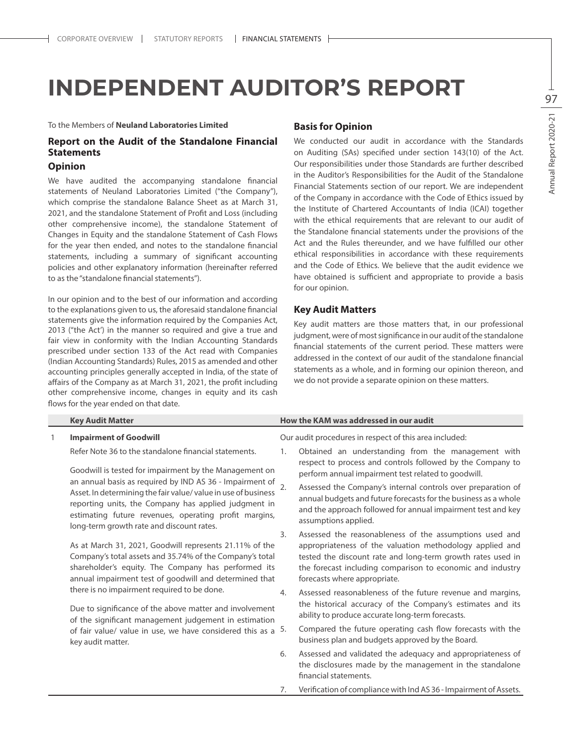# **INDEPENDENT AUDITOR'S REPORT**

### To the Members of **Neuland Laboratories Limited**

## **Report on the Audit of the Standalone Financial Statements**

## **Opinion**

We have audited the accompanying standalone financial statements of Neuland Laboratories Limited ("the Company"), which comprise the standalone Balance Sheet as at March 31, 2021, and the standalone Statement of Profit and Loss (including other comprehensive income), the standalone Statement of Changes in Equity and the standalone Statement of Cash Flows for the year then ended, and notes to the standalone financial statements, including a summary of significant accounting policies and other explanatory information (hereinafter referred to as the "standalone financial statements").

In our opinion and to the best of our information and according to the explanations given to us, the aforesaid standalone financial statements give the information required by the Companies Act, 2013 ("the Act') in the manner so required and give a true and fair view in conformity with the Indian Accounting Standards prescribed under section 133 of the Act read with Companies (Indian Accounting Standards) Rules, 2015 as amended and other accounting principles generally accepted in India, of the state of affairs of the Company as at March 31, 2021, the profit including other comprehensive income, changes in equity and its cash flows for the year ended on that date.

## **Basis for Opinion**

We conducted our audit in accordance with the Standards on Auditing (SAs) specified under section 143(10) of the Act. Our responsibilities under those Standards are further described in the Auditor's Responsibilities for the Audit of the Standalone Financial Statements section of our report. We are independent of the Company in accordance with the Code of Ethics issued by the Institute of Chartered Accountants of India (ICAI) together with the ethical requirements that are relevant to our audit of the Standalone financial statements under the provisions of the Act and the Rules thereunder, and we have fulfilled our other ethical responsibilities in accordance with these requirements and the Code of Ethics. We believe that the audit evidence we have obtained is sufficient and appropriate to provide a basis for our opinion.

## **Key Audit Matters**

Key audit matters are those matters that, in our professional judgment, were of most significance in our audit of the standalone financial statements of the current period. These matters were addressed in the context of our audit of the standalone financial statements as a whole, and in forming our opinion thereon, and we do not provide a separate opinion on these matters.

| $\mathbf{1}$ | <b>Impairment of Goodwill</b>                                                                                                                                                                                                                                                           |    | Our audit procedures in respect of this area included:                                                                                                                                   |  |
|--------------|-----------------------------------------------------------------------------------------------------------------------------------------------------------------------------------------------------------------------------------------------------------------------------------------|----|------------------------------------------------------------------------------------------------------------------------------------------------------------------------------------------|--|
|              | Refer Note 36 to the standalone financial statements.                                                                                                                                                                                                                                   |    | Obtained an understanding from the managem<br>respect to process and controls followed by the Co                                                                                         |  |
|              | Goodwill is tested for impairment by the Management on                                                                                                                                                                                                                                  |    | perform annual impairment test related to goodwill.                                                                                                                                      |  |
|              | an annual basis as required by IND AS 36 - Impairment of<br>Asset. In determining the fair value/value in use of business<br>reporting units, the Company has applied judgment in<br>estimating future revenues, operating profit margins,<br>long-term growth rate and discount rates. |    | Assessed the Company's internal controls over prep<br>annual budgets and future forecasts for the business<br>and the approach followed for annual impairment te<br>assumptions applied. |  |
|              | As at March 31, 2021, Goodwill represents 21.11% of the<br>Company's total assets and 35 74% of the Company's total                                                                                                                                                                     | 3. | Assessed the reasonableness of the assumptions<br>appropriateness of the valuation methodology ap<br>total the discount rate and long-term growth rate                                   |  |

**Key Audit Matter How the KAM was addressed in our audit**

Company's total assets and 35.74% of the Company's total shareholder's equity. The Company has performed its annual impairment test of goodwill and determined that there is no impairment required to be done.

Due to significance of the above matter and involvement of the significant management judgement in estimation of fair value/ value in use, we have considered this as a  $5$ . key audit matter.

- nent with mpany to
- aration of as a whole st and key
- used and plied and tested the discount rate and long-term growth rates used in the forecast including comparison to economic and industry forecasts where appropriate.
- 4. Assessed reasonableness of the future revenue and margins, the historical accuracy of the Company's estimates and its ability to produce accurate long-term forecasts.
	- 5. Compared the future operating cash flow forecasts with the business plan and budgets approved by the Board.
- 6. Assessed and validated the adequacy and appropriateness of the disclosures made by the management in the standalone financial statements.
- 7. Verification of compliance with Ind AS 36 Impairment of Assets.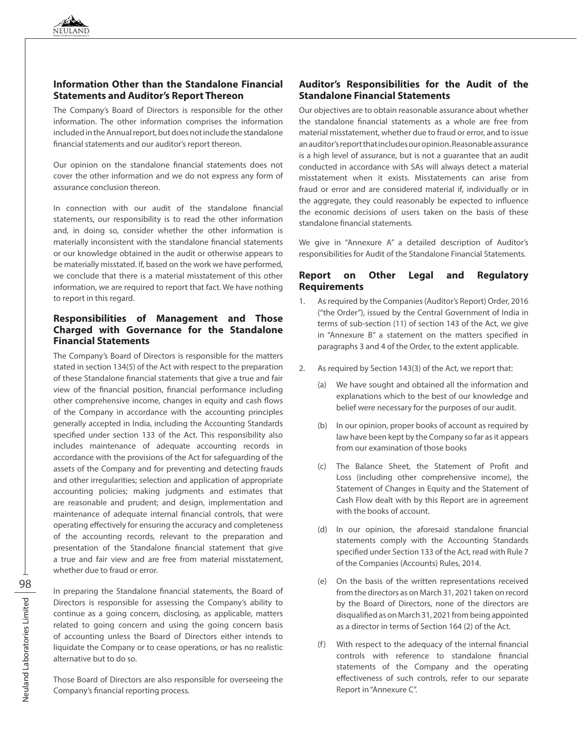## **Information Other than the Standalone Financial Statements and Auditor's Report Thereon**

The Company's Board of Directors is responsible for the other information. The other information comprises the information included in the Annual report, but does not include the standalone financial statements and our auditor's report thereon.

Our opinion on the standalone financial statements does not cover the other information and we do not express any form of assurance conclusion thereon.

In connection with our audit of the standalone financial statements, our responsibility is to read the other information and, in doing so, consider whether the other information is materially inconsistent with the standalone financial statements or our knowledge obtained in the audit or otherwise appears to be materially misstated. If, based on the work we have performed, we conclude that there is a material misstatement of this other information, we are required to report that fact. We have nothing to report in this regard.

## **Responsibilities of Management and Those Charged with Governance for the Standalone Financial Statements**

The Company's Board of Directors is responsible for the matters stated in section 134(5) of the Act with respect to the preparation of these Standalone financial statements that give a true and fair view of the financial position, financial performance including other comprehensive income, changes in equity and cash flows of the Company in accordance with the accounting principles generally accepted in India, including the Accounting Standards specified under section 133 of the Act. This responsibility also includes maintenance of adequate accounting records in accordance with the provisions of the Act for safeguarding of the assets of the Company and for preventing and detecting frauds and other irregularities; selection and application of appropriate accounting policies; making judgments and estimates that are reasonable and prudent; and design, implementation and maintenance of adequate internal financial controls, that were operating effectively for ensuring the accuracy and completeness of the accounting records, relevant to the preparation and presentation of the Standalone financial statement that give a true and fair view and are free from material misstatement, whether due to fraud or error.

In preparing the Standalone financial statements, the Board of Directors is responsible for assessing the Company's ability to continue as a going concern, disclosing, as applicable, matters related to going concern and using the going concern basis of accounting unless the Board of Directors either intends to liquidate the Company or to cease operations, or has no realistic alternative but to do so.

Those Board of Directors are also responsible for overseeing the Company's financial reporting process.

## **Auditor's Responsibilities for the Audit of the Standalone Financial Statements**

Our objectives are to obtain reasonable assurance about whether the standalone financial statements as a whole are free from material misstatement, whether due to fraud or error, and to issue an auditor's report that includes our opinion. Reasonable assurance is a high level of assurance, but is not a guarantee that an audit conducted in accordance with SAs will always detect a material misstatement when it exists. Misstatements can arise from fraud or error and are considered material if, individually or in the aggregate, they could reasonably be expected to influence the economic decisions of users taken on the basis of these standalone financial statements.

We give in "Annexure A" a detailed description of Auditor's responsibilities for Audit of the Standalone Financial Statements.

## **Report on Other Legal and Regulatory Requirements**

- 1. As required by the Companies (Auditor's Report) Order, 2016 ("the Order"), issued by the Central Government of India in terms of sub-section (11) of section 143 of the Act, we give in "Annexure B" a statement on the matters specified in paragraphs 3 and 4 of the Order, to the extent applicable.
- 2. As required by Section 143(3) of the Act, we report that:
	- (a) We have sought and obtained all the information and explanations which to the best of our knowledge and belief were necessary for the purposes of our audit.
	- (b) In our opinion, proper books of account as required by law have been kept by the Company so far as it appears from our examination of those books
	- (c) The Balance Sheet, the Statement of Profit and Loss (including other comprehensive income), the Statement of Changes in Equity and the Statement of Cash Flow dealt with by this Report are in agreement with the books of account.
	- (d) In our opinion, the aforesaid standalone financial statements comply with the Accounting Standards specified under Section 133 of the Act, read with Rule 7 of the Companies (Accounts) Rules, 2014.
	- (e) On the basis of the written representations received from the directors as on March 31, 2021 taken on record by the Board of Directors, none of the directors are disqualified as on March 31, 2021 from being appointed as a director in terms of Section 164 (2) of the Act.
	- (f) With respect to the adequacy of the internal financial controls with reference to standalone financial statements of the Company and the operating effectiveness of such controls, refer to our separate Report in "Annexure C".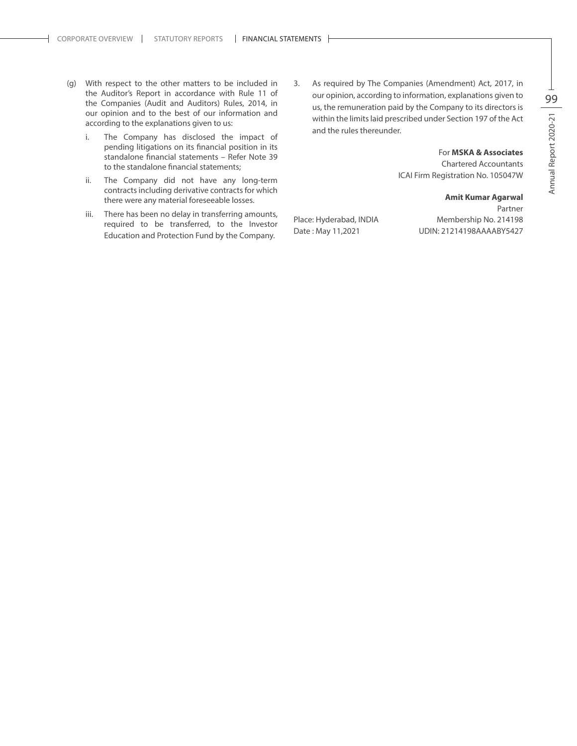- (g) With respect to the other matters to be included in the Auditor's Report in accordance with Rule 11 of the Companies (Audit and Auditors) Rules, 2014, in our opinion and to the best of our information and according to the explanations given to us:
	- i. The Company has disclosed the impact of pending litigations on its financial position in its standalone financial statements – Refer Note 39 to the standalone financial statements;
	- ii. The Company did not have any long-term contracts including derivative contracts for which there were any material foreseeable losses.
	- iii. There has been no delay in transferring amounts, required to be transferred, to the Investor Education and Protection Fund by the Company.
- 3. As required by The Companies (Amendment) Act, 2017, in our opinion, according to information, explanations given to us, the remuneration paid by the Company to its directors is within the limits laid prescribed under Section 197 of the Act and the rules thereunder.

## For **MSKA & Associates**

Chartered Accountants ICAI Firm Registration No. 105047W

## **Amit Kumar Agarwal**

Partner Place: Hyderabad, INDIA Membership No. 214198 Date : May 11,2021 UDIN: 21214198AAAABY5427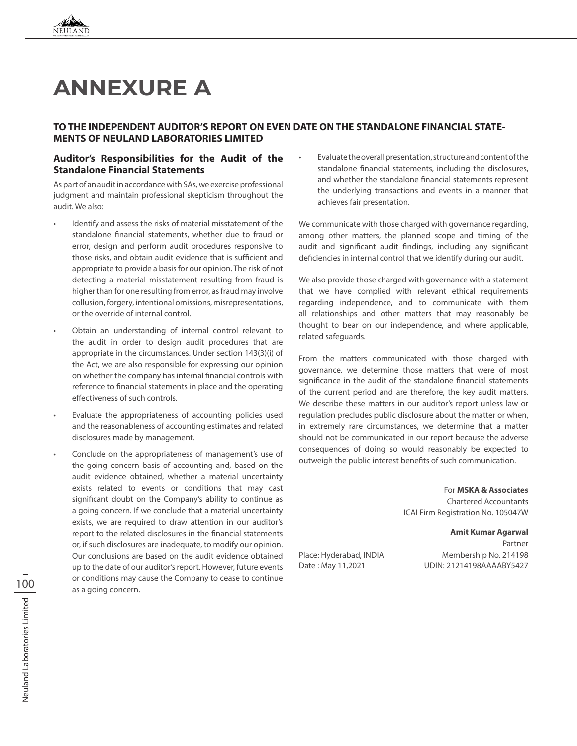

# **ANNEXURE A**

## **TO THE INDEPENDENT AUDITOR'S REPORT ON EVEN DATE ON THE STANDALONE FINANCIAL STATE-MENTS OF NEULAND LABORATORIES LIMITED**

## **Auditor's Responsibilities for the Audit of the Standalone Financial Statements**

As part of an audit in accordance with SAs, we exercise professional judgment and maintain professional skepticism throughout the audit. We also:

- Identify and assess the risks of material misstatement of the standalone financial statements, whether due to fraud or error, design and perform audit procedures responsive to those risks, and obtain audit evidence that is sufficient and appropriate to provide a basis for our opinion. The risk of not detecting a material misstatement resulting from fraud is higher than for one resulting from error, as fraud may involve collusion, forgery, intentional omissions, misrepresentations, or the override of internal control.
- Obtain an understanding of internal control relevant to the audit in order to design audit procedures that are appropriate in the circumstances. Under section 143(3)(i) of the Act, we are also responsible for expressing our opinion on whether the company has internal financial controls with reference to financial statements in place and the operating effectiveness of such controls.
- Evaluate the appropriateness of accounting policies used and the reasonableness of accounting estimates and related disclosures made by management.
- Conclude on the appropriateness of management's use of the going concern basis of accounting and, based on the audit evidence obtained, whether a material uncertainty exists related to events or conditions that may cast significant doubt on the Company's ability to continue as a going concern. If we conclude that a material uncertainty exists, we are required to draw attention in our auditor's report to the related disclosures in the financial statements or, if such disclosures are inadequate, to modify our opinion. Our conclusions are based on the audit evidence obtained up to the date of our auditor's report. However, future events or conditions may cause the Company to cease to continue as a going concern.

Evaluate the overall presentation, structure and content of the standalone financial statements, including the disclosures, and whether the standalone financial statements represent the underlying transactions and events in a manner that achieves fair presentation.

We communicate with those charged with governance regarding, among other matters, the planned scope and timing of the audit and significant audit findings, including any significant deficiencies in internal control that we identify during our audit.

We also provide those charged with governance with a statement that we have complied with relevant ethical requirements regarding independence, and to communicate with them all relationships and other matters that may reasonably be thought to bear on our independence, and where applicable, related safeguards.

From the matters communicated with those charged with governance, we determine those matters that were of most significance in the audit of the standalone financial statements of the current period and are therefore, the key audit matters. We describe these matters in our auditor's report unless law or regulation precludes public disclosure about the matter or when, in extremely rare circumstances, we determine that a matter should not be communicated in our report because the adverse consequences of doing so would reasonably be expected to outweigh the public interest benefits of such communication.

> For **MSKA & Associates** Chartered Accountants ICAI Firm Registration No. 105047W

Date: May 11,2021 UDIN: 21214198AAAABY5427

**Amit Kumar Agarwal** Partner Place: Hyderabad, INDIA Membership No. 214198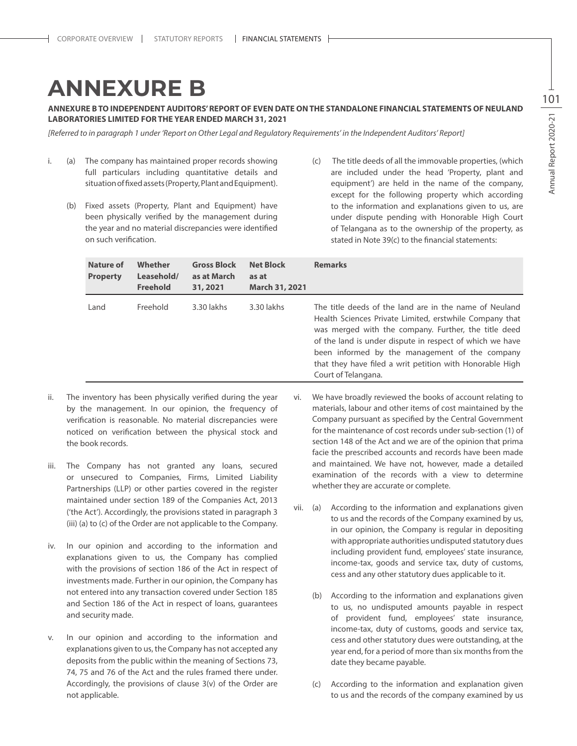# **ANNEXURE B**

**ANNEXURE B TO INDEPENDENT AUDITORS' REPORT OF EVEN DATE ON THE STANDALONE FINANCIAL STATEMENTS OF NEULAND LABORATORIES LIMITED FOR THE YEAR ENDED MARCH 31, 2021**

*[Referred to in paragraph 1 under 'Report on Other Legal and Regulatory Requirements' in the Independent Auditors' Report]*

- i. (a) The company has maintained proper records showing full particulars including quantitative details and situation of fixed assets (Property, Plant and Equipment).
	- (b) Fixed assets (Property, Plant and Equipment) have been physically verified by the management during the year and no material discrepancies were identified on such verification.
- (c) The title deeds of all the immovable properties, (which are included under the head 'Property, plant and equipment') are held in the name of the company, except for the following property which according to the information and explanations given to us, are under dispute pending with Honorable High Court of Telangana as to the ownership of the property, as stated in Note 39(c) to the financial statements:

| Nature of<br><b>Property</b> | Whether<br>Leasehold/<br><b>Freehold</b> | <b>Gross Block</b><br>as at March<br>31, 2021 | <b>Net Block</b><br>as at<br><b>March 31, 2021</b> | <b>Remarks</b>                                                                                                                                                                                                                                                                                                                                                             |
|------------------------------|------------------------------------------|-----------------------------------------------|----------------------------------------------------|----------------------------------------------------------------------------------------------------------------------------------------------------------------------------------------------------------------------------------------------------------------------------------------------------------------------------------------------------------------------------|
| Land                         | Freehold                                 | 3.30 lakhs                                    | 3.30 lakhs                                         | The title deeds of the land are in the name of Neuland<br>Health Sciences Private Limited, erstwhile Company that<br>was merged with the company. Further, the title deed<br>of the land is under dispute in respect of which we have<br>been informed by the management of the company<br>that they have filed a writ petition with Honorable High<br>Court of Telangana. |

- ii. The inventory has been physically verified during the year by the management. In our opinion, the frequency of verification is reasonable. No material discrepancies were noticed on verification between the physical stock and the book records.
- iii. The Company has not granted any loans, secured or unsecured to Companies, Firms, Limited Liability Partnerships (LLP) or other parties covered in the register maintained under section 189 of the Companies Act, 2013 ('the Act'). Accordingly, the provisions stated in paragraph 3 (iii) (a) to (c) of the Order are not applicable to the Company.
- iv. In our opinion and according to the information and explanations given to us, the Company has complied with the provisions of section 186 of the Act in respect of investments made. Further in our opinion, the Company has not entered into any transaction covered under Section 185 and Section 186 of the Act in respect of loans, guarantees and security made.
- v. In our opinion and according to the information and explanations given to us, the Company has not accepted any deposits from the public within the meaning of Sections 73, 74, 75 and 76 of the Act and the rules framed there under. Accordingly, the provisions of clause 3(v) of the Order are not applicable.
- vi. We have broadly reviewed the books of account relating to materials, labour and other items of cost maintained by the Company pursuant as specified by the Central Government for the maintenance of cost records under sub-section (1) of section 148 of the Act and we are of the opinion that prima facie the prescribed accounts and records have been made and maintained. We have not, however, made a detailed examination of the records with a view to determine whether they are accurate or complete.
- vii. (a) According to the information and explanations given to us and the records of the Company examined by us, in our opinion, the Company is regular in depositing with appropriate authorities undisputed statutory dues including provident fund, employees' state insurance, income-tax, goods and service tax, duty of customs, cess and any other statutory dues applicable to it.
	- (b) According to the information and explanations given to us, no undisputed amounts payable in respect of provident fund, employees' state insurance, income-tax, duty of customs, goods and service tax, cess and other statutory dues were outstanding, at the year end, for a period of more than six months from the date they became payable.
	- (c) According to the information and explanation given to us and the records of the company examined by us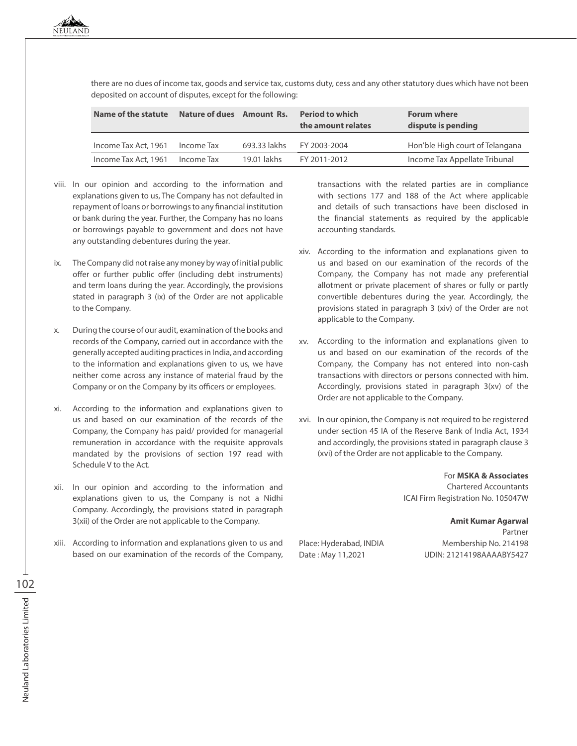there are no dues of income tax, goods and service tax, customs duty, cess and any other statutory dues which have not been deposited on account of disputes, except for the following:

| Name of the statute  | Nature of dues Amount Rs. |              | <b>Period to which</b><br>the amount relates | <b>Forum where</b><br>dispute is pending |  |
|----------------------|---------------------------|--------------|----------------------------------------------|------------------------------------------|--|
| Income Tax Act, 1961 | Income Tax                | 693.33 lakhs | FY 2003-2004                                 | Hon'ble High court of Telangana          |  |
| Income Tax Act, 1961 | Income Tax                | 19.01 lakhs  | FY 2011-2012                                 | Income Tax Appellate Tribunal            |  |

- viii. In our opinion and according to the information and explanations given to us, The Company has not defaulted in repayment of loans or borrowings to any financial institution or bank during the year. Further, the Company has no loans or borrowings payable to government and does not have any outstanding debentures during the year.
- ix. The Company did not raise any money by way of initial public offer or further public offer (including debt instruments) and term loans during the year. Accordingly, the provisions stated in paragraph 3 (ix) of the Order are not applicable to the Company.
- x. During the course of our audit, examination of the books and records of the Company, carried out in accordance with the generally accepted auditing practices in India, and according to the information and explanations given to us, we have neither come across any instance of material fraud by the Company or on the Company by its officers or employees.
- xi. According to the information and explanations given to us and based on our examination of the records of the Company, the Company has paid/ provided for managerial remuneration in accordance with the requisite approvals mandated by the provisions of section 197 read with Schedule V to the Act.
- xii. In our opinion and according to the information and explanations given to us, the Company is not a Nidhi Company. Accordingly, the provisions stated in paragraph 3(xii) of the Order are not applicable to the Company.
- xiii. According to information and explanations given to us and based on our examination of the records of the Company,

transactions with the related parties are in compliance with sections 177 and 188 of the Act where applicable and details of such transactions have been disclosed in the financial statements as required by the applicable accounting standards.

- xiv. According to the information and explanations given to us and based on our examination of the records of the Company, the Company has not made any preferential allotment or private placement of shares or fully or partly convertible debentures during the year. Accordingly, the provisions stated in paragraph 3 (xiv) of the Order are not applicable to the Company.
- xv. According to the information and explanations given to us and based on our examination of the records of the Company, the Company has not entered into non-cash transactions with directors or persons connected with him. Accordingly, provisions stated in paragraph 3(xv) of the Order are not applicable to the Company.
- xvi. In our opinion, the Company is not required to be registered under section 45 IA of the Reserve Bank of India Act, 1934 and accordingly, the provisions stated in paragraph clause 3 (xvi) of the Order are not applicable to the Company.

For **MSKA & Associates** Chartered Accountants ICAI Firm Registration No. 105047W

**Amit Kumar Agarwal** Partner Place: Hyderabad, INDIA Membership No. 214198 Date : May 11,2021 UDIN: 21214198AAAABY5427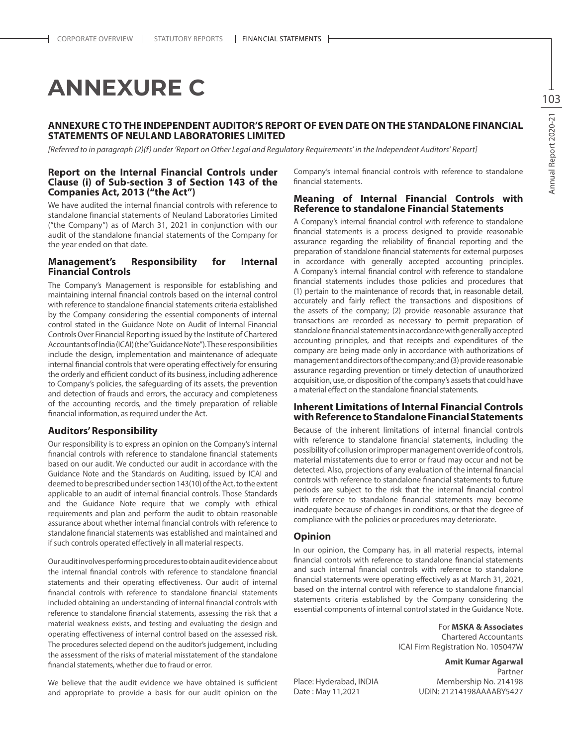# **ANNEXURE C**

## **ANNEXURE C TO THE INDEPENDENT AUDITOR'S REPORT OF EVEN DATE ON THE STANDALONE FINANCIAL STATEMENTS OF NEULAND LABORATORIES LIMITED**

*[Referred to in paragraph (2)(f) under 'Report on Other Legal and Regulatory Requirements' in the Independent Auditors' Report]*

## **Report on the Internal Financial Controls under Clause (i) of Sub-section 3 of Section 143 of the Companies Act, 2013 ("the Act")**

We have audited the internal financial controls with reference to standalone financial statements of Neuland Laboratories Limited ("the Company") as of March 31, 2021 in conjunction with our audit of the standalone financial statements of the Company for the year ended on that date.

### **Management's Responsibility for Internal Financial Controls**

The Company's Management is responsible for establishing and maintaining internal financial controls based on the internal control with reference to standalone financial statements criteria established by the Company considering the essential components of internal control stated in the Guidance Note on Audit of Internal Financial Controls Over Financial Reporting issued by the Institute of Chartered Accountants of India (ICAI) (the "Guidance Note"). These responsibilities include the design, implementation and maintenance of adequate internal financial controls that were operating effectively for ensuring the orderly and efficient conduct of its business, including adherence to Company's policies, the safeguarding of its assets, the prevention and detection of frauds and errors, the accuracy and completeness of the accounting records, and the timely preparation of reliable financial information, as required under the Act.

### **Auditors' Responsibility**

Our responsibility is to express an opinion on the Company's internal financial controls with reference to standalone financial statements based on our audit. We conducted our audit in accordance with the Guidance Note and the Standards on Auditing, issued by ICAI and deemed to be prescribed under section 143(10) of the Act, to the extent applicable to an audit of internal financial controls. Those Standards and the Guidance Note require that we comply with ethical requirements and plan and perform the audit to obtain reasonable assurance about whether internal financial controls with reference to standalone financial statements was established and maintained and if such controls operated effectively in all material respects.

Our audit involves performing procedures to obtain audit evidence about the internal financial controls with reference to standalone financial statements and their operating effectiveness. Our audit of internal financial controls with reference to standalone financial statements included obtaining an understanding of internal financial controls with reference to standalone financial statements, assessing the risk that a material weakness exists, and testing and evaluating the design and operating effectiveness of internal control based on the assessed risk. The procedures selected depend on the auditor's judgement, including the assessment of the risks of material misstatement of the standalone financial statements, whether due to fraud or error.

We believe that the audit evidence we have obtained is sufficient and appropriate to provide a basis for our audit opinion on the

Company's internal financial controls with reference to standalone financial statements.

### **Meaning of Internal Financial Controls with Reference to standalone Financial Statements**

A Company's internal financial control with reference to standalone financial statements is a process designed to provide reasonable assurance regarding the reliability of financial reporting and the preparation of standalone financial statements for external purposes in accordance with generally accepted accounting principles. A Company's internal financial control with reference to standalone financial statements includes those policies and procedures that (1) pertain to the maintenance of records that, in reasonable detail, accurately and fairly reflect the transactions and dispositions of the assets of the company; (2) provide reasonable assurance that transactions are recorded as necessary to permit preparation of standalone financial statements in accordance with generally accepted accounting principles, and that receipts and expenditures of the company are being made only in accordance with authorizations of management and directors of the company; and (3) provide reasonable assurance regarding prevention or timely detection of unauthorized acquisition, use, or disposition of the company's assets that could have a material effect on the standalone financial statements.

## **Inherent Limitations of Internal Financial Controls with Reference to Standalone Financial Statements**

Because of the inherent limitations of internal financial controls with reference to standalone financial statements, including the possibility of collusion or improper management override of controls, material misstatements due to error or fraud may occur and not be detected. Also, projections of any evaluation of the internal financial controls with reference to standalone financial statements to future periods are subject to the risk that the internal financial control with reference to standalone financial statements may become inadequate because of changes in conditions, or that the degree of compliance with the policies or procedures may deteriorate.

## **Opinion**

In our opinion, the Company has, in all material respects, internal financial controls with reference to standalone financial statements and such internal financial controls with reference to standalone financial statements were operating effectively as at March 31, 2021, based on the internal control with reference to standalone financial statements criteria established by the Company considering the essential components of internal control stated in the Guidance Note.

> For **MSKA & Associates** Chartered Accountants ICAI Firm Registration No. 105047W

**Amit Kumar Agarwal** Partner Place: Hyderabad, INDIA Membership No. 214198 Date : May 11,2021 UDIN: 21214198AAAABY5427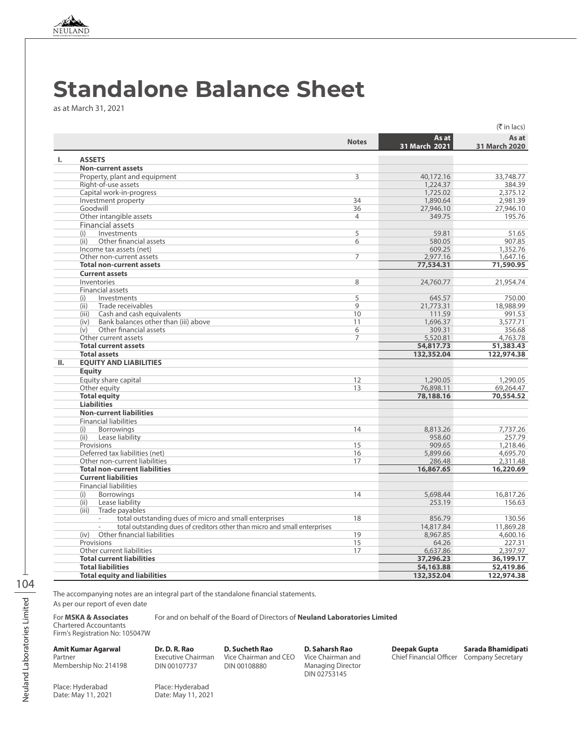# **Standalone Balance Sheet**

as at March 31, 2021

|    |                                                                            | <b>Notes</b>   | As at<br>31 March 2021 | As at<br>31 March 2020 |  |
|----|----------------------------------------------------------------------------|----------------|------------------------|------------------------|--|
| ı. | <b>ASSETS</b>                                                              |                |                        |                        |  |
|    | <b>Non-current assets</b>                                                  |                |                        |                        |  |
|    | Property, plant and equipment                                              | 3              | 40,172.16              | 33,748.77              |  |
|    | Right-of-use assets                                                        |                | 1,224.37               | 384.39                 |  |
|    | Capital work-in-progress                                                   |                | 1,725.02               | 2,375.12               |  |
|    | Investment property                                                        | 34             | 1,890.64               | 2,981.39               |  |
|    | Goodwill                                                                   | 36             | 27,946.10              | 27,946.10              |  |
|    | Other intangible assets                                                    | 4              | 349.75                 | 195.76                 |  |
|    | <b>Financial assets</b>                                                    |                |                        |                        |  |
|    | Investments<br>(i)                                                         | 5              | 59.81                  | 51.65                  |  |
|    | (ii)<br>Other financial assets                                             | 6              | 580.05                 | 907.85                 |  |
|    | Income tax assets (net)                                                    |                | 609.25                 | 1,352.76               |  |
|    | Other non-current assets                                                   | $\overline{7}$ | 2,977.16               | 1,647.16               |  |
|    | <b>Total non-current assets</b>                                            |                | 77,534.31              | 71,590.95              |  |
|    | <b>Current assets</b>                                                      |                |                        |                        |  |
|    | Inventories                                                                | 8              | 24,760.77              | 21,954.74              |  |
|    | Financial assets                                                           |                |                        |                        |  |
|    | Investments<br>(i)                                                         | 5              | 645.57                 | 750.00                 |  |
|    | Trade receivables<br>(ii)                                                  | 9              | 21,773.31              | 18,988.99              |  |
|    | Cash and cash equivalents<br>(iii)                                         | 10             | 111.59                 | 991.53<br>3,577.71     |  |
|    | Bank balances other than (iii) above<br>(iv)                               | 11             | 1,696.37               |                        |  |
|    | Other financial assets<br>(v)                                              | 6              | 309.31                 | 356.68                 |  |
|    | Other current assets                                                       | $\overline{7}$ | 5,520.81               | 4,763,78               |  |
|    | <b>Total current assets</b>                                                |                | 54,817.73              | 51,383.43              |  |
|    | <b>Total assets</b>                                                        |                | 132,352.04             | 122,974.38             |  |
| Ш. | <b>EQUITY AND LIABILITIES</b>                                              |                |                        |                        |  |
|    | <b>Equity</b>                                                              |                |                        |                        |  |
|    | Equity share capital                                                       | 12             | 1,290.05               | 1,290.05               |  |
|    | Other equity                                                               | 13             | 76,898.11              | 69,264.47              |  |
|    | <b>Total equity</b>                                                        |                | 78,188.16              | 70,554.52              |  |
|    | <b>Liabilities</b>                                                         |                |                        |                        |  |
|    | <b>Non-current liabilities</b>                                             |                |                        |                        |  |
|    | <b>Financial liabilities</b>                                               |                |                        |                        |  |
|    | <b>Borrowings</b><br>(i)                                                   | 14             | 8,813.26               | 7,737.26               |  |
|    | (ii)<br>Lease liability                                                    |                | 958.60                 | 257.79                 |  |
|    | Provisions                                                                 | 15             | 909.65                 | 1,218.46               |  |
|    | Deferred tax liabilities (net)                                             | 16             | 5,899.66               | 4,695.70               |  |
|    | Other non-current liabilities                                              | 17             | 286.48                 | 2,311.48               |  |
|    | <b>Total non-current liabilities</b>                                       |                | 16,867.65              | 16,220.69              |  |
|    | <b>Current liabilities</b>                                                 |                |                        |                        |  |
|    | <b>Financial liabilities</b>                                               |                |                        |                        |  |
|    | (i)<br><b>Borrowings</b>                                                   | 14             | 5,698.44               | 16,817.26              |  |
|    | Lease liability<br>(ii)                                                    |                | 253.19                 | 156.63                 |  |
|    | Trade payables<br>(iii)                                                    |                |                        |                        |  |
|    | total outstanding dues of micro and small enterprises                      | 18             | 856.79                 | 130.56                 |  |
|    | total outstanding dues of creditors other than micro and small enterprises | 19             | 14,817.84              | 11,869.28              |  |
|    | Other financial liabilities<br>(iv)<br>Provisions                          | 15             | 8,967.85<br>64.26      | 4,600.16<br>227.31     |  |
|    | Other current liabilities                                                  | 17             | 6,637.86               | 2,397.97               |  |
|    | <b>Total current liabilities</b>                                           |                | 37,296.23              | 36,199.17              |  |
|    | <b>Total liabilities</b>                                                   |                | 54,163.88              | 52,419.86              |  |
|    | <b>Total equity and liabilities</b>                                        |                | 132,352.04             | 122,974.38             |  |
|    |                                                                            |                |                        |                        |  |

104<br>Neuland Laboratories Limited

Neuland Laboratories Limited

The accompanying notes are an integral part of the standalone financial statements.

As per our report of even date

For **MSKA & Associates** For and on behalf of the Board of Directors of **Neuland Laboratories Limited**

Chartered Accountants Firm's Registration No: 105047W

| Amit Kumar Agarwal    |
|-----------------------|
| Partner               |
| Membership No: 214198 |

Executive Chairman DIN 00107737

Vice Chairman and CEO DIN 00108880

**Amit Kumar Agarwal Dr. D. R. Rao D. Sucheth Rao D. Saharsh Rao Deepak Gupta Sarada Bhamidipati**  Vice Chairman and Managing Director DIN 02753145

Chief Financial Officer Company Secretary

Place: Hyderabad Place: Hyderabad<br>
Date: May 11, 2021 Date: May 11, 202

Date: May 11, 2021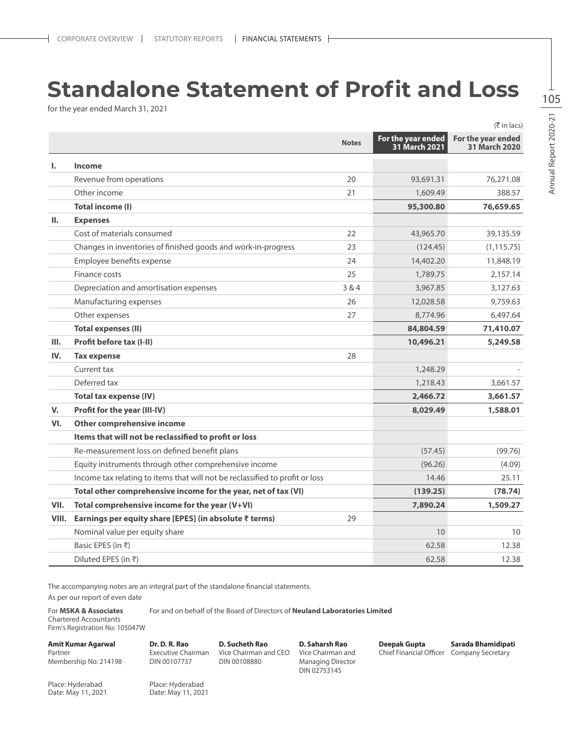# **Standalone Statement of Profit and Loss**

for the year ended March 31, 2021

┥

|       |                                                                              |              |                                     | $(\overline{\zeta}$ in lacs)        |
|-------|------------------------------------------------------------------------------|--------------|-------------------------------------|-------------------------------------|
|       |                                                                              | <b>Notes</b> | For the year ended<br>31 March 2021 | For the year ended<br>31 March 2020 |
| Ι.    | <b>Income</b>                                                                |              |                                     |                                     |
|       | Revenue from operations                                                      | 20           | 93,691.31                           | 76,271.08                           |
|       | Other income                                                                 | 21           | 1,609.49                            | 388.57                              |
|       | <b>Total income (I)</b>                                                      |              | 95,300.80                           | 76,659.65                           |
| Ш.    | <b>Expenses</b>                                                              |              |                                     |                                     |
|       | Cost of materials consumed                                                   | 22           | 43,965.70                           | 39,135.59                           |
|       | Changes in inventories of finished goods and work-in-progress                | 23           | (124.45)                            | (1, 115.75)                         |
|       | Employee benefits expense                                                    | 24           | 14,402.20                           | 11,848.19                           |
|       | Finance costs                                                                | 25           | 1,789.75                            | 2,157.14                            |
|       | Depreciation and amortisation expenses                                       | 384          | 3,967.85                            | 3,127.63                            |
|       | Manufacturing expenses                                                       | 26           | 12,028.58                           | 9,759.63                            |
|       | Other expenses                                                               | 27           | 8,774.96                            | 6,497.64                            |
|       | <b>Total expenses (II)</b>                                                   |              | 84,804.59                           | 71,410.07                           |
| Ш.    | Profit before tax (I-II)                                                     |              | 10,496.21                           | 5,249.58                            |
| IV.   | <b>Tax expense</b>                                                           | 28           |                                     |                                     |
|       | Current tax                                                                  |              | 1,248.29                            |                                     |
|       | Deferred tax                                                                 |              | 1,218.43                            | 3,661.57                            |
|       | <b>Total tax expense (IV)</b>                                                |              | 2,466.72                            | 3,661.57                            |
| V.    | Profit for the year (III-IV)                                                 |              | 8,029.49                            | 1,588.01                            |
| VI.   | Other comprehensive income                                                   |              |                                     |                                     |
|       | Items that will not be reclassified to profit or loss                        |              |                                     |                                     |
|       | Re-measurement loss on defined benefit plans                                 |              | (57.45)                             | (99.76)                             |
|       | Equity instruments through other comprehensive income                        |              | (96.26)                             | (4.09)                              |
|       | Income tax relating to items that will not be reclassified to profit or loss |              | 14.46                               | 25.11                               |
|       | Total other comprehensive income for the year, net of tax (VI)               |              | (139.25)                            | (78.74)                             |
| VII.  | Total comprehensive income for the year (V+VI)                               |              | 7,890.24                            | 1,509.27                            |
| VIII. | Earnings per equity share [EPES] (in absolute ₹ terms)                       | 29           |                                     |                                     |
|       | Nominal value per equity share                                               |              | 10                                  | 10 <sup>°</sup>                     |
|       | Basic EPES (in ₹)                                                            |              | 62.58                               | 12.38                               |
|       | Diluted EPES (in ₹)                                                          |              | 62.58                               | 12.38                               |

The accompanying notes are an integral part of the standalone financial statements.

As per our report of even date

For **MSKA & Associates** For and on behalf of the Board of Directors of **Neuland Laboratories Limited** Chartered Accountants Firm's Registration No: 105047W

Partner Membership No: 214198

Executive Chairman DIN 00107737

Vice Chairman and CEO DIN 00108880

Vice Chairman and Managing Director DIN 02753145

Chief Financial Officer Company Secretary

Amit Kumar Agarwal Dr. D. R. Rao D. Sucheth Rao D. Saharsh Rao Deepak Gupta Sarada Bhamidipati

Place: Hyderabad Place: Hyderabad<br>
Date: May 11, 2021 Date: May 11, 202

Date: May 11, 2021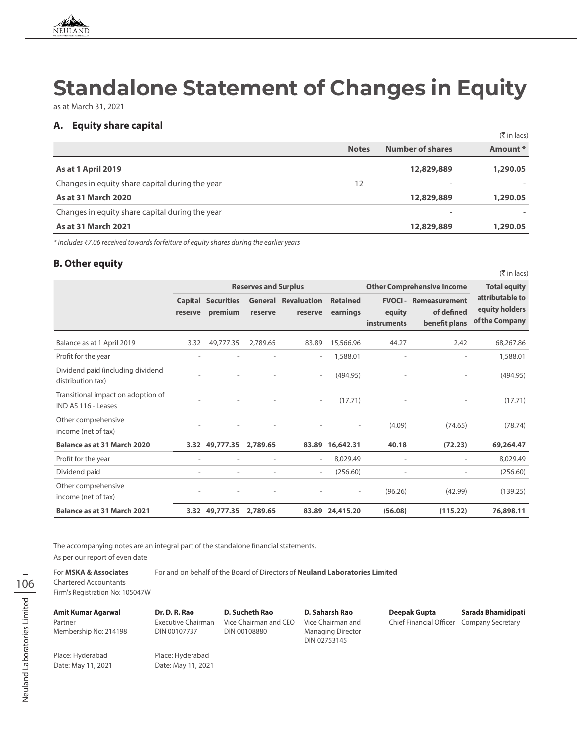# **Standalone Statement of Changes in Equity**

as at March 31, 2021

## **A. Equity share capital**

|                                                 |              |                          | (K in lacs) |
|-------------------------------------------------|--------------|--------------------------|-------------|
|                                                 | <b>Notes</b> | <b>Number of shares</b>  | Amount*     |
| As at 1 April 2019                              |              | 12,829,889               | 1,290.05    |
| Changes in equity share capital during the year | 12           | $\overline{\phantom{a}}$ |             |
| <b>As at 31 March 2020</b>                      |              | 12,829,889               | 1,290.05    |
| Changes in equity share capital during the year |              | $\overline{\phantom{0}}$ |             |
| <b>As at 31 March 2021</b>                      |              | 12,829,889               | 1,290.05    |
|                                                 |              |                          |             |

*\* includes ₹7.06 received towards forfeiture of equity shares during the earlier years*

## **B. Other equity**

|                                                           | <b>Reserves and Surplus</b><br><b>Other Comprehensive Income</b> |                                      |                          | <b>Total equity</b>                   |                             |                                        |                                              |                                                     |
|-----------------------------------------------------------|------------------------------------------------------------------|--------------------------------------|--------------------------|---------------------------------------|-----------------------------|----------------------------------------|----------------------------------------------|-----------------------------------------------------|
|                                                           | reserve                                                          | <b>Capital Securities</b><br>premium | reserve                  | <b>General Revaluation</b><br>reserve | <b>Retained</b><br>earnings | <b>FVOCI-</b><br>equity<br>instruments | Remeasurement<br>of defined<br>benefit plans | attributable to<br>equity holders<br>of the Company |
| Balance as at 1 April 2019                                | 3.32                                                             | 49,777.35                            | 2,789.65                 | 83.89                                 | 15,566.96                   | 44.27                                  | 2.42                                         | 68,267.86                                           |
| Profit for the year                                       | $\overline{\phantom{a}}$                                         |                                      |                          |                                       | 1,588.01                    | $\overline{\phantom{a}}$               | $\overline{\phantom{0}}$                     | 1,588.01                                            |
| Dividend paid (including dividend<br>distribution tax)    |                                                                  |                                      |                          | ٠                                     | (494.95)                    | $\overline{\phantom{a}}$               |                                              | (494.95)                                            |
| Transitional impact on adoption of<br>IND AS 116 - Leases |                                                                  | $\overline{\phantom{a}}$             | $\overline{\phantom{a}}$ | $\overline{\phantom{a}}$              | (17.71)                     | $\overline{\phantom{0}}$               | $\overline{\phantom{a}}$                     | (17.71)                                             |
| Other comprehensive<br>income (net of tax)                |                                                                  |                                      |                          |                                       |                             | (4.09)                                 | (74.65)                                      | (78.74)                                             |
| Balance as at 31 March 2020                               |                                                                  | 3.32 49,777.35 2,789.65              |                          | 83.89                                 | 16,642.31                   | 40.18                                  | (72.23)                                      | 69,264.47                                           |
| Profit for the year                                       |                                                                  |                                      |                          |                                       | 8,029.49                    | $\overline{\phantom{a}}$               | $\overline{\phantom{a}}$                     | 8,029.49                                            |
| Dividend paid                                             |                                                                  | $\sim$                               |                          | $\overline{\phantom{a}}$              | (256.60)                    | $\overline{\phantom{a}}$               |                                              | (256.60)                                            |
| Other comprehensive<br>income (net of tax)                |                                                                  |                                      |                          |                                       | $\overline{\phantom{m}}$    | (96.26)                                | (42.99)                                      | (139.25)                                            |
| <b>Balance as at 31 March 2021</b>                        |                                                                  | 3.32 49,777.35 2,789.65              |                          |                                       | 83.89 24.415.20             | (56.08)                                | (115.22)                                     | 76,898.11                                           |

The accompanying notes are an integral part of the standalone financial statements.

As per our report of even date

For **MSKA & Associates** For and on behalf of the Board of Directors of **Neuland Laboratories Limited**

Chartered Accountants

| Firm's Registration No: 105047W |  |  |
|---------------------------------|--|--|
|                                 |  |  |

Date: May 11, 2021 Date: May 11, 2021

| Amit Kumar Agarwal<br>Partner<br>Membership No: 214198 | Dr. D. R. Rao<br>Executive Chairman<br>DIN 00107737 | D. Sucheth Rao<br>Vice Chairman and CEO<br>DIN 00108880 | D. Saharsh Rao<br>Vice Chairman and<br><b>Managing Director</b><br>DIN 02753145 | Deepak Gupta<br>Chief Financial Officer Company Secretary | Sarada Bhamidipati |
|--------------------------------------------------------|-----------------------------------------------------|---------------------------------------------------------|---------------------------------------------------------------------------------|-----------------------------------------------------------|--------------------|
| Place: Hyderabad                                       | Place: Hyderabad                                    |                                                         |                                                                                 |                                                           |                    |

106<br>Neuland Laboratories Limited Neuland Laboratories Limited

 $(\overline{\mathfrak{k}}$  in lacs)

 $\overline{a}$  in lacks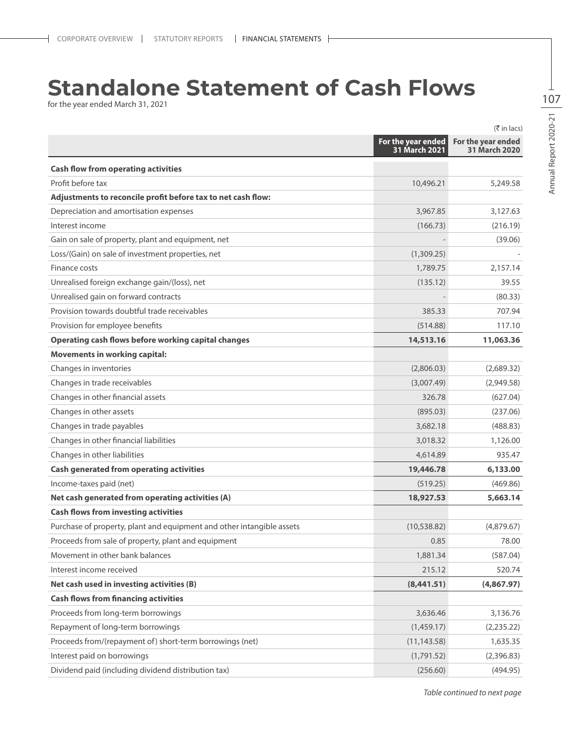# **Standalone Statement of Cash Flows**

for the year ended March 31, 2021

|                                                                       |                                     | $(\overline{\mathfrak{k}})$ in lacs) |
|-----------------------------------------------------------------------|-------------------------------------|--------------------------------------|
|                                                                       | For the year ended<br>31 March 2021 | For the year ended<br>31 March 2020  |
| <b>Cash flow from operating activities</b>                            |                                     |                                      |
| Profit before tax                                                     | 10,496.21                           | 5,249.58                             |
| Adjustments to reconcile profit before tax to net cash flow:          |                                     |                                      |
| Depreciation and amortisation expenses                                | 3,967.85                            | 3,127.63                             |
| Interest income                                                       | (166.73)                            | (216.19)                             |
| Gain on sale of property, plant and equipment, net                    |                                     | (39.06)                              |
| Loss/(Gain) on sale of investment properties, net                     | (1,309.25)                          |                                      |
| Finance costs                                                         | 1,789.75                            | 2,157.14                             |
| Unrealised foreign exchange gain/(loss), net                          | (135.12)                            | 39.55                                |
| Unrealised gain on forward contracts                                  |                                     | (80.33)                              |
| Provision towards doubtful trade receivables                          | 385.33                              | 707.94                               |
| Provision for employee benefits                                       | (514.88)                            | 117.10                               |
| Operating cash flows before working capital changes                   | 14,513.16                           | 11,063.36                            |
| <b>Movements in working capital:</b>                                  |                                     |                                      |
| Changes in inventories                                                | (2,806.03)                          | (2,689.32)                           |
| Changes in trade receivables                                          | (3,007.49)                          | (2,949.58)                           |
| Changes in other financial assets                                     | 326.78                              | (627.04)                             |
| Changes in other assets                                               | (895.03)                            | (237.06)                             |
| Changes in trade payables                                             | 3,682.18                            | (488.83)                             |
| Changes in other financial liabilities                                | 3,018.32                            | 1,126.00                             |
| Changes in other liabilities                                          | 4,614.89                            | 935.47                               |
| <b>Cash generated from operating activities</b>                       | 19,446.78                           | 6,133.00                             |
| Income-taxes paid (net)                                               | (519.25)                            | (469.86)                             |
| Net cash generated from operating activities (A)                      | 18,927.53                           | 5,663.14                             |
| <b>Cash flows from investing activities</b>                           |                                     |                                      |
| Purchase of property, plant and equipment and other intangible assets | (10, 538.82)                        | (4,879.67)                           |
| Proceeds from sale of property, plant and equipment                   | 0.85                                | 78.00                                |
| Movement in other bank balances                                       | 1,881.34                            | (587.04)                             |
| Interest income received                                              | 215.12                              | 520.74                               |
| Net cash used in investing activities (B)                             | (8,441.51)                          | (4,867.97)                           |
| <b>Cash flows from financing activities</b>                           |                                     |                                      |
| Proceeds from long-term borrowings                                    | 3,636.46                            | 3,136.76                             |
| Repayment of long-term borrowings                                     | (1,459.17)                          | (2,235.22)                           |
| Proceeds from/(repayment of) short-term borrowings (net)              | (11, 143.58)                        | 1,635.35                             |
| Interest paid on borrowings                                           | (1,791.52)                          | (2,396.83)                           |
| Dividend paid (including dividend distribution tax)                   | (256.60)                            | (494.95)                             |

*Table continued to next page*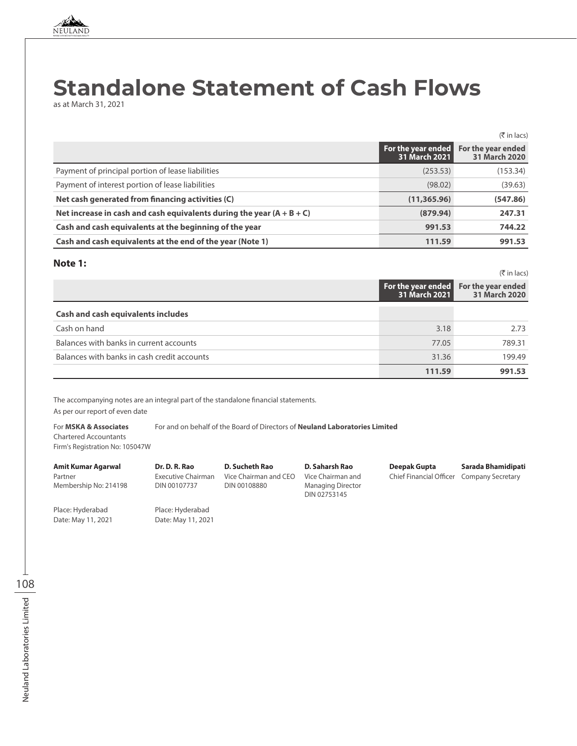# **Standalone Statement of Cash Flows**

as at March 31, 2021

NEULAND

|                                                                         |                                     | $(\overline{\mathfrak{k}})$ in lacs) |
|-------------------------------------------------------------------------|-------------------------------------|--------------------------------------|
|                                                                         | For the year ended<br>31 March 2021 | For the year ended<br>31 March 2020  |
| Payment of principal portion of lease liabilities                       | (253.53)                            | (153.34)                             |
| Payment of interest portion of lease liabilities                        | (98.02)                             | (39.63)                              |
| Net cash generated from financing activities (C)                        | (11, 365.96)                        | (547.86)                             |
| Net increase in cash and cash equivalents during the year $(A + B + C)$ | (879.94)                            | 247.31                               |
| Cash and cash equivalents at the beginning of the year                  | 991.53                              | 744.22                               |
| Cash and cash equivalents at the end of the year (Note 1)               | 111.59                              | 991.53                               |

## **Note 1:**

|                                             |                                     | (₹ in lacs)                         |
|---------------------------------------------|-------------------------------------|-------------------------------------|
|                                             | For the year ended<br>31 March 2021 | For the year ended<br>31 March 2020 |
| <b>Cash and cash equivalents includes</b>   |                                     |                                     |
| Cash on hand                                | 3.18                                | 2.73                                |
| Balances with banks in current accounts     | 77.05                               | 789.31                              |
| Balances with banks in cash credit accounts | 31.36                               | 199.49                              |
|                                             | 111.59                              | 991.53                              |

The accompanying notes are an integral part of the standalone financial statements. As per our report of even date

For **MSKA & Associates** For and on behalf of the Board of Directors of **Neuland Laboratories Limited** Chartered Accountants Firm's Registration No: 105047W

Partner Membership No: 214198

Date: May 11, 2021 Date: May 11, 2021

Place: Hyderabad Place: Hyderabad

Executive Chairman DIN 00107737

**Amit Kumar Agarwal Dr. D. R. Rao D. Sucheth Rao D. Saharsh Rao Deepak Gupta Sarada Bhamidipati**  Vice Chairman and CEO DIN 00108880

Vice Chairman and Managing Director DIN 02753145

Chief Financial Officer Company Secretary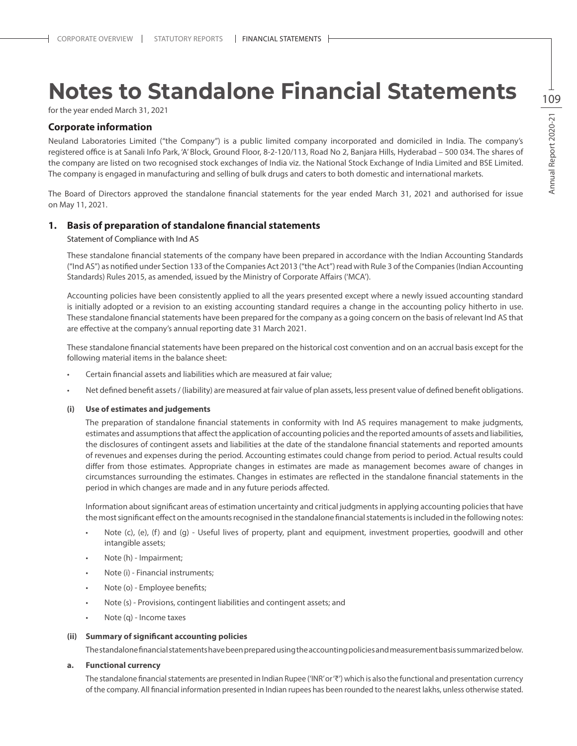for the year ended March 31, 2021

## **Corporate information**

Neuland Laboratories Limited ("the Company") is a public limited company incorporated and domiciled in India. The company's registered office is at Sanali Info Park, 'A' Block, Ground Floor, 8-2-120/113, Road No 2, Banjara Hills, Hyderabad – 500 034. The shares of the company are listed on two recognised stock exchanges of India viz. the National Stock Exchange of India Limited and BSE Limited. The company is engaged in manufacturing and selling of bulk drugs and caters to both domestic and international markets.

The Board of Directors approved the standalone financial statements for the year ended March 31, 2021 and authorised for issue on May 11, 2021.

## **1. Basis of preparation of standalone financial statements**

### Statement of Compliance with Ind AS

These standalone financial statements of the company have been prepared in accordance with the Indian Accounting Standards ("Ind AS") as notified under Section 133 of the Companies Act 2013 ("the Act") read with Rule 3 of the Companies (Indian Accounting Standards) Rules 2015, as amended, issued by the Ministry of Corporate Affairs ('MCA').

Accounting policies have been consistently applied to all the years presented except where a newly issued accounting standard is initially adopted or a revision to an existing accounting standard requires a change in the accounting policy hitherto in use. These standalone financial statements have been prepared for the company as a going concern on the basis of relevant Ind AS that are effective at the company's annual reporting date 31 March 2021.

These standalone financial statements have been prepared on the historical cost convention and on an accrual basis except for the following material items in the balance sheet:

- Certain financial assets and liabilities which are measured at fair value;
- Net defined benefit assets / (liability) are measured at fair value of plan assets, less present value of defined benefit obligations.

## **(i) Use of estimates and judgements**

 The preparation of standalone financial statements in conformity with Ind AS requires management to make judgments, estimates and assumptions that affect the application of accounting policies and the reported amounts of assets and liabilities, the disclosures of contingent assets and liabilities at the date of the standalone financial statements and reported amounts of revenues and expenses during the period. Accounting estimates could change from period to period. Actual results could differ from those estimates. Appropriate changes in estimates are made as management becomes aware of changes in circumstances surrounding the estimates. Changes in estimates are reflected in the standalone financial statements in the period in which changes are made and in any future periods affected.

 Information about significant areas of estimation uncertainty and critical judgments in applying accounting policies that have the most significant effect on the amounts recognised in the standalone financial statements is included in the following notes:

- Note (c), (e), (f) and (g) Useful lives of property, plant and equipment, investment properties, goodwill and other intangible assets;
- Note (h) Impairment;
- Note (i) Financial instruments;
- Note (o) Employee benefits;
- Note (s) Provisions, contingent liabilities and contingent assets; and
- Note (q) Income taxes

### **(ii) Summary of significant accounting policies**

The standalone financial statements have been prepared using the accounting policies and measurement basis summarized below.

**a. Functional currency**

The standalone financial statements are presented in Indian Rupee ('INR' or '₹') which is also the functional and presentation currency of the company. All financial information presented in Indian rupees has been rounded to the nearest lakhs, unless otherwise stated.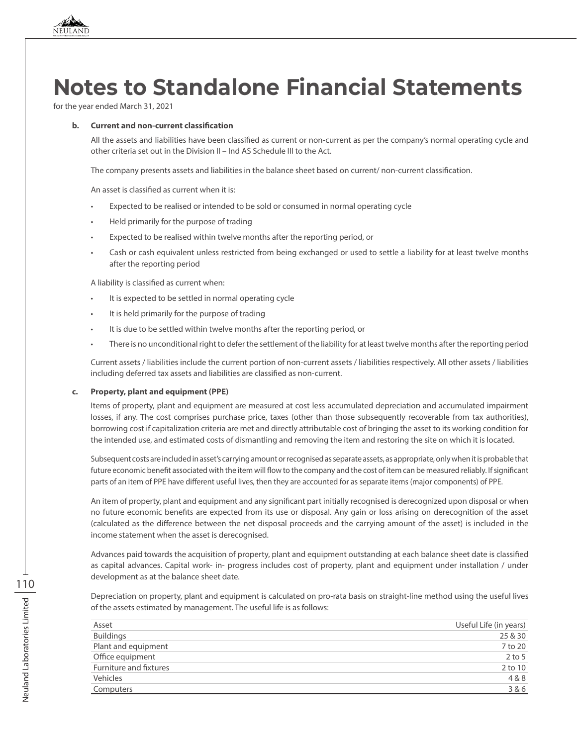

for the year ended March 31, 2021

## **b. Current and non-current classification**

 All the assets and liabilities have been classified as current or non-current as per the company's normal operating cycle and other criteria set out in the Division II – Ind AS Schedule III to the Act.

The company presents assets and liabilities in the balance sheet based on current/ non-current classification.

An asset is classified as current when it is:

- Expected to be realised or intended to be sold or consumed in normal operating cycle
- Held primarily for the purpose of trading
- Expected to be realised within twelve months after the reporting period, or
- Cash or cash equivalent unless restricted from being exchanged or used to settle a liability for at least twelve months after the reporting period

A liability is classified as current when:

- It is expected to be settled in normal operating cycle
- It is held primarily for the purpose of trading
- It is due to be settled within twelve months after the reporting period, or
- There is no unconditional right to defer the settlement of the liability for at least twelve months after the reporting period

 Current assets / liabilities include the current portion of non-current assets / liabilities respectively. All other assets / liabilities including deferred tax assets and liabilities are classified as non-current.

### **c. Property, plant and equipment (PPE)**

 Items of property, plant and equipment are measured at cost less accumulated depreciation and accumulated impairment losses, if any. The cost comprises purchase price, taxes (other than those subsequently recoverable from tax authorities), borrowing cost if capitalization criteria are met and directly attributable cost of bringing the asset to its working condition for the intended use, and estimated costs of dismantling and removing the item and restoring the site on which it is located.

 Subsequent costs are included in asset's carrying amount or recognised as separate assets, as appropriate, only when it is probable that future economic benefit associated with the item will flow to the company and the cost of item can be measured reliably. If significant parts of an item of PPE have different useful lives, then they are accounted for as separate items (major components) of PPE.

 An item of property, plant and equipment and any significant part initially recognised is derecognized upon disposal or when no future economic benefits are expected from its use or disposal. Any gain or loss arising on derecognition of the asset (calculated as the difference between the net disposal proceeds and the carrying amount of the asset) is included in the income statement when the asset is derecognised.

 Advances paid towards the acquisition of property, plant and equipment outstanding at each balance sheet date is classified as capital advances. Capital work- in- progress includes cost of property, plant and equipment under installation / under development as at the balance sheet date.

 Depreciation on property, plant and equipment is calculated on pro-rata basis on straight-line method using the useful lives of the assets estimated by management. The useful life is as follows:

| Asset                  | Useful Life (in years) |
|------------------------|------------------------|
| <b>Buildings</b>       | 25 & 30                |
| Plant and equipment    | 7 to 20                |
| Office equipment       | $2$ to 5               |
| Furniture and fixtures | 2 to 10                |
| Vehicles               | 4 & 8                  |
| Computers              | 3 & 6                  |
|                        |                        |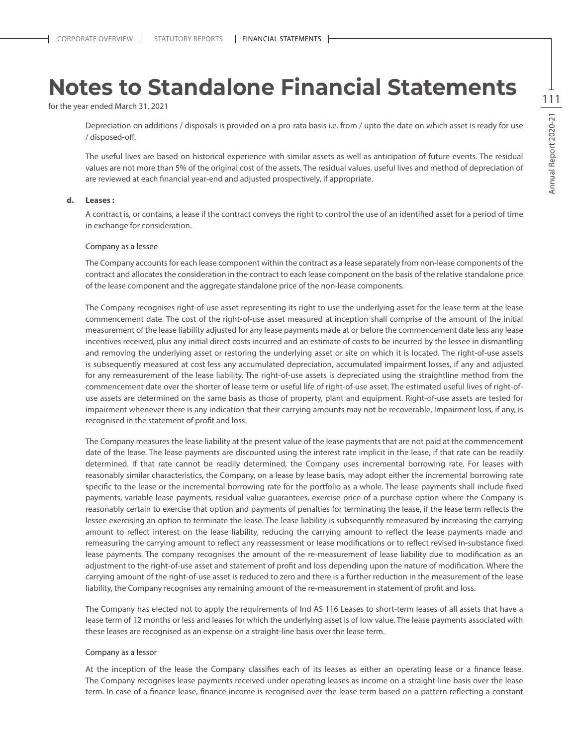for the year ended March 31, 2021

 Depreciation on additions / disposals is provided on a pro-rata basis i.e. from / upto the date on which asset is ready for use / disposed-off.

 The useful lives are based on historical experience with similar assets as well as anticipation of future events. The residual values are not more than 5% of the original cost of the assets. The residual values, useful lives and method of depreciation of are reviewed at each financial year-end and adjusted prospectively, if appropriate.

#### **d. Leases :**

 A contract is, or contains, a lease if the contract conveys the right to control the use of an identified asset for a period of time in exchange for consideration.

#### Company as a lessee

 The Company accounts for each lease component within the contract as a lease separately from non-lease components of the contract and allocates the consideration in the contract to each lease component on the basis of the relative standalone price of the lease component and the aggregate standalone price of the non-lease components.

 The Company recognises right-of-use asset representing its right to use the underlying asset for the lease term at the lease commencement date. The cost of the right-of-use asset measured at inception shall comprise of the amount of the initial measurement of the lease liability adjusted for any lease payments made at or before the commencement date less any lease incentives received, plus any initial direct costs incurred and an estimate of costs to be incurred by the lessee in dismantling and removing the underlying asset or restoring the underlying asset or site on which it is located. The right-of-use assets is subsequently measured at cost less any accumulated depreciation, accumulated impairment losses, if any and adjusted for any remeasurement of the lease liability. The right-of-use assets is depreciated using the straightline method from the commencement date over the shorter of lease term or useful life of right-of-use asset. The estimated useful lives of right-ofuse assets are determined on the same basis as those of property, plant and equipment. Right-of-use assets are tested for impairment whenever there is any indication that their carrying amounts may not be recoverable. Impairment loss, if any, is recognised in the statement of profit and loss.

 The Company measures the lease liability at the present value of the lease payments that are not paid at the commencement date of the lease. The lease payments are discounted using the interest rate implicit in the lease, if that rate can be readily determined. If that rate cannot be readily determined, the Company uses incremental borrowing rate. For leases with reasonably similar characteristics, the Company, on a lease by lease basis, may adopt either the incremental borrowing rate specific to the lease or the incremental borrowing rate for the portfolio as a whole. The lease payments shall include fixed payments, variable lease payments, residual value guarantees, exercise price of a purchase option where the Company is reasonably certain to exercise that option and payments of penalties for terminating the lease, if the lease term reflects the lessee exercising an option to terminate the lease. The lease liability is subsequently remeasured by increasing the carrying amount to reflect interest on the lease liability, reducing the carrying amount to reflect the lease payments made and remeasuring the carrying amount to reflect any reassessment or lease modifications or to reflect revised in-substance fixed lease payments. The company recognises the amount of the re-measurement of lease liability due to modification as an adjustment to the right-of-use asset and statement of profit and loss depending upon the nature of modification. Where the carrying amount of the right-of-use asset is reduced to zero and there is a further reduction in the measurement of the lease liability, the Company recognises any remaining amount of the re-measurement in statement of profit and loss.

 The Company has elected not to apply the requirements of Ind AS 116 Leases to short-term leases of all assets that have a lease term of 12 months or less and leases for which the underlying asset is of low value. The lease payments associated with these leases are recognised as an expense on a straight-line basis over the lease term.

#### Company as a lessor

 At the inception of the lease the Company classifies each of its leases as either an operating lease or a finance lease. The Company recognises lease payments received under operating leases as income on a straight-line basis over the lease term. In case of a finance lease, finance income is recognised over the lease term based on a pattern reflecting a constant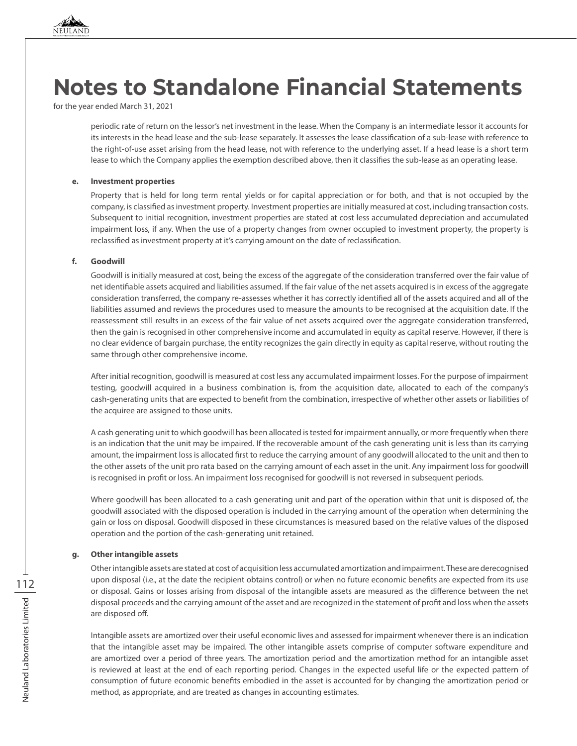

for the year ended March 31, 2021

periodic rate of return on the lessor's net investment in the lease. When the Company is an intermediate lessor it accounts for its interests in the head lease and the sub-lease separately. It assesses the lease classification of a sub-lease with reference to the right-of-use asset arising from the head lease, not with reference to the underlying asset. If a head lease is a short term lease to which the Company applies the exemption described above, then it classifies the sub-lease as an operating lease.

### **e. Investment properties**

 Property that is held for long term rental yields or for capital appreciation or for both, and that is not occupied by the company, is classified as investment property. Investment properties are initially measured at cost, including transaction costs. Subsequent to initial recognition, investment properties are stated at cost less accumulated depreciation and accumulated impairment loss, if any. When the use of a property changes from owner occupied to investment property, the property is reclassified as investment property at it's carrying amount on the date of reclassification.

#### **f. Goodwill**

 Goodwill is initially measured at cost, being the excess of the aggregate of the consideration transferred over the fair value of net identifiable assets acquired and liabilities assumed. If the fair value of the net assets acquired is in excess of the aggregate consideration transferred, the company re-assesses whether it has correctly identified all of the assets acquired and all of the liabilities assumed and reviews the procedures used to measure the amounts to be recognised at the acquisition date. If the reassessment still results in an excess of the fair value of net assets acquired over the aggregate consideration transferred, then the gain is recognised in other comprehensive income and accumulated in equity as capital reserve. However, if there is no clear evidence of bargain purchase, the entity recognizes the gain directly in equity as capital reserve, without routing the same through other comprehensive income.

 After initial recognition, goodwill is measured at cost less any accumulated impairment losses. For the purpose of impairment testing, goodwill acquired in a business combination is, from the acquisition date, allocated to each of the company's cash-generating units that are expected to benefit from the combination, irrespective of whether other assets or liabilities of the acquiree are assigned to those units.

 A cash generating unit to which goodwill has been allocated is tested for impairment annually, or more frequently when there is an indication that the unit may be impaired. If the recoverable amount of the cash generating unit is less than its carrying amount, the impairment loss is allocated first to reduce the carrying amount of any goodwill allocated to the unit and then to the other assets of the unit pro rata based on the carrying amount of each asset in the unit. Any impairment loss for goodwill is recognised in profit or loss. An impairment loss recognised for goodwill is not reversed in subsequent periods.

 Where goodwill has been allocated to a cash generating unit and part of the operation within that unit is disposed of, the goodwill associated with the disposed operation is included in the carrying amount of the operation when determining the gain or loss on disposal. Goodwill disposed in these circumstances is measured based on the relative values of the disposed operation and the portion of the cash-generating unit retained.

## **g. Other intangible assets**

 Other intangible assets are stated at cost of acquisition less accumulated amortization and impairment. These are derecognised upon disposal (i.e., at the date the recipient obtains control) or when no future economic benefits are expected from its use or disposal. Gains or losses arising from disposal of the intangible assets are measured as the difference between the net disposal proceeds and the carrying amount of the asset and are recognized in the statement of profit and loss when the assets are disposed off.

 Intangible assets are amortized over their useful economic lives and assessed for impairment whenever there is an indication that the intangible asset may be impaired. The other intangible assets comprise of computer software expenditure and are amortized over a period of three years. The amortization period and the amortization method for an intangible asset is reviewed at least at the end of each reporting period. Changes in the expected useful life or the expected pattern of consumption of future economic benefits embodied in the asset is accounted for by changing the amortization period or method, as appropriate, and are treated as changes in accounting estimates.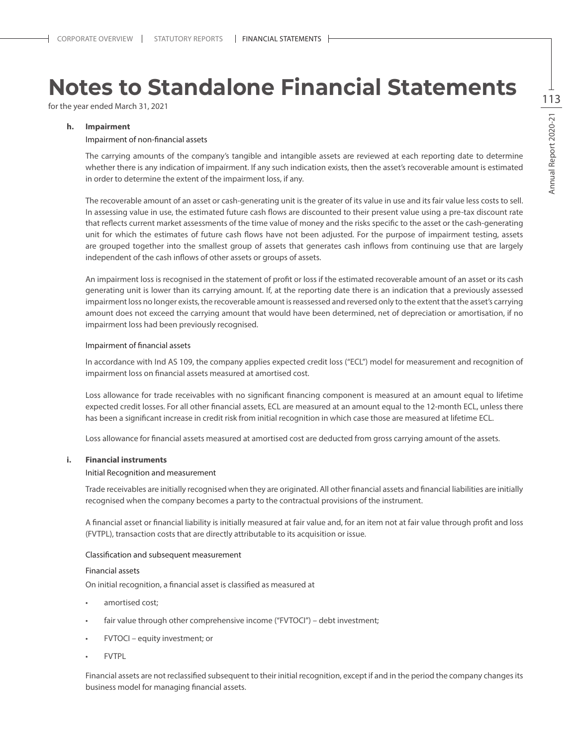for the year ended March 31, 2021

#### **h. Impairment**

### Impairment of non-financial assets

 The carrying amounts of the company's tangible and intangible assets are reviewed at each reporting date to determine whether there is any indication of impairment. If any such indication exists, then the asset's recoverable amount is estimated in order to determine the extent of the impairment loss, if any.

 The recoverable amount of an asset or cash-generating unit is the greater of its value in use and its fair value less costs to sell. In assessing value in use, the estimated future cash flows are discounted to their present value using a pre-tax discount rate that reflects current market assessments of the time value of money and the risks specific to the asset or the cash-generating unit for which the estimates of future cash flows have not been adjusted. For the purpose of impairment testing, assets are grouped together into the smallest group of assets that generates cash inflows from continuing use that are largely independent of the cash inflows of other assets or groups of assets.

 An impairment loss is recognised in the statement of profit or loss if the estimated recoverable amount of an asset or its cash generating unit is lower than its carrying amount. If, at the reporting date there is an indication that a previously assessed impairment loss no longer exists, the recoverable amount is reassessed and reversed only to the extent that the asset's carrying amount does not exceed the carrying amount that would have been determined, net of depreciation or amortisation, if no impairment loss had been previously recognised.

#### Impairment of financial assets

 In accordance with Ind AS 109, the company applies expected credit loss ("ECL") model for measurement and recognition of impairment loss on financial assets measured at amortised cost.

 Loss allowance for trade receivables with no significant financing component is measured at an amount equal to lifetime expected credit losses. For all other financial assets, ECL are measured at an amount equal to the 12-month ECL, unless there has been a significant increase in credit risk from initial recognition in which case those are measured at lifetime ECL.

Loss allowance for financial assets measured at amortised cost are deducted from gross carrying amount of the assets.

#### **i. Financial instruments**

#### Initial Recognition and measurement

 Trade receivables are initially recognised when they are originated. All other financial assets and financial liabilities are initially recognised when the company becomes a party to the contractual provisions of the instrument.

 A financial asset or financial liability is initially measured at fair value and, for an item not at fair value through profit and loss (FVTPL), transaction costs that are directly attributable to its acquisition or issue.

### Classification and subsequent measurement

#### Financial assets

On initial recognition, a financial asset is classified as measured at

- amortised cost;
- fair value through other comprehensive income ("FVTOCI") debt investment;
- FVTOCI equity investment; or
- **FVTPL**

 Financial assets are not reclassified subsequent to their initial recognition, except if and in the period the company changes its business model for managing financial assets.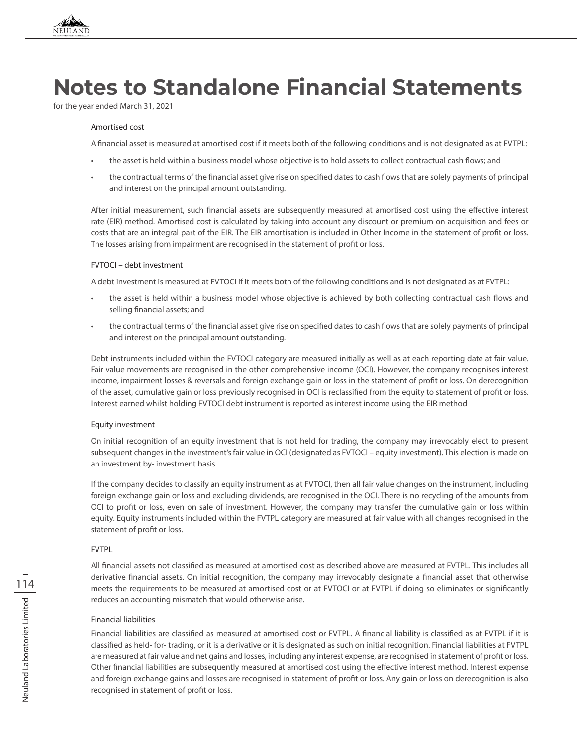

for the year ended March 31, 2021

### Amortised cost

A financial asset is measured at amortised cost if it meets both of the following conditions and is not designated as at FVTPL:

- the asset is held within a business model whose objective is to hold assets to collect contractual cash flows; and
- the contractual terms of the financial asset give rise on specified dates to cash flows that are solely payments of principal and interest on the principal amount outstanding.

 After initial measurement, such financial assets are subsequently measured at amortised cost using the effective interest rate (EIR) method. Amortised cost is calculated by taking into account any discount or premium on acquisition and fees or costs that are an integral part of the EIR. The EIR amortisation is included in Other Income in the statement of profit or loss. The losses arising from impairment are recognised in the statement of profit or loss.

### FVTOCI – debt investment

A debt investment is measured at FVTOCI if it meets both of the following conditions and is not designated as at FVTPL:

- the asset is held within a business model whose objective is achieved by both collecting contractual cash flows and selling financial assets; and
- the contractual terms of the financial asset give rise on specified dates to cash flows that are solely payments of principal and interest on the principal amount outstanding.

 Debt instruments included within the FVTOCI category are measured initially as well as at each reporting date at fair value. Fair value movements are recognised in the other comprehensive income (OCI). However, the company recognises interest income, impairment losses & reversals and foreign exchange gain or loss in the statement of profit or loss. On derecognition of the asset, cumulative gain or loss previously recognised in OCI is reclassified from the equity to statement of profit or loss. Interest earned whilst holding FVTOCI debt instrument is reported as interest income using the EIR method

#### Equity investment

 On initial recognition of an equity investment that is not held for trading, the company may irrevocably elect to present subsequent changes in the investment's fair value in OCI (designated as FVTOCI – equity investment). This election is made on an investment by- investment basis.

 If the company decides to classify an equity instrument as at FVTOCI, then all fair value changes on the instrument, including foreign exchange gain or loss and excluding dividends, are recognised in the OCI. There is no recycling of the amounts from OCI to profit or loss, even on sale of investment. However, the company may transfer the cumulative gain or loss within equity. Equity instruments included within the FVTPL category are measured at fair value with all changes recognised in the statement of profit or loss.

## FVTPL

 All financial assets not classified as measured at amortised cost as described above are measured at FVTPL. This includes all derivative financial assets. On initial recognition, the company may irrevocably designate a financial asset that otherwise meets the requirements to be measured at amortised cost or at FVTOCI or at FVTPL if doing so eliminates or significantly reduces an accounting mismatch that would otherwise arise.

### Financial liabilities

 Financial liabilities are classified as measured at amortised cost or FVTPL. A financial liability is classified as at FVTPL if it is classified as held- for- trading, or it is a derivative or it is designated as such on initial recognition. Financial liabilities at FVTPL are measured at fair value and net gains and losses, including any interest expense, are recognised in statement of profit or loss. Other financial liabilities are subsequently measured at amortised cost using the effective interest method. Interest expense and foreign exchange gains and losses are recognised in statement of profit or loss. Any gain or loss on derecognition is also recognised in statement of profit or loss.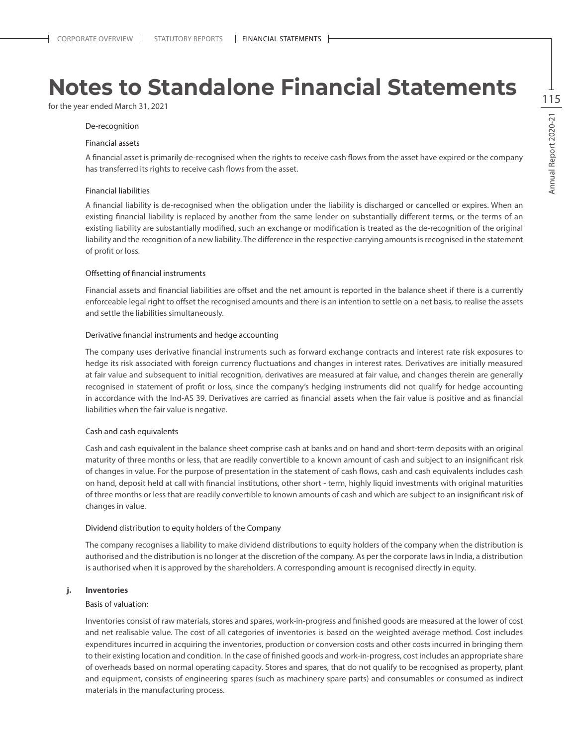for the year ended March 31, 2021

#### De-recognition

#### Financial assets

 A financial asset is primarily de-recognised when the rights to receive cash flows from the asset have expired or the company has transferred its rights to receive cash flows from the asset.

#### Financial liabilities

 A financial liability is de-recognised when the obligation under the liability is discharged or cancelled or expires. When an existing financial liability is replaced by another from the same lender on substantially different terms, or the terms of an existing liability are substantially modified, such an exchange or modification is treated as the de-recognition of the original liability and the recognition of a new liability. The difference in the respective carrying amounts is recognised in the statement of profit or loss.

### Offsetting of financial instruments

 Financial assets and financial liabilities are offset and the net amount is reported in the balance sheet if there is a currently enforceable legal right to offset the recognised amounts and there is an intention to settle on a net basis, to realise the assets and settle the liabilities simultaneously.

### Derivative financial instruments and hedge accounting

 The company uses derivative financial instruments such as forward exchange contracts and interest rate risk exposures to hedge its risk associated with foreign currency fluctuations and changes in interest rates. Derivatives are initially measured at fair value and subsequent to initial recognition, derivatives are measured at fair value, and changes therein are generally recognised in statement of profit or loss, since the company's hedging instruments did not qualify for hedge accounting in accordance with the Ind-AS 39. Derivatives are carried as financial assets when the fair value is positive and as financial liabilities when the fair value is negative.

#### Cash and cash equivalents

 Cash and cash equivalent in the balance sheet comprise cash at banks and on hand and short-term deposits with an original maturity of three months or less, that are readily convertible to a known amount of cash and subject to an insignificant risk of changes in value. For the purpose of presentation in the statement of cash flows, cash and cash equivalents includes cash on hand, deposit held at call with financial institutions, other short - term, highly liquid investments with original maturities of three months or less that are readily convertible to known amounts of cash and which are subject to an insignificant risk of changes in value.

### Dividend distribution to equity holders of the Company

 The company recognises a liability to make dividend distributions to equity holders of the company when the distribution is authorised and the distribution is no longer at the discretion of the company. As per the corporate laws in India, a distribution is authorised when it is approved by the shareholders. A corresponding amount is recognised directly in equity.

#### **j. Inventories**

### Basis of valuation:

 Inventories consist of raw materials, stores and spares, work-in-progress and finished goods are measured at the lower of cost and net realisable value. The cost of all categories of inventories is based on the weighted average method. Cost includes expenditures incurred in acquiring the inventories, production or conversion costs and other costs incurred in bringing them to their existing location and condition. In the case of finished goods and work-in-progress, cost includes an appropriate share of overheads based on normal operating capacity. Stores and spares, that do not qualify to be recognised as property, plant and equipment, consists of engineering spares (such as machinery spare parts) and consumables or consumed as indirect materials in the manufacturing process.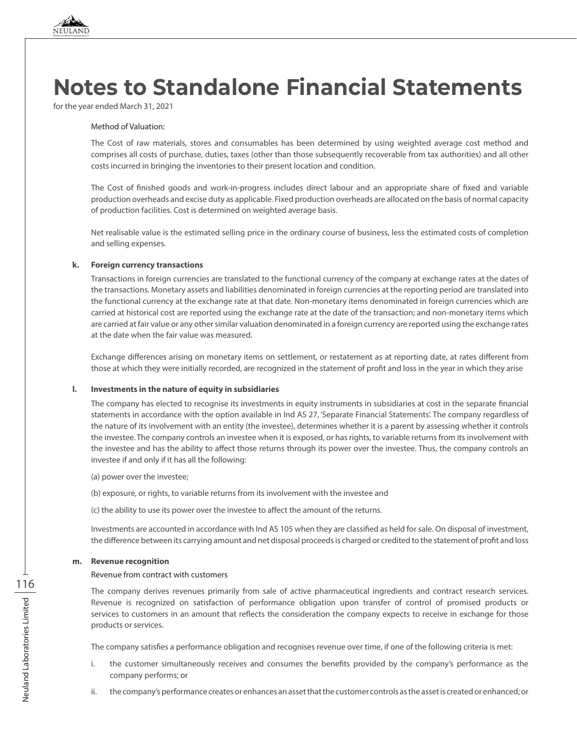

for the year ended March 31, 2021

### Method of Valuation:

 The Cost of raw materials, stores and consumables has been determined by using weighted average cost method and comprises all costs of purchase, duties, taxes (other than those subsequently recoverable from tax authorities) and all other costs incurred in bringing the inventories to their present location and condition.

 The Cost of finished goods and work-in-progress includes direct labour and an appropriate share of fixed and variable production overheads and excise duty as applicable. Fixed production overheads are allocated on the basis of normal capacity of production facilities. Cost is determined on weighted average basis.

 Net realisable value is the estimated selling price in the ordinary course of business, less the estimated costs of completion and selling expenses.

### **k. Foreign currency transactions**

 Transactions in foreign currencies are translated to the functional currency of the company at exchange rates at the dates of the transactions. Monetary assets and liabilities denominated in foreign currencies at the reporting period are translated into the functional currency at the exchange rate at that date. Non-monetary items denominated in foreign currencies which are carried at historical cost are reported using the exchange rate at the date of the transaction; and non-monetary items which are carried at fair value or any other similar valuation denominated in a foreign currency are reported using the exchange rates at the date when the fair value was measured.

 Exchange differences arising on monetary items on settlement, or restatement as at reporting date, at rates different from those at which they were initially recorded, are recognized in the statement of profit and loss in the year in which they arise

## **l. Investments in the nature of equity in subsidiaries**

 The company has elected to recognise its investments in equity instruments in subsidiaries at cost in the separate financial statements in accordance with the option available in Ind AS 27, 'Separate Financial Statements'. The company regardless of the nature of its involvement with an entity (the investee), determines whether it is a parent by assessing whether it controls the investee. The company controls an investee when it is exposed, or has rights, to variable returns from its involvement with the investee and has the ability to affect those returns through its power over the investee. Thus, the company controls an investee if and only if it has all the following:

- (a) power over the investee;
- (b) exposure, or rights, to variable returns from its involvement with the investee and
- (c) the ability to use its power over the investee to affect the amount of the returns.

 Investments are accounted in accordance with Ind AS 105 when they are classified as held for sale. On disposal of investment, the difference between its carrying amount and net disposal proceeds is charged or credited to the statement of profit and loss

#### **m. Revenue recognition**

#### Revenue from contract with customers

 The company derives revenues primarily from sale of active pharmaceutical ingredients and contract research services. Revenue is recognized on satisfaction of performance obligation upon transfer of control of promised products or services to customers in an amount that reflects the consideration the company expects to receive in exchange for those products or services.

The company satisfies a performance obligation and recognises revenue over time, if one of the following criteria is met:

- i. the customer simultaneously receives and consumes the benefits provided by the company's performance as the company performs; or
- ii. the company's performance creates or enhances an asset that the customer controls as the asset is created or enhanced; or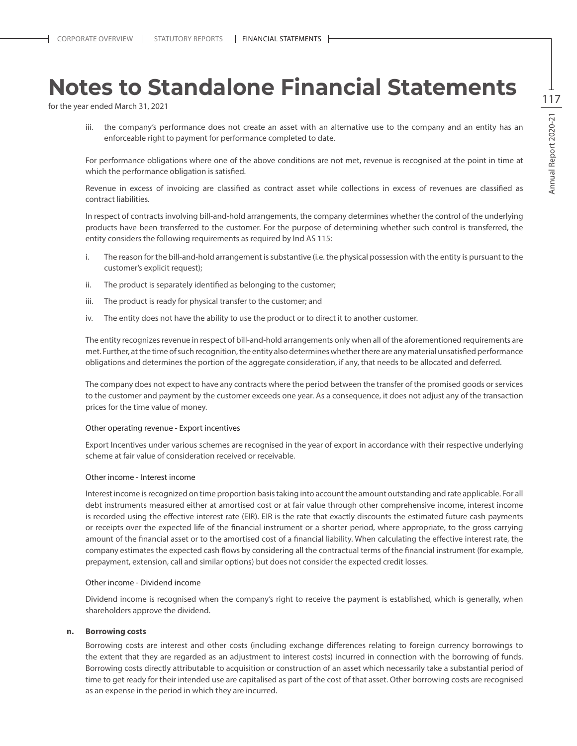for the year ended March 31, 2021

 iii. the company's performance does not create an asset with an alternative use to the company and an entity has an enforceable right to payment for performance completed to date.

 For performance obligations where one of the above conditions are not met, revenue is recognised at the point in time at which the performance obligation is satisfied.

 Revenue in excess of invoicing are classified as contract asset while collections in excess of revenues are classified as contract liabilities.

 In respect of contracts involving bill-and-hold arrangements, the company determines whether the control of the underlying products have been transferred to the customer. For the purpose of determining whether such control is transferred, the entity considers the following requirements as required by Ind AS 115:

- i. The reason for the bill-and-hold arrangement is substantive (i.e. the physical possession with the entity is pursuant to the customer's explicit request);
- ii. The product is separately identified as belonging to the customer;
- iii. The product is ready for physical transfer to the customer; and
- iv. The entity does not have the ability to use the product or to direct it to another customer.

 The entity recognizes revenue in respect of bill-and-hold arrangements only when all of the aforementioned requirements are met. Further, at the time of such recognition, the entity also determines whether there are any material unsatisfied performance obligations and determines the portion of the aggregate consideration, if any, that needs to be allocated and deferred.

 The company does not expect to have any contracts where the period between the transfer of the promised goods or services to the customer and payment by the customer exceeds one year. As a consequence, it does not adjust any of the transaction prices for the time value of money.

#### Other operating revenue - Export incentives

 Export Incentives under various schemes are recognised in the year of export in accordance with their respective underlying scheme at fair value of consideration received or receivable.

### Other income - Interest income

 Interest income is recognized on time proportion basis taking into account the amount outstanding and rate applicable. For all debt instruments measured either at amortised cost or at fair value through other comprehensive income, interest income is recorded using the effective interest rate (EIR). EIR is the rate that exactly discounts the estimated future cash payments or receipts over the expected life of the financial instrument or a shorter period, where appropriate, to the gross carrying amount of the financial asset or to the amortised cost of a financial liability. When calculating the effective interest rate, the company estimates the expected cash flows by considering all the contractual terms of the financial instrument (for example, prepayment, extension, call and similar options) but does not consider the expected credit losses.

### Other income - Dividend income

 Dividend income is recognised when the company's right to receive the payment is established, which is generally, when shareholders approve the dividend.

## **n. Borrowing costs**

 Borrowing costs are interest and other costs (including exchange differences relating to foreign currency borrowings to the extent that they are regarded as an adjustment to interest costs) incurred in connection with the borrowing of funds. Borrowing costs directly attributable to acquisition or construction of an asset which necessarily take a substantial period of time to get ready for their intended use are capitalised as part of the cost of that asset. Other borrowing costs are recognised as an expense in the period in which they are incurred.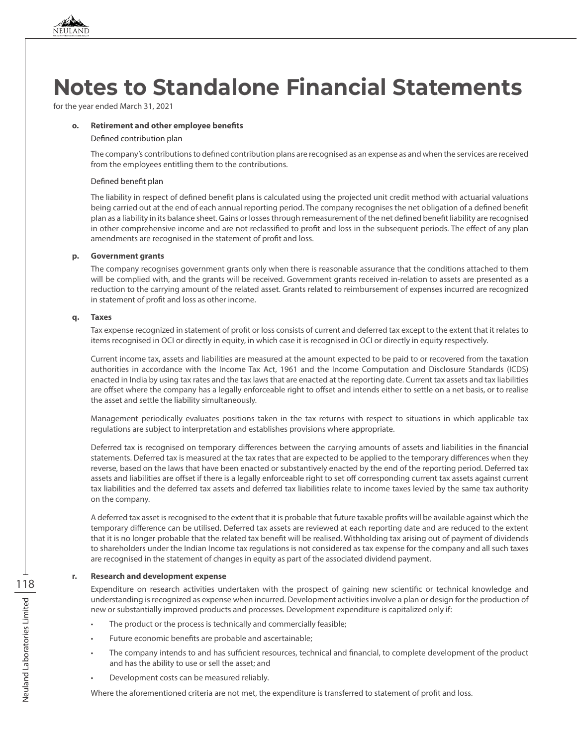

for the year ended March 31, 2021

### **o. Retirement and other employee benefits**

### Defined contribution plan

 The company's contributions to defined contribution plans are recognised as an expense as and when the services are received from the employees entitling them to the contributions.

### Defined benefit plan

 The liability in respect of defined benefit plans is calculated using the projected unit credit method with actuarial valuations being carried out at the end of each annual reporting period. The company recognises the net obligation of a defined benefit plan as a liability in its balance sheet. Gains or losses through remeasurement of the net defined benefit liability are recognised in other comprehensive income and are not reclassified to profit and loss in the subsequent periods. The effect of any plan amendments are recognised in the statement of profit and loss.

#### **p. Government grants**

 The company recognises government grants only when there is reasonable assurance that the conditions attached to them will be complied with, and the grants will be received. Government grants received in-relation to assets are presented as a reduction to the carrying amount of the related asset. Grants related to reimbursement of expenses incurred are recognized in statement of profit and loss as other income.

#### **q. Taxes**

 Tax expense recognized in statement of profit or loss consists of current and deferred tax except to the extent that it relates to items recognised in OCI or directly in equity, in which case it is recognised in OCI or directly in equity respectively.

 Current income tax, assets and liabilities are measured at the amount expected to be paid to or recovered from the taxation authorities in accordance with the Income Tax Act, 1961 and the Income Computation and Disclosure Standards (ICDS) enacted in India by using tax rates and the tax laws that are enacted at the reporting date. Current tax assets and tax liabilities are offset where the company has a legally enforceable right to offset and intends either to settle on a net basis, or to realise the asset and settle the liability simultaneously.

 Management periodically evaluates positions taken in the tax returns with respect to situations in which applicable tax regulations are subject to interpretation and establishes provisions where appropriate.

 Deferred tax is recognised on temporary differences between the carrying amounts of assets and liabilities in the financial statements. Deferred tax is measured at the tax rates that are expected to be applied to the temporary differences when they reverse, based on the laws that have been enacted or substantively enacted by the end of the reporting period. Deferred tax assets and liabilities are offset if there is a legally enforceable right to set off corresponding current tax assets against current tax liabilities and the deferred tax assets and deferred tax liabilities relate to income taxes levied by the same tax authority on the company.

 A deferred tax asset is recognised to the extent that it is probable that future taxable profits will be available against which the temporary difference can be utilised. Deferred tax assets are reviewed at each reporting date and are reduced to the extent that it is no longer probable that the related tax benefit will be realised. Withholding tax arising out of payment of dividends to shareholders under the Indian Income tax regulations is not considered as tax expense for the company and all such taxes are recognised in the statement of changes in equity as part of the associated dividend payment.

#### **r. Research and development expense**

 Expenditure on research activities undertaken with the prospect of gaining new scientific or technical knowledge and understanding is recognized as expense when incurred. Development activities involve a plan or design for the production of new or substantially improved products and processes. Development expenditure is capitalized only if:

- The product or the process is technically and commercially feasible;
- Future economic benefits are probable and ascertainable;
- The company intends to and has sufficient resources, technical and financial, to complete development of the product and has the ability to use or sell the asset; and
- Development costs can be measured reliably.

Where the aforementioned criteria are not met, the expenditure is transferred to statement of profit and loss.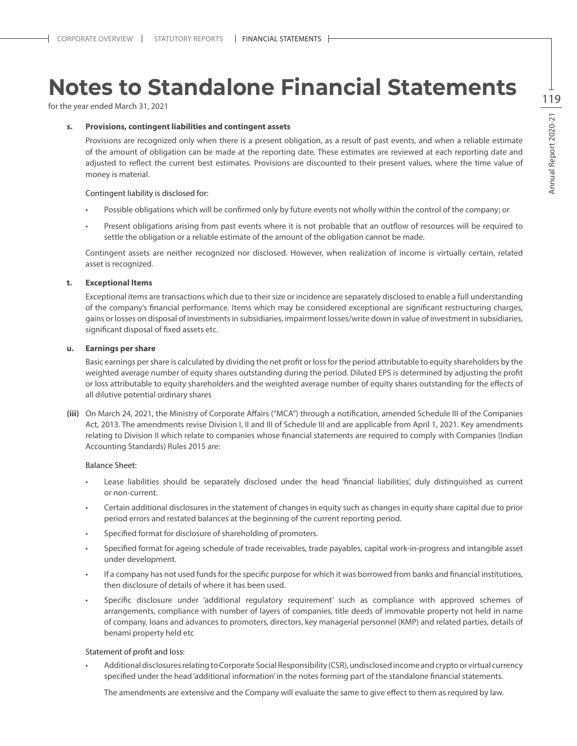for the year ended March 31, 2021

#### **s. Provisions, contingent liabilities and contingent assets**

 Provisions are recognized only when there is a present obligation, as a result of past events, and when a reliable estimate of the amount of obligation can be made at the reporting date. These estimates are reviewed at each reporting date and adjusted to reflect the current best estimates. Provisions are discounted to their present values, where the time value of money is material.

### Contingent liability is disclosed for:

- Possible obligations which will be confirmed only by future events not wholly within the control of the company; or
- Present obligations arising from past events where it is not probable that an outflow of resources will be required to settle the obligation or a reliable estimate of the amount of the obligation cannot be made.

 Contingent assets are neither recognized nor disclosed. However, when realization of income is virtually certain, related asset is recognized.

### **t. Exceptional Items**

 Exceptional items are transactions which due to their size or incidence are separately disclosed to enable a full understanding of the company's financial performance. Items which may be considered exceptional are significant restructuring charges, gains or losses on disposal of investments in subsidiaries, impairment losses/write down in value of investment in subsidiaries, significant disposal of fixed assets etc.

### **u. Earnings per share**

 Basic earnings per share is calculated by dividing the net profit or loss for the period attributable to equity shareholders by the weighted average number of equity shares outstanding during the period. Diluted EPS is determined by adjusting the profit or loss attributable to equity shareholders and the weighted average number of equity shares outstanding for the effects of all dilutive potential ordinary shares

**(iii)** On March 24, 2021, the Ministry of Corporate Affairs ("MCA") through a notification, amended Schedule III of the Companies Act, 2013. The amendments revise Division I, II and III of Schedule III and are applicable from April 1, 2021. Key amendments relating to Division II which relate to companies whose financial statements are required to comply with Companies (Indian Accounting Standards) Rules 2015 are:

### Balance Sheet:

- Lease liabilities should be separately disclosed under the head 'financial liabilities', duly distinguished as current or non-current.
- Certain additional disclosures in the statement of changes in equity such as changes in equity share capital due to prior period errors and restated balances at the beginning of the current reporting period.
- Specified format for disclosure of shareholding of promoters.
- Specified format for ageing schedule of trade receivables, trade payables, capital work-in-progress and intangible asset under development.
- If a company has not used funds for the specific purpose for which it was borrowed from banks and financial institutions, then disclosure of details of where it has been used.
- Specific disclosure under 'additional regulatory requirement' such as compliance with approved schemes of arrangements, compliance with number of layers of companies, title deeds of immovable property not held in name of company, loans and advances to promoters, directors, key managerial personnel (KMP) and related parties, details of benami property held etc

## Statement of profit and loss:

Additional disclosures relating to Corporate Social Responsibility (CSR), undisclosed income and crypto or virtual currency specified under the head 'additional information' in the notes forming part of the standalone financial statements.

The amendments are extensive and the Company will evaluate the same to give effect to them as required by law.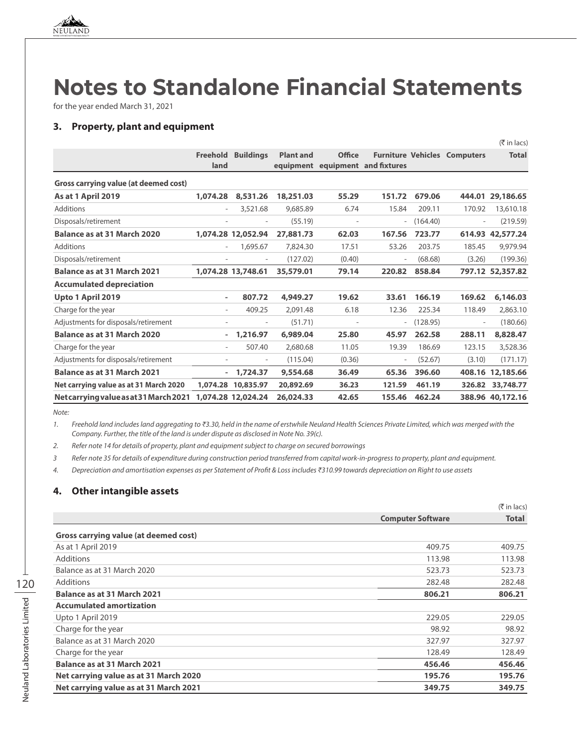$(\mathbb{R}^n)$  in lacks

for the year ended March 31, 2021

## **3. Property, plant and equipment**

|                                        |                          |                          |                  |                          |                                  |          |                                     | (K In Iacs)      |
|----------------------------------------|--------------------------|--------------------------|------------------|--------------------------|----------------------------------|----------|-------------------------------------|------------------|
|                                        | <b>Freehold</b>          | <b>Buildings</b>         | <b>Plant and</b> | <b>Office</b>            |                                  |          | <b>Furniture Vehicles Computers</b> | <b>Total</b>     |
|                                        | land                     |                          |                  |                          | equipment equipment and fixtures |          |                                     |                  |
| Gross carrying value (at deemed cost)  |                          |                          |                  |                          |                                  |          |                                     |                  |
| <b>As at 1 April 2019</b>              | 1,074.28                 | 8,531.26                 | 18,251.03        | 55.29                    | 151.72                           | 679.06   |                                     | 444.01 29,186.65 |
| <b>Additions</b>                       | $\overline{\phantom{a}}$ | 3,521.68                 | 9,685.89         | 6.74                     | 15.84                            | 209.11   | 170.92                              | 13,610.18        |
| Disposals/retirement                   |                          | $\overline{\phantom{a}}$ | (55.19)          |                          | $\overline{\phantom{a}}$         | (164.40) | $\overline{\phantom{a}}$            | (219.59)         |
| <b>Balance as at 31 March 2020</b>     |                          | 1,074.28 12,052.94       | 27,881.73        | 62.03                    | 167.56                           | 723.77   |                                     | 614.93 42,577.24 |
| Additions                              |                          | 1,695.67                 | 7,824.30         | 17.51                    | 53.26                            | 203.75   | 185.45                              | 9,979.94         |
| Disposals/retirement                   | $\overline{\phantom{a}}$ | $\overline{\phantom{a}}$ | (127.02)         | (0.40)                   | $\overline{\phantom{a}}$         | (68.68)  | (3.26)                              | (199.36)         |
| <b>Balance as at 31 March 2021</b>     |                          | 1,074.28 13,748.61       | 35,579.01        | 79.14                    | 220.82                           | 858.84   |                                     | 797.12 52,357.82 |
| <b>Accumulated depreciation</b>        |                          |                          |                  |                          |                                  |          |                                     |                  |
| Upto 1 April 2019                      | ٠                        | 807.72                   | 4,949.27         | 19.62                    | 33.61                            | 166.19   | 169.62                              | 6,146.03         |
| Charge for the year                    | $\overline{\phantom{a}}$ | 409.25                   | 2,091.48         | 6.18                     | 12.36                            | 225.34   | 118.49                              | 2,863.10         |
| Adjustments for disposals/retirement   | $\overline{\phantom{a}}$ | $\overline{\phantom{a}}$ | (51.71)          | $\overline{\phantom{a}}$ | $\overline{\phantom{a}}$         | (128.95) | $\sim$                              | (180.66)         |
| <b>Balance as at 31 March 2020</b>     |                          | 1,216.97                 | 6,989.04         | 25.80                    | 45.97                            | 262.58   | 288.11                              | 8,828.47         |
| Charge for the year                    | $\overline{\phantom{a}}$ | 507.40                   | 2,680.68         | 11.05                    | 19.39                            | 186.69   | 123.15                              | 3,528.36         |
| Adjustments for disposals/retirement   | $\overline{\phantom{0}}$ | $\overline{\phantom{a}}$ | (115.04)         | (0.36)                   | $\overline{\phantom{a}}$         | (52.67)  | (3.10)                              | (171.17)         |
| <b>Balance as at 31 March 2021</b>     | $\overline{\phantom{0}}$ | 1,724.37                 | 9,554.68         | 36.49                    | 65.36                            | 396.60   | 408.16                              | 12,185.66        |
| Net carrying value as at 31 March 2020 |                          | 1,074.28 10,835.97       | 20,892.69        | 36.23                    | 121.59                           | 461.19   | 326.82                              | 33,748.77        |
| Net carrying value as at 31 March 2021 |                          | 1,074.28 12,024.24       | 26,024.33        | 42.65                    | 155.46                           | 462.24   |                                     | 388.96 40,172.16 |

*Note:*

*1. Freehold land includes land aggregating to ₹3.30, held in the name of erstwhile Neuland Health Sciences Private Limited, which was merged with the Company. Further, the title of the land is under dispute as disclosed in Note No. 39(c).*

*2. Refer note 14 for details of property, plant and equipment subject to charge on secured borrowings*

*3 Refer note 35 for details of expenditure during construction period transferred from capital work-in-progress to property, plant and equipment.*

*4. Depreciation and amortisation expenses as per Statement of Profit & Loss includes ₹310.99 towards depreciation on Right to use assets*

## **4. Other intangible assets**

|                                        |                          | $(\overline{\mathfrak{k}})$ in lacs) |
|----------------------------------------|--------------------------|--------------------------------------|
|                                        | <b>Computer Software</b> | Total                                |
| Gross carrying value (at deemed cost)  |                          |                                      |
| As at 1 April 2019                     | 409.75                   | 409.75                               |
| <b>Additions</b>                       | 113.98                   | 113.98                               |
| Balance as at 31 March 2020            | 523.73                   | 523.73                               |
| <b>Additions</b>                       | 282.48                   | 282.48                               |
| <b>Balance as at 31 March 2021</b>     | 806.21                   | 806.21                               |
| <b>Accumulated amortization</b>        |                          |                                      |
| Upto 1 April 2019                      | 229.05                   | 229.05                               |
| Charge for the year                    | 98.92                    | 98.92                                |
| Balance as at 31 March 2020            | 327.97                   | 327.97                               |
| Charge for the year                    | 128.49                   | 128.49                               |
| <b>Balance as at 31 March 2021</b>     | 456.46                   | 456.46                               |
| Net carrying value as at 31 March 2020 | 195.76                   | 195.76                               |
| Net carrying value as at 31 March 2021 | 349.75                   | 349.75                               |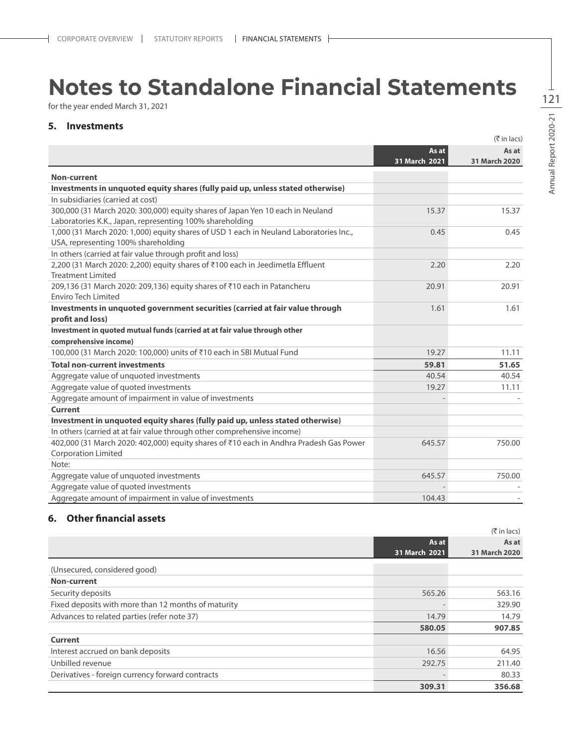for the year ended March 31, 2021

## **5. Investments**

|                                                                                        |               | $(\overline{\mathfrak{k}}$ in lacs) |
|----------------------------------------------------------------------------------------|---------------|-------------------------------------|
|                                                                                        | As at         | As at                               |
|                                                                                        | 31 March 2021 | 31 March 2020                       |
| Non-current                                                                            |               |                                     |
| Investments in unquoted equity shares (fully paid up, unless stated otherwise)         |               |                                     |
| In subsidiaries (carried at cost)                                                      |               |                                     |
| 300,000 (31 March 2020: 300,000) equity shares of Japan Yen 10 each in Neuland         | 15.37         | 15.37                               |
| Laboratories K.K., Japan, representing 100% shareholding                               |               |                                     |
| 1,000 (31 March 2020: 1,000) equity shares of USD 1 each in Neuland Laboratories Inc., | 0.45          | 0.45                                |
| USA, representing 100% shareholding                                                    |               |                                     |
| In others (carried at fair value through profit and loss)                              |               |                                     |
| 2,200 (31 March 2020: 2,200) equity shares of ₹100 each in Jeedimetla Effluent         | 2.20          | 2.20                                |
| <b>Treatment Limited</b>                                                               |               |                                     |
| 209,136 (31 March 2020: 209,136) equity shares of ₹10 each in Patancheru               | 20.91         | 20.91                               |
| <b>Enviro Tech Limited</b>                                                             |               |                                     |
| Investments in unquoted government securities (carried at fair value through           | 1.61          | 1.61                                |
| profit and loss)                                                                       |               |                                     |
| Investment in quoted mutual funds (carried at at fair value through other              |               |                                     |
| comprehensive income)                                                                  |               |                                     |
| 100,000 (31 March 2020: 100,000) units of ₹10 each in SBI Mutual Fund                  | 19.27         | 11.11                               |
| <b>Total non-current investments</b>                                                   | 59.81         | 51.65                               |
| Aggregate value of unquoted investments                                                | 40.54         | 40.54                               |
| Aggregate value of quoted investments                                                  | 19.27         | 11.11                               |
| Aggregate amount of impairment in value of investments                                 |               |                                     |
| Current                                                                                |               |                                     |
| Investment in unquoted equity shares (fully paid up, unless stated otherwise)          |               |                                     |
| In others (carried at at fair value through other comprehensive income)                |               |                                     |
| 402,000 (31 March 2020: 402,000) equity shares of ₹10 each in Andhra Pradesh Gas Power | 645.57        | 750.00                              |
| <b>Corporation Limited</b>                                                             |               |                                     |
| Note:                                                                                  |               |                                     |
| Aggregate value of unquoted investments                                                | 645.57        | 750.00                              |
| Aggregate value of quoted investments                                                  |               |                                     |
| Aggregate amount of impairment in value of investments                                 | 104.43        |                                     |

## **6. Other financial assets**

|                                                     |               | $(\overline{\xi}$ in lacs) |
|-----------------------------------------------------|---------------|----------------------------|
|                                                     | As at         | As at                      |
|                                                     | 31 March 2021 | 31 March 2020              |
| (Unsecured, considered good)                        |               |                            |
| Non-current                                         |               |                            |
| Security deposits                                   | 565.26        | 563.16                     |
| Fixed deposits with more than 12 months of maturity |               | 329.90                     |
| Advances to related parties (refer note 37)         | 14.79         | 14.79                      |
|                                                     | 580.05        | 907.85                     |
| Current                                             |               |                            |
| Interest accrued on bank deposits                   | 16.56         | 64.95                      |
| Unbilled revenue                                    | 292.75        | 211.40                     |
| Derivatives - foreign currency forward contracts    |               | 80.33                      |
|                                                     | 309.31        | 356.68                     |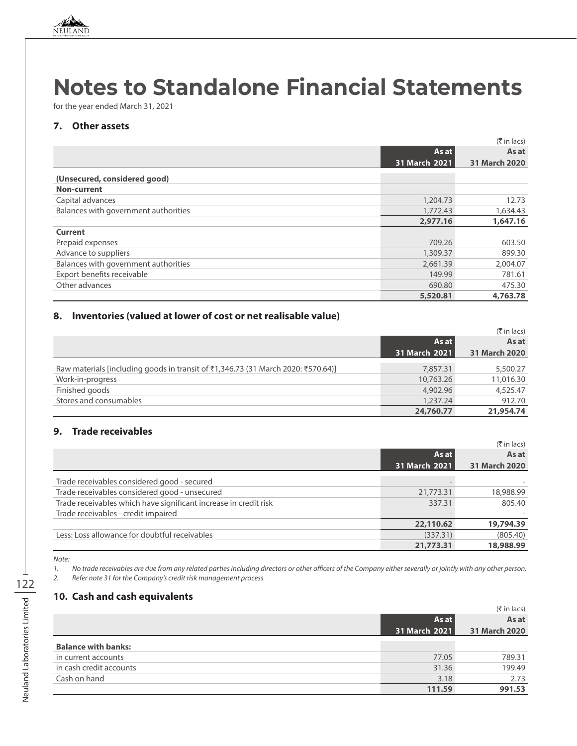for the year ended March 31, 2021

## **7. Other assets**

|                                      |               | $(\overline{\mathfrak{k}}$ in lacs) |
|--------------------------------------|---------------|-------------------------------------|
|                                      | As at         | As at                               |
|                                      | 31 March 2021 | 31 March 2020                       |
| (Unsecured, considered good)         |               |                                     |
| Non-current                          |               |                                     |
| Capital advances                     | 1,204.73      | 12.73                               |
| Balances with government authorities | 1,772.43      | 1,634.43                            |
|                                      | 2,977.16      | 1,647.16                            |
| Current                              |               |                                     |
| Prepaid expenses                     | 709.26        | 603.50                              |
| Advance to suppliers                 | 1,309.37      | 899.30                              |
| Balances with government authorities | 2,661.39      | 2,004.07                            |
| Export benefits receivable           | 149.99        | 781.61                              |
| Other advances                       | 690.80        | 475.30                              |
|                                      | 5,520.81      | 4,763.78                            |

## **8. Inventories (valued at lower of cost or net realisable value)**

|                                                                                  |               | $(\overline{\mathfrak{k}}$ in lacs) |
|----------------------------------------------------------------------------------|---------------|-------------------------------------|
|                                                                                  | As at         | As at                               |
|                                                                                  | 31 March 2021 | 31 March 2020                       |
| Raw materials [including goods in transit of ₹1,346.73 (31 March 2020: ₹570.64)] | 7,857.31      | 5,500.27                            |
| Work-in-progress                                                                 | 10,763.26     | 11,016.30                           |
| Finished goods                                                                   | 4,902.96      | 4,525.47                            |
| Stores and consumables                                                           | 1,237.24      | 912.70                              |
|                                                                                  | 24,760,77     | 21,954.74                           |

## **9. Trade receivables**

|                                                                  |               | $(\overline{\mathfrak{k}})$ in lacs) |
|------------------------------------------------------------------|---------------|--------------------------------------|
|                                                                  | As at         | As at                                |
|                                                                  | 31 March 2021 | 31 March 2020                        |
| Trade receivables considered good - secured                      |               |                                      |
| Trade receivables considered good - unsecured                    | 21,773.31     | 18,988.99                            |
| Trade receivables which have significant increase in credit risk | 337.31        | 805.40                               |
| Trade receivables - credit impaired                              |               |                                      |
|                                                                  | 22,110.62     | 19,794.39                            |
| Less: Loss allowance for doubtful receivables                    | (337.31)      | (805.40)                             |
|                                                                  | 21,773.31     | 18,988.99                            |

*Note:*

*1. No trade receivables are due from any related parties including directors or other officers of the Company either severally or jointly with any other person. 2. Refer note 31 for the Company's credit risk management process*

## **10. Cash and cash equivalents**

|                            |               | $(\overline{\mathfrak{k}}$ in lacs) |
|----------------------------|---------------|-------------------------------------|
|                            | As at I       | As at                               |
|                            | 31 March 2021 | 31 March 2020                       |
| <b>Balance with banks:</b> |               |                                     |
| in current accounts        | 77.05         | 789.31                              |
| in cash credit accounts    | 31.36         | 199.49                              |
| Cash on hand               | 3.18          | 2.73                                |
|                            | 111.59        | 991.53                              |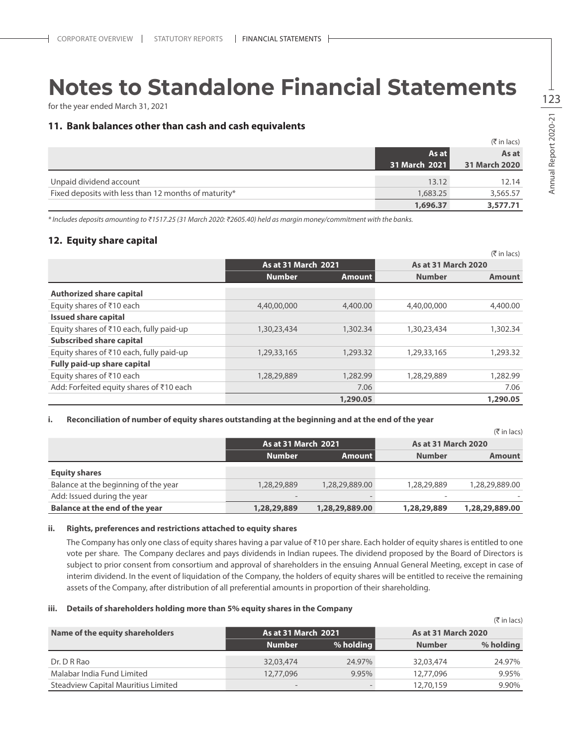for the year ended March 31, 2021

## **11. Bank balances other than cash and cash equivalents**

|                                                      |                 | $(\overline{\mathfrak{k}}$ in lacs) |
|------------------------------------------------------|-----------------|-------------------------------------|
|                                                      | As at           | As at                               |
|                                                      | 31 March 2021 l | 31 March 2020                       |
|                                                      |                 |                                     |
| Unpaid dividend account                              | 13.12           | 12.14                               |
| Fixed deposits with less than 12 months of maturity* | 1,683.25        | 3,565.57                            |
|                                                      | 1,696.37        | 3,577.71                            |

*\* Includes deposits amounting to ₹1517.25 (31 March 2020: ₹2605.40) held as margin money/commitment with the banks.*

## **12. Equity share capital**

|                                          |                            |               |                            | $(5 \nvert \text{in} \nvert \text{acs})$ |
|------------------------------------------|----------------------------|---------------|----------------------------|------------------------------------------|
|                                          | <b>As at 31 March 2021</b> |               | <b>As at 31 March 2020</b> |                                          |
|                                          | <b>Number</b>              | <b>Amount</b> | <b>Number</b>              | <b>Amount</b>                            |
| <b>Authorized share capital</b>          |                            |               |                            |                                          |
| Equity shares of ₹10 each                | 4,40,00,000                | 4,400.00      | 4,40,00,000                | 4,400.00                                 |
| <b>Issued share capital</b>              |                            |               |                            |                                          |
| Equity shares of ₹10 each, fully paid-up | 1,30,23,434                | 1,302.34      | 1,30,23,434                | 1,302.34                                 |
| <b>Subscribed share capital</b>          |                            |               |                            |                                          |
| Equity shares of ₹10 each, fully paid-up | 1,29,33,165                | 1,293.32      | 1,29,33,165                | 1,293.32                                 |
| <b>Fully paid-up share capital</b>       |                            |               |                            |                                          |
| Equity shares of ₹10 each                | 1,28,29,889                | 1,282.99      | 1,28,29,889                | 1,282.99                                 |
| Add: Forfeited equity shares of ₹10 each |                            | 7.06          |                            | 7.06                                     |
|                                          |                            | 1,290.05      |                            | 1,290.05                                 |

## **i. Reconciliation of number of equity shares outstanding at the beginning and at the end of the year**

|                                      |                     |                |                            | $(\overline{\xi}$ in lacs) |
|--------------------------------------|---------------------|----------------|----------------------------|----------------------------|
|                                      | As at 31 March 2021 |                | <b>As at 31 March 2020</b> |                            |
|                                      | <b>Number</b>       | <b>Amount</b>  | <b>Number</b>              | <b>Amount</b>              |
| <b>Equity shares</b>                 |                     |                |                            |                            |
| Balance at the beginning of the year | 1,28,29,889         | 1,28,29,889.00 | 1,28,29,889                | 1,28,29,889.00             |
| Add: Issued during the year          |                     |                | $\overline{\phantom{a}}$   |                            |
| Balance at the end of the year       | 1,28,29,889         | 1,28,29,889.00 | 1,28,29,889                | 1,28,29,889.00             |

## **ii. Rights, preferences and restrictions attached to equity shares**

The Company has only one class of equity shares having a par value of ₹10 per share. Each holder of equity shares is entitled to one vote per share. The Company declares and pays dividends in Indian rupees. The dividend proposed by the Board of Directors is subject to prior consent from consortium and approval of shareholders in the ensuing Annual General Meeting, except in case of interim dividend. In the event of liquidation of the Company, the holders of equity shares will be entitled to receive the remaining assets of the Company, after distribution of all preferential amounts in proportion of their shareholding.

### **iii. Details of shareholders holding more than 5% equity shares in the Company**

| Name of the equity shareholders     | As at 31 March 2021 |           | <b>As at 31 March 2020</b> |           |
|-------------------------------------|---------------------|-----------|----------------------------|-----------|
|                                     | <b>Number</b>       | % holding | <b>Number</b>              | % holding |
| Dr. D R Rao                         | 32,03,474           | 24.97%    | 32,03,474                  | 24.97%    |
| Malabar India Fund Limited          | 12,77,096           | 9.95%     | 12,77,096                  | 9.95%     |
| Steadview Capital Mauritius Limited |                     |           | 12,70,159                  | 9.90%     |

 $(\bar{\bar{\tau}}$  in lacs)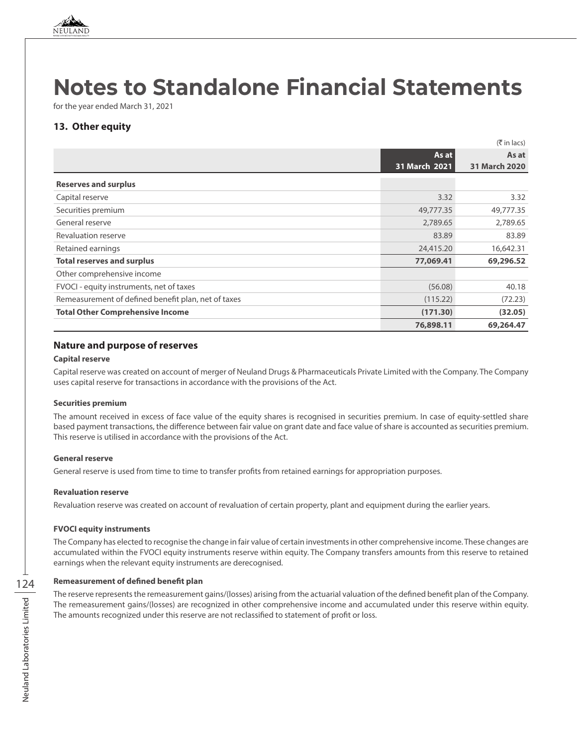for the year ended March 31, 2021

## **13. Other equity**

|                                                     |               | $(\overline{\mathfrak{k}})$ in lacs) |
|-----------------------------------------------------|---------------|--------------------------------------|
|                                                     | As at         | As at                                |
|                                                     | 31 March 2021 | 31 March 2020                        |
| <b>Reserves and surplus</b>                         |               |                                      |
| Capital reserve                                     | 3.32          | 3.32                                 |
| Securities premium                                  | 49,777.35     | 49,777.35                            |
| General reserve                                     | 2,789.65      | 2,789.65                             |
| Revaluation reserve                                 | 83.89         | 83.89                                |
| Retained earnings                                   | 24,415.20     | 16,642.31                            |
| <b>Total reserves and surplus</b>                   | 77,069.41     | 69,296.52                            |
| Other comprehensive income                          |               |                                      |
| FVOCI - equity instruments, net of taxes            | (56.08)       | 40.18                                |
| Remeasurement of defined benefit plan, net of taxes | (115.22)      | (72.23)                              |
| <b>Total Other Comprehensive Income</b>             | (171.30)      | (32.05)                              |
|                                                     | 76,898.11     | 69,264.47                            |

## **Nature and purpose of reserves**

## **Capital reserve**

Capital reserve was created on account of merger of Neuland Drugs & Pharmaceuticals Private Limited with the Company. The Company uses capital reserve for transactions in accordance with the provisions of the Act.

### **Securities premium**

The amount received in excess of face value of the equity shares is recognised in securities premium. In case of equity-settled share based payment transactions, the difference between fair value on grant date and face value of share is accounted as securities premium. This reserve is utilised in accordance with the provisions of the Act.

## **General reserve**

General reserve is used from time to time to transfer profits from retained earnings for appropriation purposes.

#### **Revaluation reserve**

Revaluation reserve was created on account of revaluation of certain property, plant and equipment during the earlier years.

## **FVOCI equity instruments**

The Company has elected to recognise the change in fair value of certain investments in other comprehensive income. These changes are accumulated within the FVOCI equity instruments reserve within equity. The Company transfers amounts from this reserve to retained earnings when the relevant equity instruments are derecognised.

## **Remeasurement of defined benefit plan**

The reserve represents the remeasurement gains/(losses) arising from the actuarial valuation of the defined benefit plan of the Company. The remeasurement gains/(losses) are recognized in other comprehensive income and accumulated under this reserve within equity. The amounts recognized under this reserve are not reclassified to statement of profit or loss.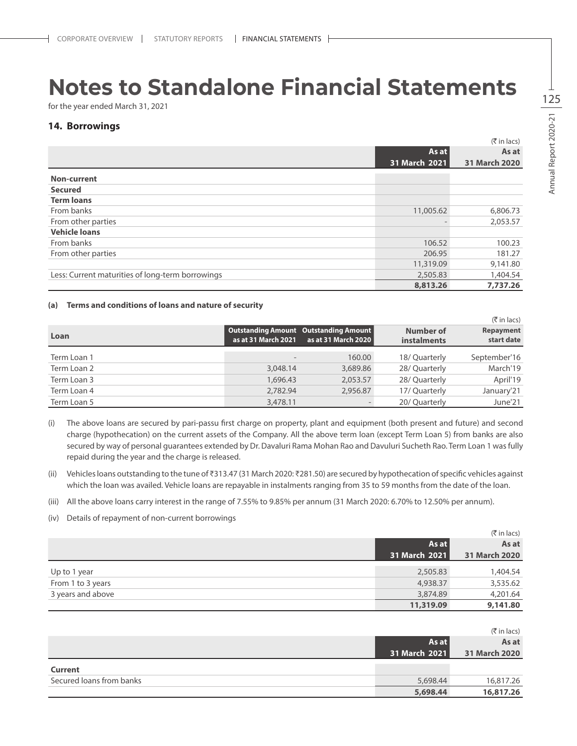for the year ended March 31, 2021

## **14. Borrowings**

|                                                  |               | $(\overline{\mathfrak{F}}$ in lacs) |
|--------------------------------------------------|---------------|-------------------------------------|
|                                                  | As at         | As at                               |
|                                                  | 31 March 2021 | 31 March 2020                       |
| Non-current                                      |               |                                     |
| <b>Secured</b>                                   |               |                                     |
| <b>Term loans</b>                                |               |                                     |
| From banks                                       | 11,005.62     | 6,806.73                            |
| From other parties                               |               | 2,053.57                            |
| <b>Vehicle loans</b>                             |               |                                     |
| From banks                                       | 106.52        | 100.23                              |
| From other parties                               | 206.95        | 181.27                              |
|                                                  | 11,319.09     | 9,141.80                            |
| Less: Current maturities of long-term borrowings | 2,505.83      | 1,404.54                            |
|                                                  | 8,813.26      | 7,737.26                            |

## **(a) Terms and conditions of loans and nature of security**

|             |                     |                                                              |                                 | (₹ in lacs)             |
|-------------|---------------------|--------------------------------------------------------------|---------------------------------|-------------------------|
| Loan        | as at 31 March 2021 | Outstanding Amount Outstanding Amount<br>as at 31 March 2020 | Number of<br><b>instalments</b> | Repayment<br>start date |
| Term Loan 1 |                     | 160.00                                                       | 18/ Quarterly                   | September'16            |
| Term Loan 2 | 3,048.14            | 3,689.86                                                     | 28/ Quarterly                   | March'19                |
| Term Loan 3 | 1,696.43            | 2,053.57                                                     | 28/ Quarterly                   | April'19                |
| Term Loan 4 | 2,782.94            | 2,956.87                                                     | 17/ Quarterly                   | January'21              |
| Term Loan 5 | 3,478.11            |                                                              | 20/ Quarterly                   | June'21                 |

- (i) The above loans are secured by pari-passu first charge on property, plant and equipment (both present and future) and second charge (hypothecation) on the current assets of the Company. All the above term loan (except Term Loan 5) from banks are also secured by way of personal guarantees extended by Dr. Davaluri Rama Mohan Rao and Davuluri Sucheth Rao. Term Loan 1 was fully repaid during the year and the charge is released.
- (ii) Vehicles loans outstanding to the tune of ₹313.47 (31 March 2020: ₹281.50) are secured by hypothecation of specific vehicles against which the loan was availed. Vehicle loans are repayable in instalments ranging from 35 to 59 months from the date of the loan.
- (iii) All the above loans carry interest in the range of 7.55% to 9.85% per annum (31 March 2020: 6.70% to 12.50% per annum).
- (iv) Details of repayment of non-current borrowings

|                   |               | (₹ in lacs)   |
|-------------------|---------------|---------------|
|                   | As at $ $     | As at         |
|                   | 31 March 2021 | 31 March 2020 |
|                   |               |               |
| Up to 1 year      | 2,505.83      | 1,404.54      |
| From 1 to 3 years | 4,938.37      | 3,535.62      |
| 3 years and above | 3,874.89      | 4,201.64      |
|                   | 11,319.09     | 9,141.80      |

|                          |               | $(\overline{\mathfrak{k}}$ in lacs) |
|--------------------------|---------------|-------------------------------------|
|                          | As at         | As at                               |
|                          | 31 March 2021 | 31 March 2020                       |
| <b>Current</b>           |               |                                     |
| Secured loans from banks | 5,698.44      | 16,817.26                           |
|                          | 5,698.44      | 16,817.26                           |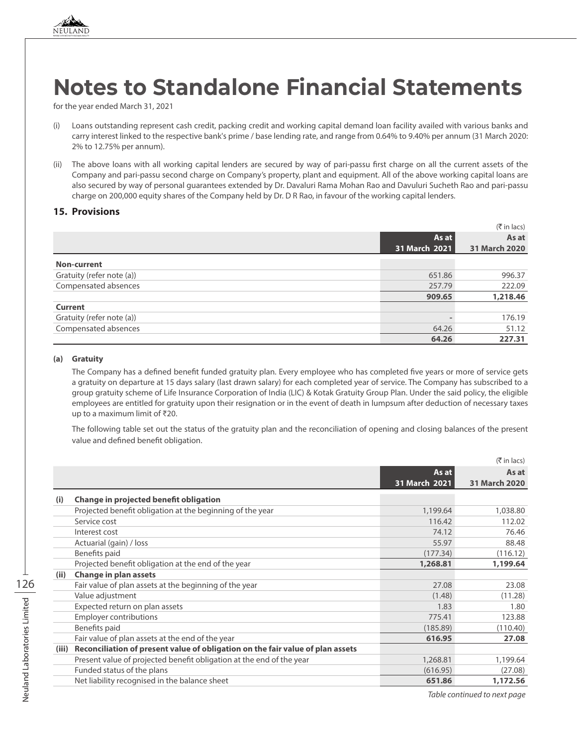

for the year ended March 31, 2021

- (i) Loans outstanding represent cash credit, packing credit and working capital demand loan facility availed with various banks and carry interest linked to the respective bank's prime / base lending rate, and range from 0.64% to 9.40% per annum (31 March 2020: 2% to 12.75% per annum).
- (ii) The above loans with all working capital lenders are secured by way of pari-passu first charge on all the current assets of the Company and pari-passu second charge on Company's property, plant and equipment. All of the above working capital loans are also secured by way of personal guarantees extended by Dr. Davaluri Rama Mohan Rao and Davuluri Sucheth Rao and pari-passu charge on 200,000 equity shares of the Company held by Dr. D R Rao, in favour of the working capital lenders.

## **15. Provisions**

|                           |               | $(\overline{\mathfrak{k}})$ in lacs) |
|---------------------------|---------------|--------------------------------------|
|                           | As at         | As at                                |
|                           | 31 March 2021 | 31 March 2020                        |
| Non-current               |               |                                      |
| Gratuity (refer note (a)) | 651.86        | 996.37                               |
| Compensated absences      | 257.79        | 222.09                               |
|                           | 909.65        | 1,218.46                             |
| Current                   |               |                                      |
| Gratuity (refer note (a)) |               | 176.19                               |
| Compensated absences      | 64.26         | 51.12                                |
|                           | 64.26         | 227.31                               |

### **(a) Gratuity**

The Company has a defined benefit funded gratuity plan. Every employee who has completed five years or more of service gets a gratuity on departure at 15 days salary (last drawn salary) for each completed year of service. The Company has subscribed to a group gratuity scheme of Life Insurance Corporation of India (LIC) & Kotak Gratuity Group Plan. Under the said policy, the eligible employees are entitled for gratuity upon their resignation or in the event of death in lumpsum after deduction of necessary taxes up to a maximum limit of ₹20.

The following table set out the status of the gratuity plan and the reconciliation of opening and closing balances of the present value and defined benefit obligation.

|       |                                                                                |               | $(\overline{\mathfrak{k}}$ in lacs) |
|-------|--------------------------------------------------------------------------------|---------------|-------------------------------------|
|       |                                                                                | As at         | As at                               |
|       |                                                                                | 31 March 2021 | 31 March 2020                       |
| (i)   | Change in projected benefit obligation                                         |               |                                     |
|       | Projected benefit obligation at the beginning of the year                      | 1,199.64      | 1,038.80                            |
|       | Service cost                                                                   | 116.42        | 112.02                              |
|       | Interest cost                                                                  | 74.12         | 76.46                               |
|       | Actuarial (gain) / loss                                                        | 55.97         | 88.48                               |
|       | Benefits paid                                                                  | (177.34)      | (116.12)                            |
|       | Projected benefit obligation at the end of the year                            | 1,268.81      | 1,199.64                            |
| (ii)  | <b>Change in plan assets</b>                                                   |               |                                     |
|       | Fair value of plan assets at the beginning of the year                         | 27.08         | 23.08                               |
|       | Value adjustment                                                               | (1.48)        | (11.28)                             |
|       | Expected return on plan assets                                                 | 1.83          | 1.80                                |
|       | <b>Employer contributions</b>                                                  | 775.41        | 123.88                              |
|       | Benefits paid                                                                  | (185.89)      | (110.40)                            |
|       | Fair value of plan assets at the end of the year                               | 616.95        | 27.08                               |
| (iii) | Reconciliation of present value of obligation on the fair value of plan assets |               |                                     |
|       | Present value of projected benefit obligation at the end of the year           | 1,268.81      | 1,199.64                            |
|       | Funded status of the plans                                                     | (616.95)      | (27.08)                             |
|       | Net liability recognised in the balance sheet                                  | 651.86        | 1,172.56                            |
|       |                                                                                |               |                                     |

*Table continued to next page*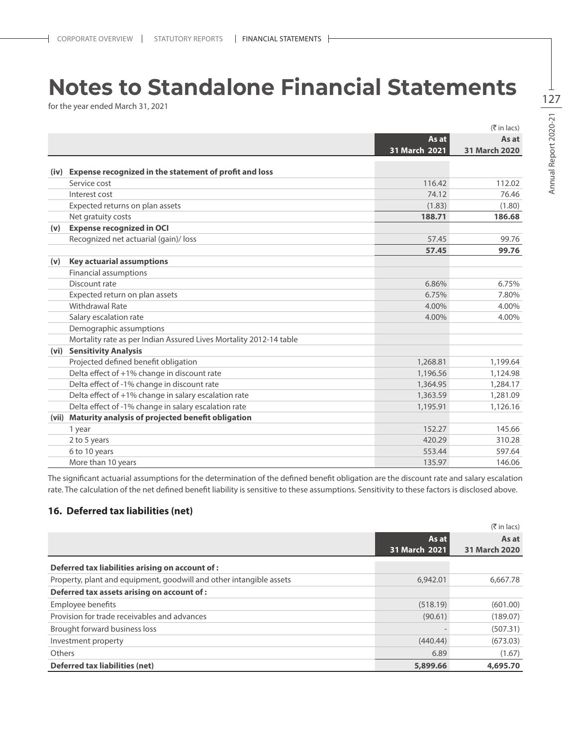for the year ended March 31, 2021

┫

|      |                                                                        |               | $(\overline{\mathfrak{k}})$ in lacs) |
|------|------------------------------------------------------------------------|---------------|--------------------------------------|
|      |                                                                        | As at         | As at                                |
|      |                                                                        | 31 March 2021 | 31 March 2020                        |
|      |                                                                        |               |                                      |
| (iv) | Expense recognized in the statement of profit and loss<br>Service cost | 116.42        | 112.02                               |
|      | Interest cost                                                          | 74.12         | 76.46                                |
|      |                                                                        | (1.83)        |                                      |
|      | Expected returns on plan assets                                        | 188.71        | (1.80)<br>186.68                     |
|      | Net gratuity costs<br><b>Expense recognized in OCI</b>                 |               |                                      |
| (v)  | Recognized net actuarial (gain)/ loss                                  | 57.45         | 99.76                                |
|      |                                                                        | 57.45         | 99.76                                |
| (v)  | <b>Key actuarial assumptions</b>                                       |               |                                      |
|      | Financial assumptions                                                  |               |                                      |
|      | Discount rate                                                          | 6.86%         | 6.75%                                |
|      | Expected return on plan assets                                         | 6.75%         | 7.80%                                |
|      | <b>Withdrawal Rate</b>                                                 | 4.00%         | 4.00%                                |
|      | Salary escalation rate                                                 | 4.00%         | 4.00%                                |
|      | Demographic assumptions                                                |               |                                      |
|      | Mortality rate as per Indian Assured Lives Mortality 2012-14 table     |               |                                      |
| (vi) | <b>Sensitivity Analysis</b>                                            |               |                                      |
|      | Projected defined benefit obligation                                   | 1,268.81      | 1,199.64                             |
|      | Delta effect of +1% change in discount rate                            | 1,196.56      | 1,124.98                             |
|      | Delta effect of -1% change in discount rate                            | 1,364.95      | 1,284.17                             |
|      | Delta effect of +1% change in salary escalation rate                   | 1,363.59      | 1,281.09                             |
|      | Delta effect of -1% change in salary escalation rate                   | 1,195.91      | 1,126.16                             |
|      | (vii) Maturity analysis of projected benefit obligation                |               |                                      |
|      | 1 year                                                                 | 152.27        | 145.66                               |
|      | 2 to 5 years                                                           | 420.29        | 310.28                               |
|      | 6 to 10 years                                                          | 553.44        | 597.64                               |
|      | More than 10 years                                                     | 135.97        | 146.06                               |

The significant actuarial assumptions for the determination of the defined benefit obligation are the discount rate and salary escalation rate. The calculation of the net defined benefit liability is sensitive to these assumptions. Sensitivity to these factors is disclosed above.

## **16. Deferred tax liabilities (net)**

|                                                                     |               | $(\overline{\mathfrak{k}})$ in lacs) |
|---------------------------------------------------------------------|---------------|--------------------------------------|
|                                                                     | As at         | As at                                |
|                                                                     | 31 March 2021 | 31 March 2020                        |
| Deferred tax liabilities arising on account of :                    |               |                                      |
| Property, plant and equipment, goodwill and other intangible assets | 6,942.01      | 6,667.78                             |
| Deferred tax assets arising on account of :                         |               |                                      |
| Employee benefits                                                   | (518.19)      | (601.00)                             |
| Provision for trade receivables and advances                        | (90.61)       | (189.07)                             |
| Brought forward business loss                                       |               | (507.31)                             |
| Investment property                                                 | (440.44)      | (673.03)                             |
| <b>Others</b>                                                       | 6.89          | (1.67)                               |
| Deferred tax liabilities (net)                                      | 5,899.66      | 4,695.70                             |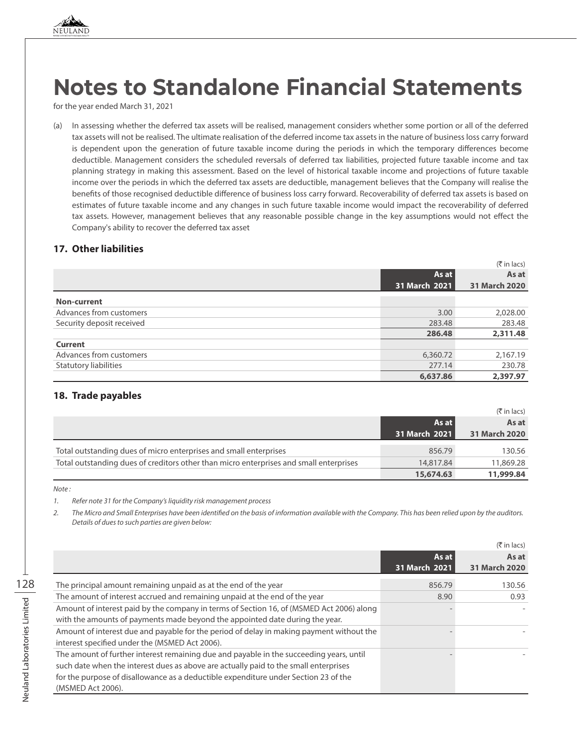

for the year ended March 31, 2021

(a) In assessing whether the deferred tax assets will be realised, management considers whether some portion or all of the deferred tax assets will not be realised. The ultimate realisation of the deferred income tax assets in the nature of business loss carry forward is dependent upon the generation of future taxable income during the periods in which the temporary differences become deductible. Management considers the scheduled reversals of deferred tax liabilities, projected future taxable income and tax planning strategy in making this assessment. Based on the level of historical taxable income and projections of future taxable income over the periods in which the deferred tax assets are deductible, management believes that the Company will realise the benefits of those recognised deductible difference of business loss carry forward. Recoverability of deferred tax assets is based on estimates of future taxable income and any changes in such future taxable income would impact the recoverability of deferred tax assets. However, management believes that any reasonable possible change in the key assumptions would not effect the Company's ability to recover the deferred tax asset

## **17. Other liabilities**

|                              |               | $(\overline{\mathfrak{k}}$ in lacs) |
|------------------------------|---------------|-------------------------------------|
|                              | As at         | As at                               |
|                              | 31 March 2021 | 31 March 2020                       |
| Non-current                  |               |                                     |
| Advances from customers      | 3.00          | 2,028.00                            |
| Security deposit received    | 283.48        | 283.48                              |
|                              | 286.48        | 2,311.48                            |
| Current                      |               |                                     |
| Advances from customers      | 6,360.72      | 2,167.19                            |
| <b>Statutory liabilities</b> | 277.14        | 230.78                              |
|                              | 6,637.86      | 2,397.97                            |

## **18. Trade payables**

|                                                                                        |               | (₹ in lacs)   |
|----------------------------------------------------------------------------------------|---------------|---------------|
|                                                                                        | As at         | As at         |
|                                                                                        | 31 March 2021 | 31 March 2020 |
|                                                                                        |               |               |
| Total outstanding dues of micro enterprises and small enterprises                      | 856.79        | 130.56        |
| Total outstanding dues of creditors other than micro enterprises and small enterprises | 14,817.84     | 11,869.28     |
|                                                                                        | 15,674.63     | 11,999.84     |

*Note :*

*1. Refer note 31 for the Company's liquidity risk management process*

*2. The Micro and Small Enterprises have been identified on the basis of information available with the Company. This has been relied upon by the auditors. Details of dues to such parties are given below:*

|                                                                                          |               | $(\overline{\mathfrak{k}})$ in lacs) |
|------------------------------------------------------------------------------------------|---------------|--------------------------------------|
|                                                                                          | As at         | As at                                |
|                                                                                          | 31 March 2021 | <b>31 March 2020</b>                 |
| The principal amount remaining unpaid as at the end of the year                          | 856.79        | 130.56                               |
| The amount of interest accrued and remaining unpaid at the end of the year               | 8.90          | 0.93                                 |
| Amount of interest paid by the company in terms of Section 16, of (MSMED Act 2006) along |               |                                      |
| with the amounts of payments made beyond the appointed date during the year.             |               |                                      |
| Amount of interest due and payable for the period of delay in making payment without the |               |                                      |
| interest specified under the (MSMED Act 2006).                                           |               |                                      |
| The amount of further interest remaining due and payable in the succeeding years, until  |               |                                      |
| such date when the interest dues as above are actually paid to the small enterprises     |               |                                      |
| for the purpose of disallowance as a deductible expenditure under Section 23 of the      |               |                                      |
| (MSMED Act 2006).                                                                        |               |                                      |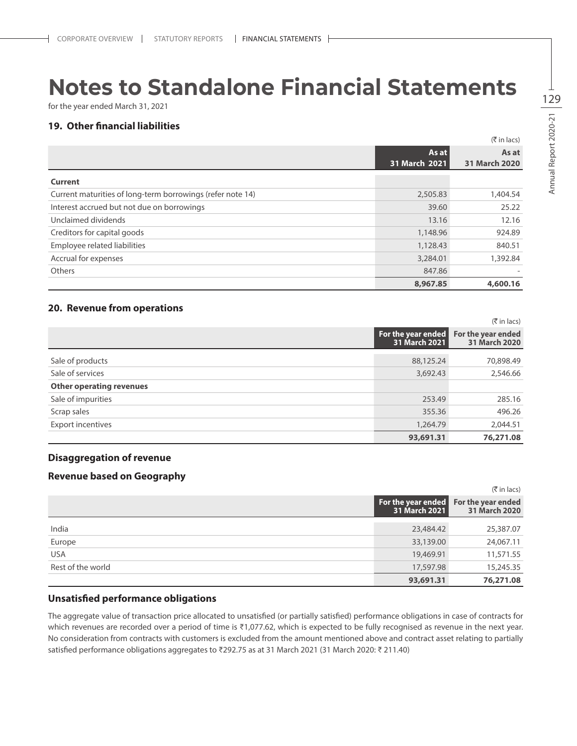for the year ended March 31, 2021

## **19. Other financial liabilities**

|                                                            |               | $(\overline{\mathfrak{k}})$ in lacs) |
|------------------------------------------------------------|---------------|--------------------------------------|
|                                                            | As at         | As at                                |
|                                                            | 31 March 2021 | <b>31 March 2020</b>                 |
| Current                                                    |               |                                      |
| Current maturities of long-term borrowings (refer note 14) | 2,505.83      | 1,404.54                             |
| Interest accrued but not due on borrowings                 | 39.60         | 25.22                                |
| Unclaimed dividends                                        | 13.16         | 12.16                                |
| Creditors for capital goods                                | 1,148.96      | 924.89                               |
| Employee related liabilities                               | 1,128.43      | 840.51                               |
| Accrual for expenses                                       | 3,284.01      | 1,392.84                             |
| Others                                                     | 847.86        |                                      |
|                                                            | 8,967.85      | 4,600.16                             |

## **20. Revenue from operations**

|                                 |                                     | $(\overline{\mathfrak{k}}$ in lacs) |
|---------------------------------|-------------------------------------|-------------------------------------|
|                                 | For the year ended<br>31 March 2021 | For the year ended<br>31 March 2020 |
| Sale of products                | 88,125.24                           | 70,898.49                           |
| Sale of services                | 3,692.43                            | 2,546.66                            |
| <b>Other operating revenues</b> |                                     |                                     |
| Sale of impurities              | 253.49                              | 285.16                              |
| Scrap sales                     | 355.36                              | 496.26                              |
| <b>Export incentives</b>        | 1,264.79                            | 2,044.51                            |
|                                 | 93,691.31                           | 76,271.08                           |

## **Disaggregation of revenue**

## **Revenue based on Geography**

|                   |                                                               | $(\overline{\mathfrak{k}}$ in lacs) |
|-------------------|---------------------------------------------------------------|-------------------------------------|
|                   | <b>For the year ended</b> For the year ended<br>31 March 2021 | 31 March 2020                       |
| India             | 23,484.42                                                     | 25,387.07                           |
| Europe            | 33,139.00                                                     | 24,067.11                           |
| <b>USA</b>        | 19,469.91                                                     | 11,571.55                           |
| Rest of the world | 17,597.98                                                     | 15,245.35                           |
|                   | 93,691.31                                                     | 76,271.08                           |

## **Unsatisfied performance obligations**

The aggregate value of transaction price allocated to unsatisfied (or partially satisfied) performance obligations in case of contracts for which revenues are recorded over a period of time is ₹1,077.62, which is expected to be fully recognised as revenue in the next year. No consideration from contracts with customers is excluded from the amount mentioned above and contract asset relating to partially satisfied performance obligations aggregates to ₹292.75 as at 31 March 2021 (31 March 2020: ₹ 211.40)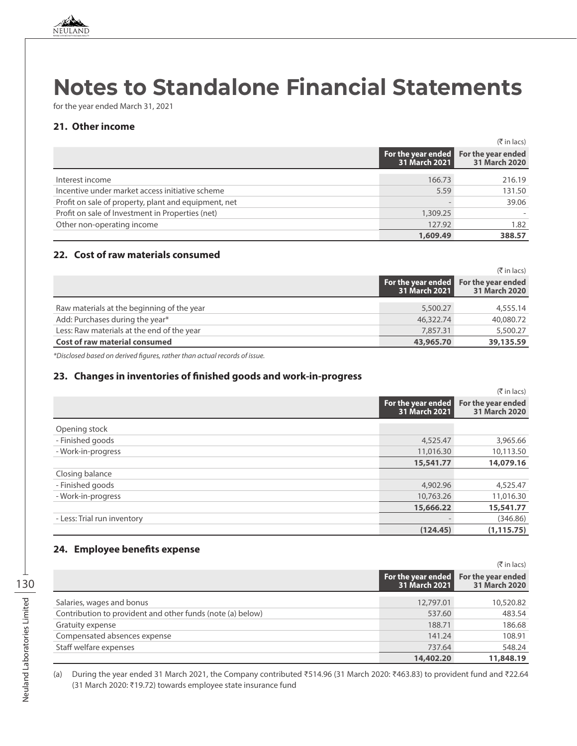for the year ended March 31, 2021

## **21. Other income**

|                                                      |                                       | $(\overline{\mathfrak{F}}$ in lacs) |
|------------------------------------------------------|---------------------------------------|-------------------------------------|
|                                                      | For the year ended  <br>31 March 2021 | For the year ended<br>31 March 2020 |
| Interest income                                      | 166.73                                | 216.19                              |
| Incentive under market access initiative scheme      | 5.59                                  | 131.50                              |
| Profit on sale of property, plant and equipment, net |                                       | 39.06                               |
| Profit on sale of Investment in Properties (net)     | 1,309.25                              |                                     |
| Other non-operating income                           | 127.92                                | 1.82                                |
|                                                      | 1,609.49                              | 388.57                              |

## **22. Cost of raw materials consumed**

|                                            |               | $(\overline{\mathfrak{F}}$ in lacs)                    |
|--------------------------------------------|---------------|--------------------------------------------------------|
|                                            | 31 March 2021 | For the year ended For the year ended<br>31 March 2020 |
| Raw materials at the beginning of the year | 5,500.27      | 4,555.14                                               |
| Add: Purchases during the year*            | 46,322.74     | 40,080.72                                              |
| Less: Raw materials at the end of the year | 7,857.31      | 5,500.27                                               |
| <b>Cost of raw material consumed</b>       | 43,965.70     | 39,135.59                                              |

*\*Disclosed based on derived figures, rather than actual records of issue.*

## **23. Changes in inventories of finished goods and work-in-progress**

|                             |                                     | $(\overline{\mathfrak{k}})$ in lacs) |
|-----------------------------|-------------------------------------|--------------------------------------|
|                             | For the year ended<br>31 March 2021 | For the year ended<br>31 March 2020  |
| Opening stock               |                                     |                                      |
| - Finished goods            | 4,525.47                            | 3,965.66                             |
| - Work-in-progress          | 11,016.30                           | 10,113.50                            |
|                             | 15,541.77                           | 14,079.16                            |
| Closing balance             |                                     |                                      |
| - Finished goods            | 4,902.96                            | 4,525.47                             |
| - Work-in-progress          | 10,763.26                           | 11,016.30                            |
|                             | 15,666.22                           | 15,541.77                            |
| - Less: Trial run inventory |                                     | (346.86)                             |
|                             | (124.45)                            | (1, 115.75)                          |

## **24. Employee benefits expense**

|                                                            |                                     | $(\overline{\mathfrak{F}}$ in lacs) |
|------------------------------------------------------------|-------------------------------------|-------------------------------------|
|                                                            | For the year ended<br>31 March 2021 | For the year ended<br>31 March 2020 |
| Salaries, wages and bonus                                  | 12,797.01                           | 10,520.82                           |
| Contribution to provident and other funds (note (a) below) | 537.60                              | 483.54                              |
| Gratuity expense                                           | 188.71                              | 186.68                              |
| Compensated absences expense                               | 141.24                              | 108.91                              |
| Staff welfare expenses                                     | 737.64                              | 548.24                              |
|                                                            | 14,402.20                           | 11,848.19                           |

(a) During the year ended 31 March 2021, the Company contributed ₹514.96 (31 March 2020: ₹463.83) to provident fund and ₹22.64 (31 March 2020: ₹19.72) towards employee state insurance fund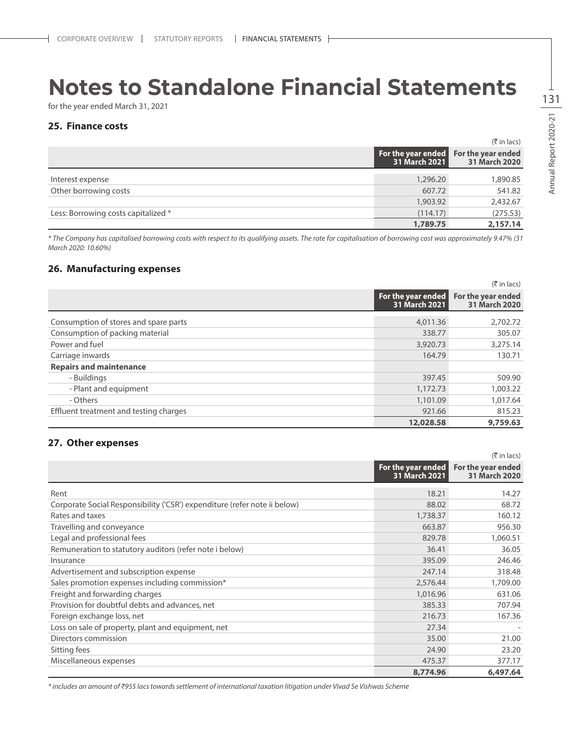for the year ended March 31, 2021

## **25. Finance costs**

|                                     |               | $(\overline{\mathfrak{k}}$ in lacs)                    |
|-------------------------------------|---------------|--------------------------------------------------------|
|                                     | 31 March 2021 | For the year ended For the year ended<br>31 March 2020 |
| Interest expense                    | 1,296.20      | 1,890.85                                               |
| Other borrowing costs               | 607.72        | 541.82                                                 |
|                                     | 1,903.92      | 2,432.67                                               |
| Less: Borrowing costs capitalized * | (114.17)      | (275.53)                                               |
|                                     | 1,789.75      | 2,157.14                                               |

*\* The Company has capitalised borrowing costs with respect to its qualifying assets. The rate for capitalisation of borrowing cost was approximately 9.47% (31 March 2020: 10.60%)*

## **26. Manufacturing expenses**

|                                        |                                     | $(\overline{\mathfrak{k}}$ in lacs) |
|----------------------------------------|-------------------------------------|-------------------------------------|
|                                        | For the year ended<br>31 March 2021 | For the year ended<br>31 March 2020 |
| Consumption of stores and spare parts  | 4,011.36                            | 2,702.72                            |
| Consumption of packing material        | 338.77                              | 305.07                              |
| Power and fuel                         | 3,920.73                            | 3,275.14                            |
| Carriage inwards                       | 164.79                              | 130.71                              |
| <b>Repairs and maintenance</b>         |                                     |                                     |
| - Buildings                            | 397.45                              | 509.90                              |
| - Plant and equipment                  | 1,172.73                            | 1,003.22                            |
| - Others                               | 1,101.09                            | 1,017.64                            |
| Effluent treatment and testing charges | 921.66                              | 815.23                              |
|                                        | 12,028.58                           | 9,759.63                            |

## **27. Other expenses**

|                                                                           |                                     | $(\overline{\mathfrak{F}})$ in lacs) |
|---------------------------------------------------------------------------|-------------------------------------|--------------------------------------|
|                                                                           | For the year ended<br>31 March 2021 | For the year ended<br>31 March 2020  |
| Rent                                                                      | 18.21                               | 14.27                                |
| Corporate Social Responsibility ('CSR') expenditure (refer note ii below) | 88.02                               | 68.72                                |
| Rates and taxes                                                           | 1,738.37                            | 160.12                               |
| Travelling and conveyance                                                 | 663.87                              | 956.30                               |
| Legal and professional fees                                               | 829.78                              | 1,060.51                             |
| Remuneration to statutory auditors (refer note i below)                   | 36.41                               | 36.05                                |
| Insurance                                                                 | 395.09                              | 246.46                               |
| Advertisement and subscription expense                                    | 247.14                              | 318.48                               |
| Sales promotion expenses including commission*                            | 2,576.44                            | 1,709.00                             |
| Freight and forwarding charges                                            | 1,016.96                            | 631.06                               |
| Provision for doubtful debts and advances, net                            | 385.33                              | 707.94                               |
| Foreign exchange loss, net                                                | 216.73                              | 167.36                               |
| Loss on sale of property, plant and equipment, net                        | 27.34                               |                                      |
| Directors commission                                                      | 35.00                               | 21.00                                |
| Sitting fees                                                              | 24.90                               | 23.20                                |
| Miscellaneous expenses                                                    | 475.37                              | 377.17                               |
|                                                                           | 8,774.96                            | 6,497.64                             |

*\* includes an amount of ₹955 lacs towards settlement of international taxation litigation under Vivad Se Vishwas Scheme*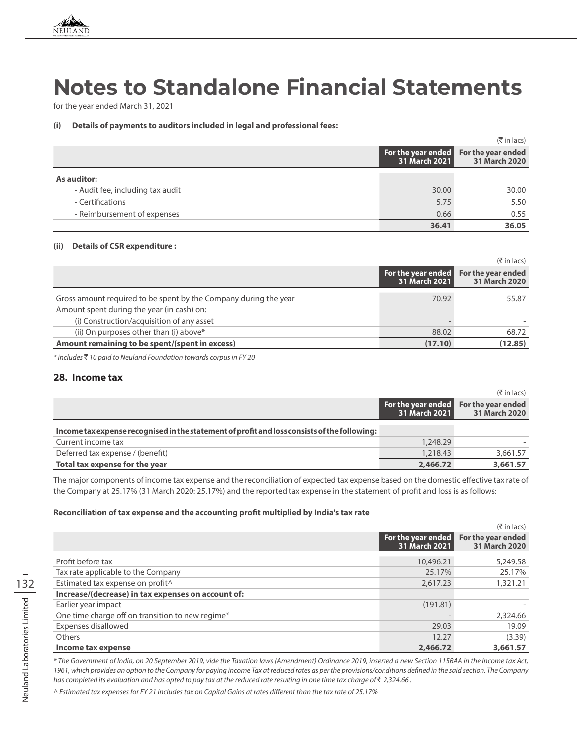for the year ended March 31, 2021

## **(i) Details of payments to auditors included in legal and professional fees:**

|                                  |               | $(\overline{\mathfrak{k}}$ in lacs)                    |
|----------------------------------|---------------|--------------------------------------------------------|
|                                  | 31 March 2021 | For the year ended For the year ended<br>31 March 2020 |
| As auditor:                      |               |                                                        |
| - Audit fee, including tax audit | 30.00         | 30.00                                                  |
| - Certifications                 | 5.75          | 5.50                                                   |
| - Reimbursement of expenses      | 0.66          | 0.55                                                   |
|                                  | 36.41         | 36.05                                                  |

## **(ii) Details of CSR expenditure :**

|                                                                  |                                     | $(\overline{\mathfrak{k}})$ in lacs) |
|------------------------------------------------------------------|-------------------------------------|--------------------------------------|
|                                                                  | For the year ended<br>31 March 2021 | For the year ended<br>31 March 2020  |
| Gross amount required to be spent by the Company during the year | 70.92                               | 55.87                                |
| Amount spent during the year (in cash) on:                       |                                     |                                      |
| (i) Construction/acquisition of any asset                        |                                     |                                      |
| (ii) On purposes other than (i) above*                           | 88.02                               | 68.72                                |
| Amount remaining to be spent/(spent in excess)                   | (17.10)                             | (12.85)                              |

*\* includes* ` *10 paid to Neuland Foundation towards corpus in FY 20*

## **28. Income tax**

|                                                                                              |               | (₹ in lacs)                                            |
|----------------------------------------------------------------------------------------------|---------------|--------------------------------------------------------|
|                                                                                              | 31 March 2021 | For the year ended For the year ended<br>31 March 2020 |
| Income tax expense recognised in the statement of profit and loss consists of the following: |               |                                                        |
| Current income tax                                                                           | 1,248.29      |                                                        |
| Deferred tax expense / (benefit)                                                             | 1,218.43      | 3,661.57                                               |
| Total tax expense for the year                                                               | 2,466.72      | 3,661.57                                               |

The major components of income tax expense and the reconciliation of expected tax expense based on the domestic effective tax rate of the Company at 25.17% (31 March 2020: 25.17%) and the reported tax expense in the statement of profit and loss is as follows:

## **Reconciliation of tax expense and the accounting profit multiplied by India's tax rate**

|                                                    |                                     | (₹ in lacs)                         |
|----------------------------------------------------|-------------------------------------|-------------------------------------|
|                                                    | For the year ended<br>31 March 2021 | For the year ended<br>31 March 2020 |
| Profit before tax                                  | 10,496.21                           | 5,249.58                            |
| Tax rate applicable to the Company                 | 25.17%                              | 25.17%                              |
| Estimated tax expense on profit^                   | 2,617.23                            | 1,321.21                            |
| Increase/(decrease) in tax expenses on account of: |                                     |                                     |
| Earlier year impact                                | (191.81)                            |                                     |
| One time charge off on transition to new regime*   |                                     | 2,324.66                            |
| Expenses disallowed                                | 29.03                               | 19.09                               |
| <b>Others</b>                                      | 12.27                               | (3.39)                              |
| Income tax expense                                 | 2,466.72                            | 3,661.57                            |

*\* The Government of India, on 20 September 2019, vide the Taxation laws (Amendment) Ordinance 2019, inserted a new Section 115BAA in the Income tax Act, 1961, which provides an option to the Company for paying income Tax at reduced rates as per the provisions/conditions defined in the said section. The Company has completed its evaluation and has opted to pay tax at the reduced rate resulting in one time tax charge of ₹ 2,324.66.* 

*^ Estimated tax expenses for FY 21 includes tax on Capital Gains at rates different than the tax rate of 25.17%*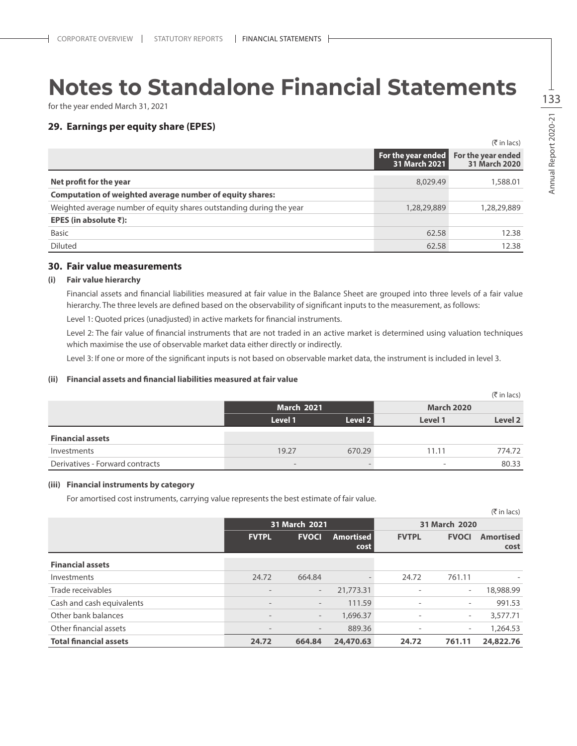for the year ended March 31, 2021

## **29. Earnings per equity share (EPES)**

|                                                                      |                                     | $(\overline{\mathfrak{k}})$ in lacs) |
|----------------------------------------------------------------------|-------------------------------------|--------------------------------------|
|                                                                      | For the year ended<br>31 March 2021 | For the year ended<br>31 March 2020  |
| Net profit for the year                                              | 8.029.49                            | 1,588.01                             |
| Computation of weighted average number of equity shares:             |                                     |                                      |
| Weighted average number of equity shares outstanding during the year | 1,28,29,889                         | 1,28,29,889                          |
| <b>EPES (in absolute ₹):</b>                                         |                                     |                                      |
| <b>Basic</b>                                                         | 62.58                               | 12.38                                |
| <b>Diluted</b>                                                       | 62.58                               | 12.38                                |

## **30. Fair value measurements**

## **(i) Fair value hierarchy**

Financial assets and financial liabilities measured at fair value in the Balance Sheet are grouped into three levels of a fair value hierarchy. The three levels are defined based on the observability of significant inputs to the measurement, as follows:

Level 1: Quoted prices (unadjusted) in active markets for financial instruments.

Level 2: The fair value of financial instruments that are not traded in an active market is determined using valuation techniques which maximise the use of observable market data either directly or indirectly.

Level 3: If one or more of the significant inputs is not based on observable market data, the instrument is included in level 3.

## **(ii) Financial assets and financial liabilities measured at fair value**

|                                 |         |            |         | $(\overline{\mathfrak{k}}$ in lacs) |
|---------------------------------|---------|------------|---------|-------------------------------------|
|                                 |         | March 2021 |         | <b>March 2020</b>                   |
|                                 | Level 1 | Level 2    | Level 1 | Level 2                             |
| <b>Financial assets</b>         |         |            |         |                                     |
| Investments                     | 19.27   | 670.29     | 11.11   | 774.72                              |
| Derivatives - Forward contracts |         |            |         | 80.33                               |

#### **(iii) Financial instruments by category**

For amortised cost instruments, carrying value represents the best estimate of fair value.

|                               |                          |                          |                          |                          |                          | $(\overline{\mathfrak{k}}$ in lacs) |
|-------------------------------|--------------------------|--------------------------|--------------------------|--------------------------|--------------------------|-------------------------------------|
|                               |                          | 31 March 2021            |                          |                          | 31 March 2020            |                                     |
|                               | <b>FVTPL</b>             | <b>FVOCI</b>             | <b>Amortised</b><br>cost | <b>FVTPL</b>             | <b>FVOCI</b>             | <b>Amortised</b><br>cost            |
| <b>Financial assets</b>       |                          |                          |                          |                          |                          |                                     |
| Investments                   | 24.72                    | 664.84                   |                          | 24.72                    | 761.11                   |                                     |
| Trade receivables             |                          | $\overline{\phantom{a}}$ | 21,773.31                | $\overline{\phantom{0}}$ | $\overline{\phantom{a}}$ | 18,988.99                           |
| Cash and cash equivalents     | $\overline{\phantom{0}}$ | $-$                      | 111.59                   | $\overline{\phantom{a}}$ | $\overline{\phantom{a}}$ | 991.53                              |
| Other bank balances           | $\overline{\phantom{a}}$ | $\overline{\phantom{a}}$ | 1,696.37                 | $\overline{\phantom{a}}$ | $\overline{\phantom{a}}$ | 3,577.71                            |
| Other financial assets        | $\overline{\phantom{a}}$ | $\overline{\phantom{a}}$ | 889.36                   | $\overline{\phantom{a}}$ | $\overline{\phantom{a}}$ | 1,264.53                            |
| <b>Total financial assets</b> | 24.72                    | 664.84                   | 24,470.63                | 24.72                    | 761.11                   | 24,822.76                           |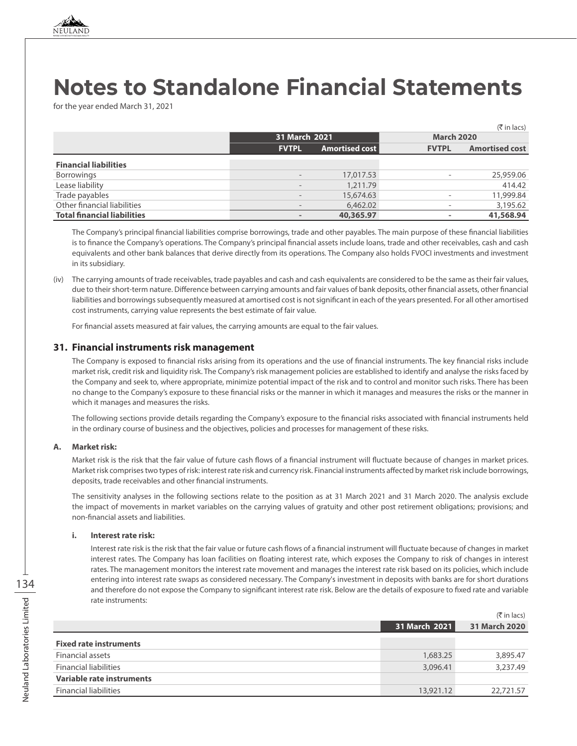for the year ended March 31, 2021

|                                    |                          |                |                   | $(\overline{\mathfrak{k}}$ in lacs) |
|------------------------------------|--------------------------|----------------|-------------------|-------------------------------------|
|                                    | 31 March 2021            |                | <b>March 2020</b> |                                     |
|                                    | <b>FVTPL</b>             | Amortised cost | <b>FVTPL</b>      | <b>Amortised cost</b>               |
| <b>Financial liabilities</b>       |                          |                |                   |                                     |
| <b>Borrowings</b>                  | $\overline{\phantom{0}}$ | 17,017.53      | $\qquad \qquad -$ | 25,959.06                           |
| Lease liability                    |                          | 1,211.79       |                   | 414.42                              |
| Trade payables                     | $\overline{\phantom{0}}$ | 15,674.63      | $\qquad \qquad -$ | 11,999.84                           |
| Other financial liabilities        |                          | 6,462.02       | $\qquad \qquad -$ | 3,195.62                            |
| <b>Total financial liabilities</b> |                          | 40,365.97      | ٠                 | 41,568.94                           |

The Company's principal financial liabilities comprise borrowings, trade and other payables. The main purpose of these financial liabilities is to finance the Company's operations. The Company's principal financial assets include loans, trade and other receivables, cash and cash equivalents and other bank balances that derive directly from its operations. The Company also holds FVOCI investments and investment in its subsidiary.

(iv) The carrying amounts of trade receivables, trade payables and cash and cash equivalents are considered to be the same as their fair values, due to their short-term nature. Difference between carrying amounts and fair values of bank deposits, other financial assets, other financial liabilities and borrowings subsequently measured at amortised cost is not significant in each of the years presented. For all other amortised cost instruments, carrying value represents the best estimate of fair value.

For financial assets measured at fair values, the carrying amounts are equal to the fair values.

## **31. Financial instruments risk management**

The Company is exposed to financial risks arising from its operations and the use of financial instruments. The key financial risks include market risk, credit risk and liquidity risk. The Company's risk management policies are established to identify and analyse the risks faced by the Company and seek to, where appropriate, minimize potential impact of the risk and to control and monitor such risks. There has been no change to the Company's exposure to these financial risks or the manner in which it manages and measures the risks or the manner in which it manages and measures the risks.

The following sections provide details regarding the Company's exposure to the financial risks associated with financial instruments held in the ordinary course of business and the objectives, policies and processes for management of these risks.

#### **A. Market risk:**

Market risk is the risk that the fair value of future cash flows of a financial instrument will fluctuate because of changes in market prices. Market risk comprises two types of risk: interest rate risk and currency risk. Financial instruments affected by market risk include borrowings, deposits, trade receivables and other financial instruments.

The sensitivity analyses in the following sections relate to the position as at 31 March 2021 and 31 March 2020. The analysis exclude the impact of movements in market variables on the carrying values of gratuity and other post retirement obligations; provisions; and non-financial assets and liabilities.

#### **i. Interest rate risk:**

Interest rate risk is the risk that the fair value or future cash flows of a financial instrument will fluctuate because of changes in market interest rates. The Company has loan facilities on floating interest rate, which exposes the Company to risk of changes in interest rates. The management monitors the interest rate movement and manages the interest rate risk based on its policies, which include entering into interest rate swaps as considered necessary. The Company's investment in deposits with banks are for short durations and therefore do not expose the Company to significant interest rate risk. Below are the details of exposure to fixed rate and variable rate instruments:

|                               |               | (₹ in lacs)   |
|-------------------------------|---------------|---------------|
|                               | 31 March 2021 | 31 March 2020 |
| <b>Fixed rate instruments</b> |               |               |
| Financial assets              | 1,683.25      | 3,895.47      |
| Financial liabilities         | 3,096.41      | 3,237.49      |
| Variable rate instruments     |               |               |
| Financial liabilities         | 13,921.12     | 22,721.57     |
|                               |               |               |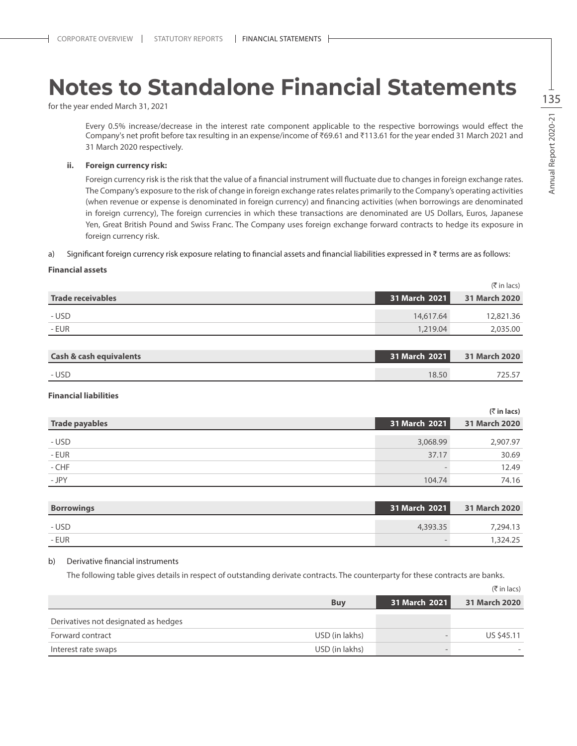for the year ended March 31, 2021

Every 0.5% increase/decrease in the interest rate component applicable to the respective borrowings would effect the Company's net profit before tax resulting in an expense/income of ₹69.61 and ₹113.61 for the year ended 31 March 2021 and 31 March 2020 respectively.

#### **ii. Foreign currency risk:**

Foreign currency risk is the risk that the value of a financial instrument will fluctuate due to changes in foreign exchange rates. The Company's exposure to the risk of change in foreign exchange rates relates primarily to the Company's operating activities (when revenue or expense is denominated in foreign currency) and financing activities (when borrowings are denominated in foreign currency), The foreign currencies in which these transactions are denominated are US Dollars, Euros, Japanese Yen, Great British Pound and Swiss Franc. The Company uses foreign exchange forward contracts to hedge its exposure in foreign currency risk.

### a) Significant foreign currency risk exposure relating to financial assets and financial liabilities expressed in ₹ terms are as follows:

#### **Financial assets**

|                          |               | (₹ in lacs)   |
|--------------------------|---------------|---------------|
| <b>Trade receivables</b> | 31 March 2021 | 31 March 2020 |
| - USD                    | 14,617,64     | 12,821.36     |
| - EUR                    | 1,219.04      | 2,035.00      |
|                          |               |               |

| <b>Cash &amp; cash equivalents</b> | <b>31 March 2021 N</b> | 31 March 2020 |
|------------------------------------|------------------------|---------------|
| - USD                              | 18.50                  | 725.57        |
|                                    |                        |               |

## **Financial liabilities**

|                       |               | (₹ in lacs)   |
|-----------------------|---------------|---------------|
| <b>Trade payables</b> | 31 March 2021 | 31 March 2020 |
|                       |               |               |
| - USD                 | 3,068.99      | 2,907.97      |
| - EUR                 | 37.17         | 30.69         |
| - CHF                 |               | 12.49         |
| - JPY                 | 104.74        | 74.16         |

| <b>Borrowings</b> | 31 March 2021 | 31 March 2020 |
|-------------------|---------------|---------------|
| - USD             | 4,393.35      | 7,294.13      |
| - EUR             |               | 1,324.25      |

#### b) Derivative financial instruments

The following table gives details in respect of outstanding derivate contracts. The counterparty for these contracts are banks.

|                                      |                |               | (₹ in lacs)   |
|--------------------------------------|----------------|---------------|---------------|
|                                      | <b>Buy</b>     | 31 March 2021 | 31 March 2020 |
| Derivatives not designated as hedges |                |               |               |
| Forward contract                     | USD (in lakhs) |               | US \$45.11    |
| Interest rate swaps                  | USD (in lakhs) |               |               |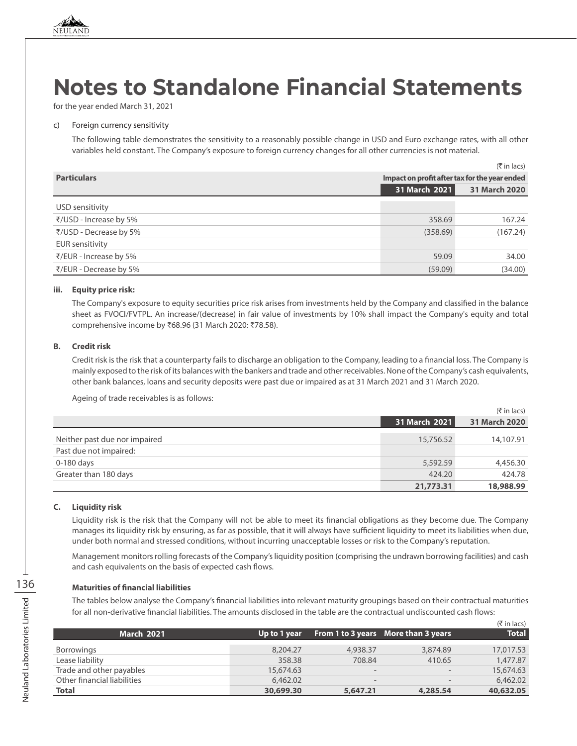for the year ended March 31, 2021

## c) Foreign currency sensitivity

The following table demonstrates the sensitivity to a reasonably possible change in USD and Euro exchange rates, with all other variables held constant. The Company's exposure to foreign currency changes for all other currencies is not material.

|                        |                                               | $(\overline{\mathfrak{k}}$ in lacs) |
|------------------------|-----------------------------------------------|-------------------------------------|
| <b>Particulars</b>     | Impact on profit after tax for the year ended |                                     |
|                        | 31 March 2021                                 | 31 March 2020                       |
| USD sensitivity        |                                               |                                     |
| ₹/USD - Increase by 5% | 358.69                                        | 167.24                              |
| ₹/USD - Decrease by 5% | (358.69)                                      | (167.24)                            |
| EUR sensitivity        |                                               |                                     |
| ₹/EUR - Increase by 5% | 59.09                                         | 34.00                               |
| ₹/EUR - Decrease by 5% | (59.09)                                       | (34.00)                             |

#### **iii. Equity price risk:**

The Company's exposure to equity securities price risk arises from investments held by the Company and classified in the balance sheet as FVOCI/FVTPL. An increase/(decrease) in fair value of investments by 10% shall impact the Company's equity and total comprehensive income by ₹68.96 (31 March 2020: ₹78.58).

## **B. Credit risk**

Credit risk is the risk that a counterparty fails to discharge an obligation to the Company, leading to a financial loss. The Company is mainly exposed to the risk of its balances with the bankers and trade and other receivables. None of the Company's cash equivalents, other bank balances, loans and security deposits were past due or impaired as at 31 March 2021 and 31 March 2020.

Ageing of trade receivables is as follows:

|                               |               | (₹ in lacs)   |
|-------------------------------|---------------|---------------|
|                               | 31 March 2021 | 31 March 2020 |
| Neither past due nor impaired | 15,756.52     | 14,107.91     |
| Past due not impaired:        |               |               |
| $0-180$ days                  | 5,592.59      | 4,456.30      |
| Greater than 180 days         | 424.20        | 424.78        |
|                               | 21,773.31     | 18,988.99     |

### **C. Liquidity risk**

Liquidity risk is the risk that the Company will not be able to meet its financial obligations as they become due. The Company manages its liquidity risk by ensuring, as far as possible, that it will always have sufficient liquidity to meet its liabilities when due, under both normal and stressed conditions, without incurring unacceptable losses or risk to the Company's reputation.

Management monitors rolling forecasts of the Company's liquidity position (comprising the undrawn borrowing facilities) and cash and cash equivalents on the basis of expected cash flows.

#### **Maturities of financial liabilities**

The tables below analyse the Company's financial liabilities into relevant maturity groupings based on their contractual maturities for all non-derivative financial liabilities. The amounts disclosed in the table are the contractual undiscounted cash flows:

 $(\bar{z}$  in lacs)

| <b>March 2021</b>           | Up to 1 year |                          | From 1 to 3 years More than 3 years | , , ,, , , ,, ,, ,<br><b>Total</b> |
|-----------------------------|--------------|--------------------------|-------------------------------------|------------------------------------|
| Borrowings                  | 8,204,27     | 4,938.37                 | 3,874.89                            | 17,017.53                          |
| Lease liability             | 358.38       | 708.84                   | 410.65                              | 1,477.87                           |
| Trade and other payables    | 15,674.63    | $\overline{\phantom{a}}$ | $\qquad \qquad$                     | 15,674.63                          |
| Other financial liabilities | 6,462.02     | $\overline{\phantom{a}}$ | $\qquad \qquad$                     | 6,462.02                           |
| <b>Total</b>                | 30,699.30    | 5,647.21                 | 4,285.54                            | 40,632.05                          |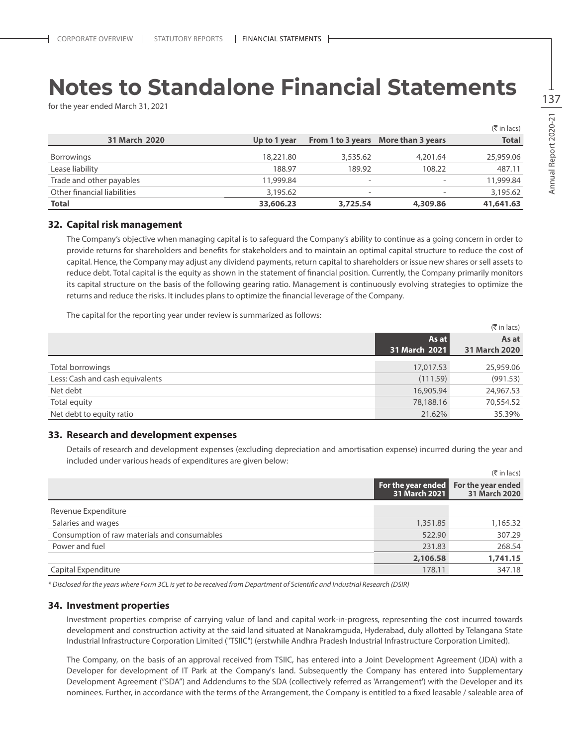for the year ended March 31, 2021

|                             |              |                              |                                     | $(\overline{\xi}$ in lacs) |
|-----------------------------|--------------|------------------------------|-------------------------------------|----------------------------|
| 31 March 2020               | Up to 1 year |                              | From 1 to 3 years More than 3 years | <b>Total</b>               |
| Borrowings                  | 18,221.80    | 3,535.62                     | 4,201.64                            | 25,959.06                  |
| Lease liability             | 188.97       | 189.92                       | 108.22                              | 487.11                     |
| Trade and other payables    | 11,999.84    | $\overline{\phantom{0}}$     | $\overline{\phantom{a}}$            | 11,999.84                  |
| Other financial liabilities | 3,195.62     | $\qquad \qquad \blacksquare$ | $\overline{\phantom{0}}$            | 3,195.62                   |
| <b>Total</b>                | 33,606.23    | 3,725.54                     | 4,309.86                            | 41,641.63                  |

## **32. Capital risk management**

 The Company's objective when managing capital is to safeguard the Company's ability to continue as a going concern in order to provide returns for shareholders and benefits for stakeholders and to maintain an optimal capital structure to reduce the cost of capital. Hence, the Company may adjust any dividend payments, return capital to shareholders or issue new shares or sell assets to reduce debt. Total capital is the equity as shown in the statement of financial position. Currently, the Company primarily monitors its capital structure on the basis of the following gearing ratio. Management is continuously evolving strategies to optimize the returns and reduce the risks. It includes plans to optimize the financial leverage of the Company.

The capital for the reporting year under review is summarized as follows:

|                                 |               | $(\overline{\mathfrak{k}}$ in lacs) |
|---------------------------------|---------------|-------------------------------------|
|                                 | As at         | As at                               |
|                                 | 31 March 2021 | 31 March 2020                       |
| Total borrowings                | 17,017.53     | 25,959.06                           |
| Less: Cash and cash equivalents | (111.59)      | (991.53)                            |
| Net debt                        | 16,905.94     | 24,967.53                           |
| Total equity                    | 78,188.16     | 70,554.52                           |
| Net debt to equity ratio        | 21.62%        | 35.39%                              |

## **33. Research and development expenses**

 Details of research and development expenses (excluding depreciation and amortisation expense) incurred during the year and included under various heads of expenditures are given below:

|                                              |                                     | (₹ in lacs)                         |
|----------------------------------------------|-------------------------------------|-------------------------------------|
|                                              | For the year ended<br>31 March 2021 | For the year ended<br>31 March 2020 |
| Revenue Expenditure                          |                                     |                                     |
| Salaries and wages                           | 1,351.85                            | 1,165.32                            |
| Consumption of raw materials and consumables | 522.90                              | 307.29                              |
| Power and fuel                               | 231.83                              | 268.54                              |
|                                              | 2,106.58                            | 1,741.15                            |
| Capital Expenditure                          | 178.11                              | 347.18                              |

*\* Disclosed for the years where Form 3CL is yet to be received from Department of Scientific and Industrial Research (DSIR)*

## **34. Investment properties**

 Investment properties comprise of carrying value of land and capital work-in-progress, representing the cost incurred towards development and construction activity at the said land situated at Nanakramguda, Hyderabad, duly allotted by Telangana State Industrial Infrastructure Corporation Limited ("TSIIC") (erstwhile Andhra Pradesh Industrial Infrastructure Corporation Limited).

The Company, on the basis of an approval received from TSIIC, has entered into a Joint Development Agreement (JDA) with a Developer for development of IT Park at the Company's land. Subsequently the Company has entered into Supplementary Development Agreement ("SDA") and Addendums to the SDA (collectively referred as 'Arrangement') with the Developer and its nominees. Further, in accordance with the terms of the Arrangement, the Company is entitled to a fixed leasable / saleable area of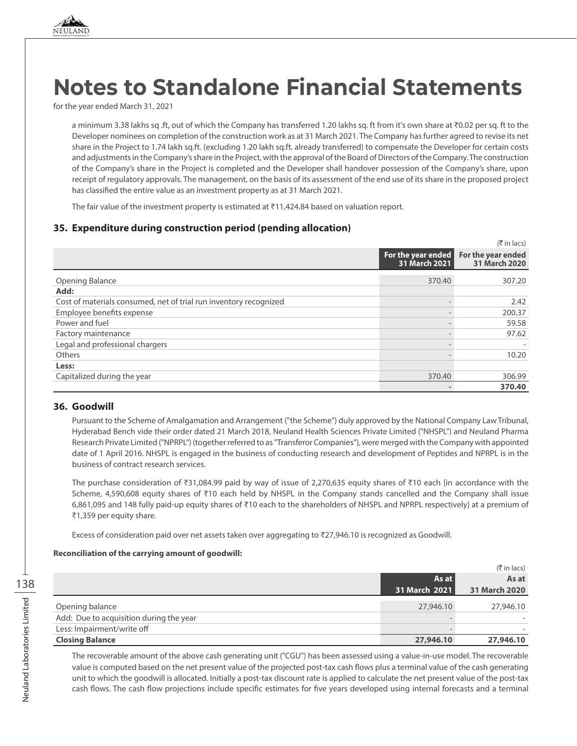

for the year ended March 31, 2021

a minimum 3.38 lakhs sq .ft, out of which the Company has transferred 1.20 lakhs sq. ft from it's own share at ₹0.02 per sq. ft to the Developer nominees on completion of the construction work as at 31 March 2021. The Company has further agreed to revise its net share in the Project to 1.74 lakh sq.ft. (excluding 1.20 lakh sq.ft. already transferred) to compensate the Developer for certain costs and adjustments in the Company's share in the Project, with the approval of the Board of Directors of the Company. The construction of the Company's share in the Project is completed and the Developer shall handover possession of the Company's share, upon receipt of regulatory approvals. The management, on the basis of its assessment of the end use of its share in the proposed project has classified the entire value as an investment property as at 31 March 2021.

The fair value of the investment property is estimated at ₹11,424.84 based on valuation report.

## **35. Expenditure during construction period (pending allocation)**

|                                                                   |                                     | $(\overline{\mathfrak{k}}$ in lacs) |
|-------------------------------------------------------------------|-------------------------------------|-------------------------------------|
|                                                                   | For the year ended<br>31 March 2021 | For the year ended<br>31 March 2020 |
| Opening Balance                                                   | 370.40                              | 307.20                              |
| Add:                                                              |                                     |                                     |
| Cost of materials consumed, net of trial run inventory recognized |                                     | 2.42                                |
| Employee benefits expense                                         |                                     | 200.37                              |
| Power and fuel                                                    |                                     | 59.58                               |
| Factory maintenance                                               |                                     | 97.62                               |
| Legal and professional chargers                                   |                                     |                                     |
| Others                                                            |                                     | 10.20                               |
| Less:                                                             |                                     |                                     |
| Capitalized during the year                                       | 370.40                              | 306.99                              |
|                                                                   |                                     | 370.40                              |

## **36. Goodwill**

 Pursuant to the Scheme of Amalgamation and Arrangement ("the Scheme") duly approved by the National Company Law Tribunal, Hyderabad Bench vide their order dated 21 March 2018, Neuland Health Sciences Private Limited ("NHSPL") and Neuland Pharma Research Private Limited ("NPRPL") (together referred to as "Transferor Companies"), were merged with the Company with appointed date of 1 April 2016. NHSPL is engaged in the business of conducting research and development of Peptides and NPRPL is in the business of contract research services.

The purchase consideration of ₹31,084.99 paid by way of issue of 2,270,635 equity shares of ₹10 each [in accordance with the Scheme, 4,590,608 equity shares of ₹10 each held by NHSPL in the Company stands cancelled and the Company shall issue 6,861,095 and 148 fully paid-up equity shares of ₹10 each to the shareholders of NHSPL and NPRPL respectively] at a premium of ₹1,359 per equity share.

Excess of consideration paid over net assets taken over aggregating to ₹27,946.10 is recognized as Goodwill.

## **Reconciliation of the carrying amount of goodwill:**

|                                         |               | $(\overline{\mathfrak{F}}$ in lacs) |
|-----------------------------------------|---------------|-------------------------------------|
|                                         | As at         | As at                               |
|                                         | 31 March 2021 | 31 March 2020                       |
| Opening balance                         | 27,946.10     | 27,946.10                           |
| Add: Due to acquisition during the year |               |                                     |
| Less: Impairment/write off              |               |                                     |
| <b>Closing Balance</b>                  | 27,946.10     | 27,946.10                           |

The recoverable amount of the above cash generating unit ("CGU") has been assessed using a value-in-use model. The recoverable value is computed based on the net present value of the projected post-tax cash flows plus a terminal value of the cash generating unit to which the goodwill is allocated. Initially a post-tax discount rate is applied to calculate the net present value of the post-tax cash flows. The cash flow projections include specific estimates for five years developed using internal forecasts and a terminal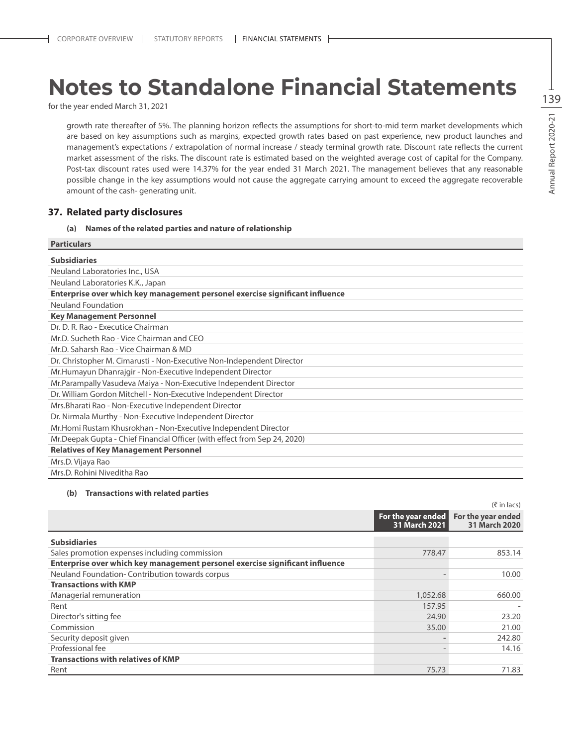for the year ended March 31, 2021

growth rate thereafter of 5%. The planning horizon reflects the assumptions for short-to-mid term market developments which are based on key assumptions such as margins, expected growth rates based on past experience, new product launches and management's expectations / extrapolation of normal increase / steady terminal growth rate. Discount rate reflects the current market assessment of the risks. The discount rate is estimated based on the weighted average cost of capital for the Company. Post-tax discount rates used were 14.37% for the year ended 31 March 2021. The management believes that any reasonable possible change in the key assumptions would not cause the aggregate carrying amount to exceed the aggregate recoverable amount of the cash- generating unit.

## **37. Related party disclosures**

### **(a) Names of the related parties and nature of relationship**

## **Particulars Subsidiaries** Neuland Laboratories Inc., USA Neuland Laboratories K.K., Japan **Enterprise over which key management personel exercise significant influence** Neuland Foundation **Key Management Personnel** Dr. D. R. Rao - Executice Chairman Mr.D. Sucheth Rao - Vice Chairman and CEO Mr.D. Saharsh Rao - Vice Chairman & MD Dr. Christopher M. Cimarusti - Non-Executive Non-Independent Director Mr.Humayun Dhanrajgir - Non-Executive Independent Director Mr.Parampally Vasudeva Maiya - Non-Executive Independent Director Dr. William Gordon Mitchell - Non-Executive Independent Director Mrs.Bharati Rao - Non-Executive Independent Director Dr. Nirmala Murthy - Non-Executive Independent Director Mr.Homi Rustam Khusrokhan - Non-Executive Independent Director Mr.Deepak Gupta - Chief Financial Officer (with effect from Sep 24, 2020) **Relatives of Key Management Personnel** Mrs.D. Vijaya Rao

Mrs.D. Rohini Niveditha Rao

### **(b) Transactions with related parties**

|                                                                              |                                     | $(\overline{\mathfrak{k}}$ in lacs) |
|------------------------------------------------------------------------------|-------------------------------------|-------------------------------------|
|                                                                              | For the year ended<br>31 March 2021 | For the year ended<br>31 March 2020 |
| <b>Subsidiaries</b>                                                          |                                     |                                     |
| Sales promotion expenses including commission                                | 778.47                              | 853.14                              |
| Enterprise over which key management personel exercise significant influence |                                     |                                     |
| Neuland Foundation- Contribution towards corpus                              |                                     | 10.00                               |
| <b>Transactions with KMP</b>                                                 |                                     |                                     |
| Managerial remuneration                                                      | 1,052.68                            | 660.00                              |
| Rent                                                                         | 157.95                              |                                     |
| Director's sitting fee                                                       | 24.90                               | 23.20                               |
| Commission                                                                   | 35.00                               | 21.00                               |
| Security deposit given                                                       |                                     | 242.80                              |
| Professional fee                                                             |                                     | 14.16                               |
| <b>Transactions with relatives of KMP</b>                                    |                                     |                                     |
| Rent                                                                         | 75.73                               | 71.83                               |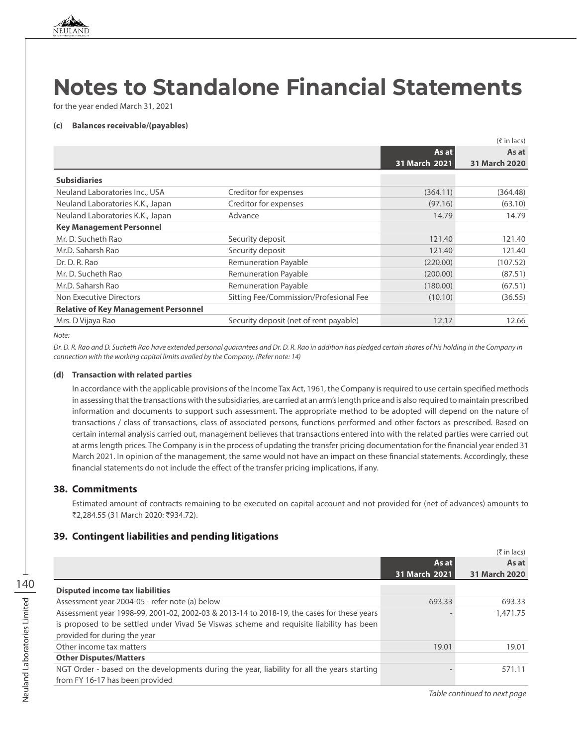for the year ended March 31, 2021

## **(c) Balances receivable/(payables)**

|                                             |                                        |               | $(\overline{\mathfrak{k}})$ in lacs) |
|---------------------------------------------|----------------------------------------|---------------|--------------------------------------|
|                                             |                                        | As at         | As at                                |
|                                             |                                        | 31 March 2021 | 31 March 2020                        |
| <b>Subsidiaries</b>                         |                                        |               |                                      |
| Neuland Laboratories Inc., USA              | Creditor for expenses                  | (364.11)      | (364.48)                             |
| Neuland Laboratories K.K., Japan            | Creditor for expenses                  | (97.16)       | (63.10)                              |
| Neuland Laboratories K.K., Japan            | Advance                                | 14.79         | 14.79                                |
| <b>Key Management Personnel</b>             |                                        |               |                                      |
| Mr. D. Sucheth Rao                          | Security deposit                       | 121.40        | 121.40                               |
| Mr.D. Saharsh Rao                           | Security deposit                       | 121.40        | 121.40                               |
| Dr. D. R. Rao                               | <b>Remuneration Payable</b>            | (220.00)      | (107.52)                             |
| Mr. D. Sucheth Rao                          | Remuneration Payable                   | (200.00)      | (87.51)                              |
| Mr.D. Saharsh Rao                           | <b>Remuneration Payable</b>            | (180.00)      | (67.51)                              |
| Non Executive Directors                     | Sitting Fee/Commission/Profesional Fee | (10.10)       | (36.55)                              |
| <b>Relative of Key Management Personnel</b> |                                        |               |                                      |
| Mrs. D Vijaya Rao                           | Security deposit (net of rent payable) | 12.17         | 12.66                                |
|                                             |                                        |               |                                      |

#### *Note:*

Dr. D. R. Rao and D. Sucheth Rao have extended personal guarantees and Dr. D. R. Rao in addition has pledged certain shares of his holding in the Company in *connection with the working capital limits availed by the Company. (Refer note: 14)*

### **(d) Transaction with related parties**

In accordance with the applicable provisions of the Income Tax Act, 1961, the Company is required to use certain specified methods in assessing that the transactions with the subsidiaries, are carried at an arm's length price and is also required to maintain prescribed information and documents to support such assessment. The appropriate method to be adopted will depend on the nature of transactions / class of transactions, class of associated persons, functions performed and other factors as prescribed. Based on certain internal analysis carried out, management believes that transactions entered into with the related parties were carried out at arms length prices. The Company is in the process of updating the transfer pricing documentation for the financial year ended 31 March 2021. In opinion of the management, the same would not have an impact on these financial statements. Accordingly, these financial statements do not include the effect of the transfer pricing implications, if any.

## **38. Commitments**

 Estimated amount of contracts remaining to be executed on capital account and not provided for (net of advances) amounts to ₹2,284.55 (31 March 2020: ₹934.72).

## **39. Contingent liabilities and pending litigations**

|                                                                                             |               | $(5 \in \mathsf{In} \mathsf{lacs})$ |
|---------------------------------------------------------------------------------------------|---------------|-------------------------------------|
|                                                                                             | As at         | As at                               |
|                                                                                             | 31 March 2021 | 31 March 2020                       |
| <b>Disputed income tax liabilities</b>                                                      |               |                                     |
| Assessment year 2004-05 - refer note (a) below                                              | 693.33        | 693.33                              |
| Assessment year 1998-99, 2001-02, 2002-03 & 2013-14 to 2018-19, the cases for these years   |               | 1,471.75                            |
| is proposed to be settled under Vivad Se Viswas scheme and requisite liability has been     |               |                                     |
| provided for during the year                                                                |               |                                     |
| Other income tax matters                                                                    | 19.01         | 19.01                               |
| <b>Other Disputes/Matters</b>                                                               |               |                                     |
| NGT Order - based on the developments during the year, liability for all the years starting |               | 571.11                              |
| from FY 16-17 has been provided                                                             |               |                                     |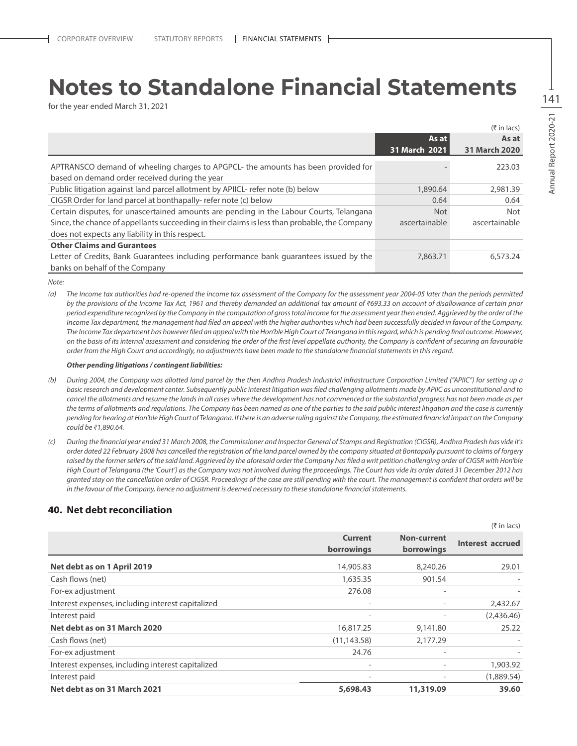for the year ended March 31, 2021

|                                                                                                                                     |               | $(5 \in \mathsf{In} \mathsf{lacs})$ |
|-------------------------------------------------------------------------------------------------------------------------------------|---------------|-------------------------------------|
|                                                                                                                                     | As at         | As at                               |
|                                                                                                                                     | 31 March 2021 | 31 March 2020                       |
| APTRANSCO demand of wheeling charges to APGPCL- the amounts has been provided for<br>based on demand order received during the year |               | 223.03                              |
| Public litigation against land parcel allotment by APIICL- refer note (b) below                                                     | 1,890.64      | 2,981.39                            |
| CIGSR Order for land parcel at bonthapally-refer note (c) below                                                                     | 0.64          | 0.64                                |
| Certain disputes, for unascertained amounts are pending in the Labour Courts, Telangana                                             | <b>Not</b>    | Not                                 |
| Since, the chance of appellants succeeding in their claims is less than probable, the Company                                       | ascertainable | ascertainable                       |
| does not expects any liability in this respect.                                                                                     |               |                                     |
| <b>Other Claims and Gurantees</b>                                                                                                   |               |                                     |
| Letter of Credits, Bank Guarantees including performance bank guarantees issued by the                                              | 7,863.71      | 6,573.24                            |
| banks on behalf of the Company                                                                                                      |               |                                     |

*Note:*

*(a) The Income tax authorities had re-opened the income tax assessment of the Company for the assessment year 2004-05 later than the periods permitted by the provisions of the Income Tax Act, 1961 and thereby demanded an additional tax amount of ₹693.33 on account of disallowance of certain prior period expenditure recognized by the Company in the computation of gross total income for the assessment year then ended. Aggrieved by the order of the Income Tax department, the management had filed an appeal with the higher authorities which had been successfully decided in favour of the Company.*  The Income Tax department has however filed an appeal with the Hon'ble High Court of Telangana in this regard, which is pending final outcome. However, *on the basis of its internal assessment and considering the order of the first level appellate authority, the Company is confident of securing an favourable order from the High Court and accordingly, no adjustments have been made to the standalone financial statements in this regard.*

#### *Other pending litigations / contingent liabilities:*

- *(b) During 2004, the Company was allotted land parcel by the then Andhra Pradesh Industrial Infrastructure Corporation Limited ("APIIC") for setting up a basic research and development center. Subsequently public interest litigation was filed challenging allotments made by APIIC as unconstitutional and to*  cancel the allotments and resume the lands in all cases where the development has not commenced or the substantial progress has not been made as per *the terms of allotments and regulations. The Company has been named as one of the parties to the said public interest litigation and the case is currently pending for hearing at Hon'ble High Court of Telangana. If there is an adverse ruling against the Company, the estimated financial impact on the Company could be ₹1,890.64.*
- *(c) During the financial year ended 31 March 2008, the Commissioner and Inspector General of Stamps and Registration (CIGSR), Andhra Pradesh has vide it's order dated 22 February 2008 has cancelled the registration of the land parcel owned by the company situated at Bontapally pursuant to claims of forgery*  raised by the former sellers of the said land. Aggrieved by the aforesaid order the Company has filed a writ petition challenging order of CIGSR with Hon'ble *High Court of Telangana (the 'Court') as the Company was not involved during the proceedings. The Court has vide its order dated 31 December 2012 has granted stay on the cancellation order of CIGSR. Proceedings of the case are still pending with the court. The management is confident that orders will be in the favour of the Company, hence no adjustment is deemed necessary to these standalone financial statements.*

## **40. Net debt reconciliation**

|                                                   |                              |                                  | (र in lacs)       |
|---------------------------------------------------|------------------------------|----------------------------------|-------------------|
|                                                   | <b>Current</b><br>borrowings | <b>Non-current</b><br>borrowings | Interest accrued  |
| Net debt as on 1 April 2019                       | 14,905.83                    | 8,240.26                         | 29.01             |
| Cash flows (net)                                  | 1,635.35                     | 901.54                           |                   |
| For-ex adjustment                                 | 276.08                       | $\overline{\phantom{a}}$         | $\qquad \qquad -$ |
| Interest expenses, including interest capitalized | $\overline{\phantom{a}}$     | $\overline{\phantom{a}}$         | 2,432.67          |
| Interest paid                                     | $\overline{\phantom{a}}$     | $\overline{\phantom{a}}$         | (2,436.46)        |
| Net debt as on 31 March 2020                      | 16,817.25                    | 9,141.80                         | 25.22             |
| Cash flows (net)                                  | (11, 143.58)                 | 2,177.29                         |                   |
| For-ex adjustment                                 | 24.76                        | $\overline{\phantom{a}}$         |                   |
| Interest expenses, including interest capitalized | $\overline{\phantom{a}}$     | $\overline{\phantom{a}}$         | 1,903.92          |
| Interest paid                                     |                              | $\overline{\phantom{a}}$         | (1,889.54)        |
| Net debt as on 31 March 2021                      | 5,698.43                     | 11,319.09                        | 39.60             |

 $(\pm \cdot \cdot)$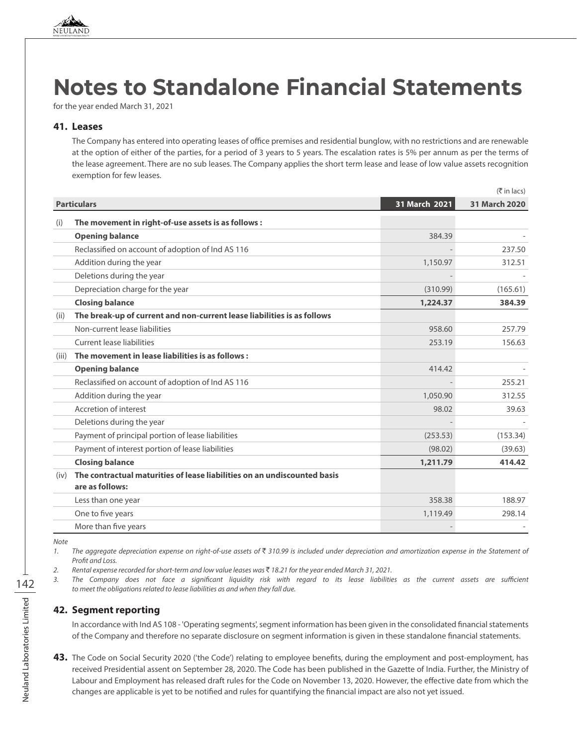for the year ended March 31, 2021

## **41. Leases**

 The Company has entered into operating leases of office premises and residential bunglow, with no restrictions and are renewable at the option of either of the parties, for a period of 3 years to 5 years. The escalation rates is 5% per annum as per the terms of the lease agreement. There are no sub leases. The Company applies the short term lease and lease of low value assets recognition exemption for few leases.

|       |                                                                                             |               | $(\overline{\zeta}$ in lacs) |
|-------|---------------------------------------------------------------------------------------------|---------------|------------------------------|
|       | <b>Particulars</b>                                                                          | 31 March 2021 | 31 March 2020                |
| (i)   | The movement in right-of-use assets is as follows :                                         |               |                              |
|       | <b>Opening balance</b>                                                                      | 384.39        |                              |
|       | Reclassified on account of adoption of Ind AS 116                                           |               | 237.50                       |
|       | Addition during the year                                                                    | 1,150.97      | 312.51                       |
|       | Deletions during the year                                                                   |               |                              |
|       | Depreciation charge for the year                                                            | (310.99)      | (165.61)                     |
|       | <b>Closing balance</b>                                                                      | 1,224.37      | 384.39                       |
| (ii)  | The break-up of current and non-current lease liabilities is as follows                     |               |                              |
|       | Non-current lease liabilities                                                               | 958.60        | 257.79                       |
|       | Current lease liabilities                                                                   | 253.19        | 156.63                       |
| (iii) | The movement in lease liabilities is as follows:                                            |               |                              |
|       | <b>Opening balance</b>                                                                      | 414.42        |                              |
|       | Reclassified on account of adoption of Ind AS 116                                           |               | 255.21                       |
|       | Addition during the year                                                                    | 1,050.90      | 312.55                       |
|       | Accretion of interest                                                                       | 98.02         | 39.63                        |
|       | Deletions during the year                                                                   |               |                              |
|       | Payment of principal portion of lease liabilities                                           | (253.53)      | (153.34)                     |
|       | Payment of interest portion of lease liabilities                                            | (98.02)       | (39.63)                      |
|       | <b>Closing balance</b>                                                                      | 1,211.79      | 414.42                       |
| (iv)  | The contractual maturities of lease liabilities on an undiscounted basis<br>are as follows: |               |                              |
|       | Less than one year                                                                          | 358.38        | 188.97                       |
|       | One to five years                                                                           | 1,119.49      | 298.14                       |
|       | More than five years                                                                        |               |                              |

*Note* 

1. The aggregate depreciation expense on right-of-use assets of ₹ 310.99 is included under depreciation and amortization expense in the Statement of *Profit and Loss.*

*2. Rental expense recorded for short-term and low value leases was* ` *18.21 for the year ended March 31, 2021.*

*3. The Company does not face a significant liquidity risk with regard to its lease liabilities as the current assets are sufficient to meet the obligations related to lease liabilities as and when they fall due.*

## **42. Segment reporting**

 In accordance with Ind AS 108 - 'Operating segments', segment information has been given in the consolidated financial statements of the Company and therefore no separate disclosure on segment information is given in these standalone financial statements.

**43.** The Code on Social Security 2020 ('the Code') relating to employee benefits, during the employment and post-employment, has received Presidential assent on September 28, 2020. The Code has been published in the Gazette of India. Further, the Ministry of Labour and Employment has released draft rules for the Code on November 13, 2020. However, the effective date from which the changes are applicable is yet to be notified and rules for quantifying the financial impact are also not yet issued.